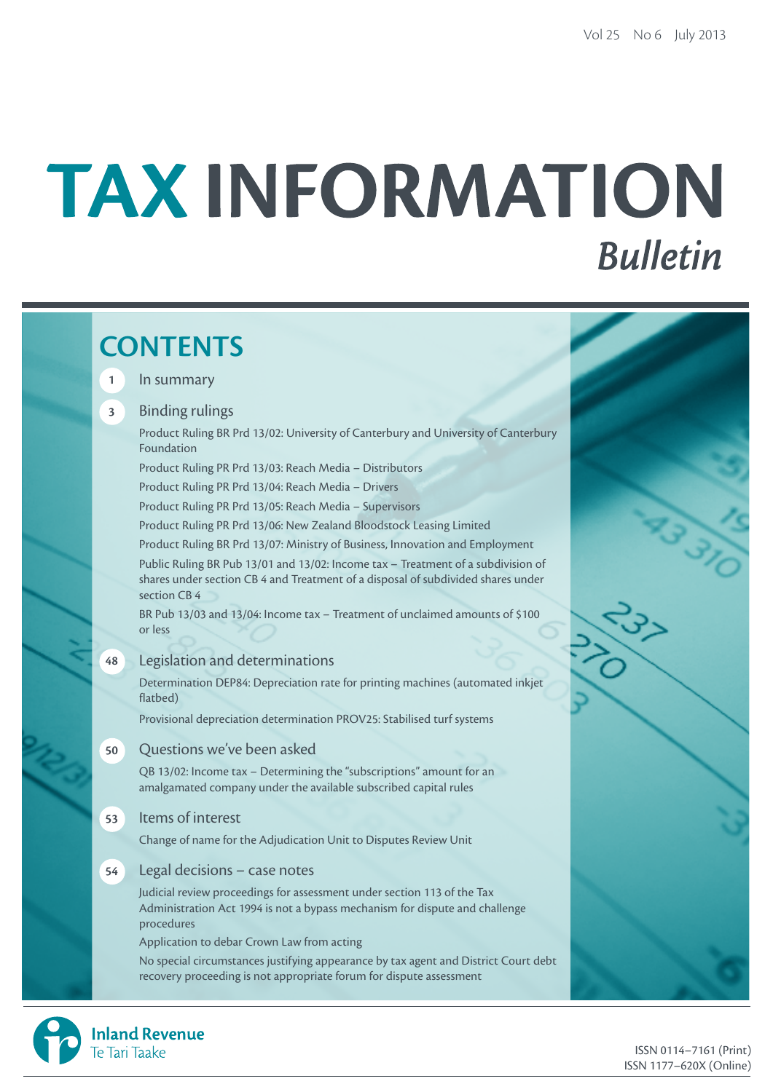# **TAX INFORMATION Bulletin**

# **CONTENTS 1** In summary **3** Binding rulings Product Ruling BR Prd 13/02: University of Canterbury and University of Canterbury Foundation Product Ruling PR Prd 13/03: Reach Media – Distributors Product Ruling PR Prd 13/04: Reach Media – Drivers Product Ruling PR Prd 13/05: Reach Media – Supervisors Product Ruling PR Prd 13/06: New Zealand Bloodstock Leasing Limited Product Ruling BR Prd 13/07: Ministry of Business, Innovation and Employment Public Ruling BR Pub 13/01 and 13/02: Income tax – Treatment of a subdivision of shares under section CB 4 and Treatment of a disposal of subdivided shares under section CB 4 BR Pub 13/03 and 13/04: Income tax – Treatment of unclaimed amounts of \$100 or less **48** Legislation and determinations Determination DEP84: Depreciation rate for printing machines (automated inkjet flatbed) Provisional depreciation determination PROV25: Stabilised turf systems **50** Questions we've been asked QB 13/02: Income tax – Determining the "subscriptions" amount for an amalgamated company under the available subscribed capital rules **53** Items of interest Change of name for the Adjudication Unit to Disputes Review Unit **54** Legal decisions – case notes Judicial review proceedings for assessment under section 113 of the Tax Administration Act 1994 is not a bypass mechanism for dispute and challenge procedures Application to debar Crown Law from acting No special circumstances justifying appearance by tax agent and District Court debt recovery proceeding is not appropriate forum for dispute assessment**Inland Revenue**

Te Tari Taake

ISSN 0114–7161 (Print) ISSN 1177–620X (Online)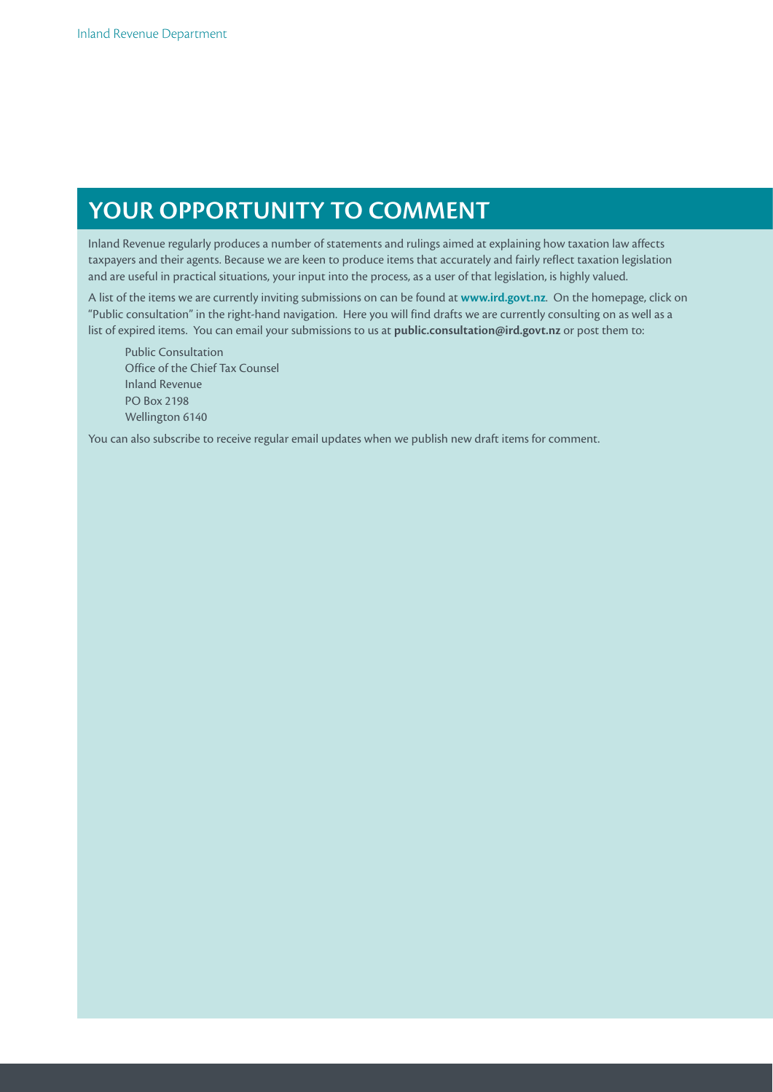# YOUR OPPORTUNITY TO COMMENT

Inland Revenue regularly produces a number of statements and rulings aimed at explaining how taxation law affects taxpayers and their agents. Because we are keen to produce items that accurately and fairly reflect taxation legislation and are useful in practical situations, your input into the process, as a user of that legislation, is highly valued.

A list of the items we are currently inviting submissions on can be found at **www.ird.govt.nz**. On the homepage, click on "Public consultation" in the right-hand navigation. Here you will find drafts we are currently consulting on as well as a list of expired items. You can email your submissions to us at **public.consultation@ird.govt.nz** or post them to:

Public Consultation Office of the Chief Tax Counsel Inland Revenue PO Box 2198 Wellington 6140

You can also subscribe to receive regular email updates when we publish new draft items for comment.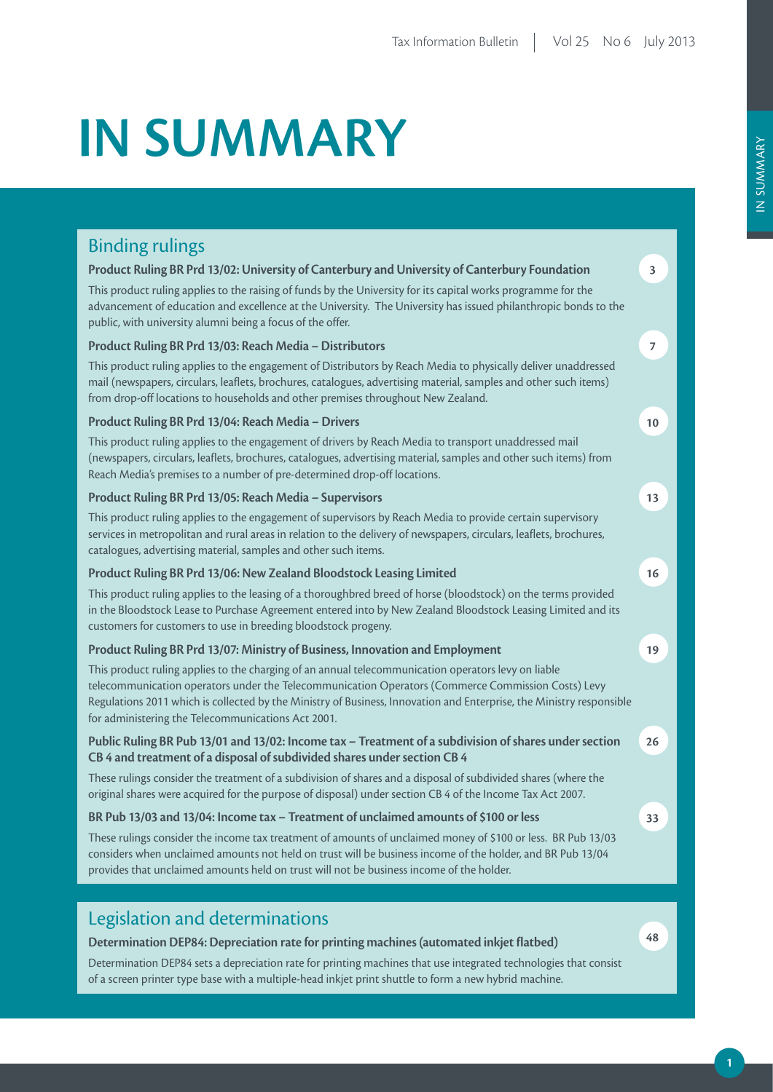# **IN SUMMARY**

# Binding rulings

| Product Ruling BR Prd 13/02: University of Canterbury and University of Canterbury Foundation                                                                                                                                                                                                                                                                                           | 3              |
|-----------------------------------------------------------------------------------------------------------------------------------------------------------------------------------------------------------------------------------------------------------------------------------------------------------------------------------------------------------------------------------------|----------------|
| This product ruling applies to the raising of funds by the University for its capital works programme for the<br>advancement of education and excellence at the University. The University has issued philanthropic bonds to the<br>public, with university alumni being a focus of the offer.                                                                                          |                |
| Product Ruling BR Prd 13/03: Reach Media - Distributors                                                                                                                                                                                                                                                                                                                                 | $\overline{7}$ |
| This product ruling applies to the engagement of Distributors by Reach Media to physically deliver unaddressed<br>mail (newspapers, circulars, leaflets, brochures, catalogues, advertising material, samples and other such items)<br>from drop-off locations to households and other premises throughout New Zealand.                                                                 |                |
| Product Ruling BR Prd 13/04: Reach Media - Drivers                                                                                                                                                                                                                                                                                                                                      | 10             |
| This product ruling applies to the engagement of drivers by Reach Media to transport unaddressed mail<br>(newspapers, circulars, leaflets, brochures, catalogues, advertising material, samples and other such items) from<br>Reach Media's premises to a number of pre-determined drop-off locations.                                                                                  |                |
| Product Ruling BR Prd 13/05: Reach Media - Supervisors                                                                                                                                                                                                                                                                                                                                  | 13             |
| This product ruling applies to the engagement of supervisors by Reach Media to provide certain supervisory<br>services in metropolitan and rural areas in relation to the delivery of newspapers, circulars, leaflets, brochures,<br>catalogues, advertising material, samples and other such items.                                                                                    |                |
| Product Ruling BR Prd 13/06: New Zealand Bloodstock Leasing Limited                                                                                                                                                                                                                                                                                                                     | 16             |
| This product ruling applies to the leasing of a thoroughbred breed of horse (bloodstock) on the terms provided<br>in the Bloodstock Lease to Purchase Agreement entered into by New Zealand Bloodstock Leasing Limited and its<br>customers for customers to use in breeding bloodstock progeny.                                                                                        |                |
| Product Ruling BR Prd 13/07: Ministry of Business, Innovation and Employment                                                                                                                                                                                                                                                                                                            | 19             |
| This product ruling applies to the charging of an annual telecommunication operators levy on liable<br>telecommunication operators under the Telecommunication Operators (Commerce Commission Costs) Levy<br>Regulations 2011 which is collected by the Ministry of Business, Innovation and Enterprise, the Ministry responsible<br>for administering the Telecommunications Act 2001. |                |
| Public Ruling BR Pub 13/01 and 13/02: Income tax - Treatment of a subdivision of shares under section<br>CB 4 and treatment of a disposal of subdivided shares under section CB 4                                                                                                                                                                                                       | 26             |
| These rulings consider the treatment of a subdivision of shares and a disposal of subdivided shares (where the<br>original shares were acquired for the purpose of disposal) under section CB 4 of the Income Tax Act 2007.                                                                                                                                                             |                |
| BR Pub 13/03 and 13/04: Income tax - Treatment of unclaimed amounts of \$100 or less                                                                                                                                                                                                                                                                                                    | 33             |
| These rulings consider the income tax treatment of amounts of unclaimed money of \$100 or less. BR Pub 13/03<br>considers when unclaimed amounts not held on trust will be business income of the holder, and BR Pub 13/04<br>provides that unclaimed amounts held on trust will not be business income of the holder.                                                                  |                |
|                                                                                                                                                                                                                                                                                                                                                                                         |                |
| Legislation and determinations                                                                                                                                                                                                                                                                                                                                                          |                |
| Determination DEP84: Depreciation rate for printing machines (automated inkjet flatbed)                                                                                                                                                                                                                                                                                                 | 48             |

Determination DEP84 sets a depreciation rate for printing machines that use integrated technologies that consist of a screen printer type base with a multiple-head inkjet print shuttle to form a new hybrid machine.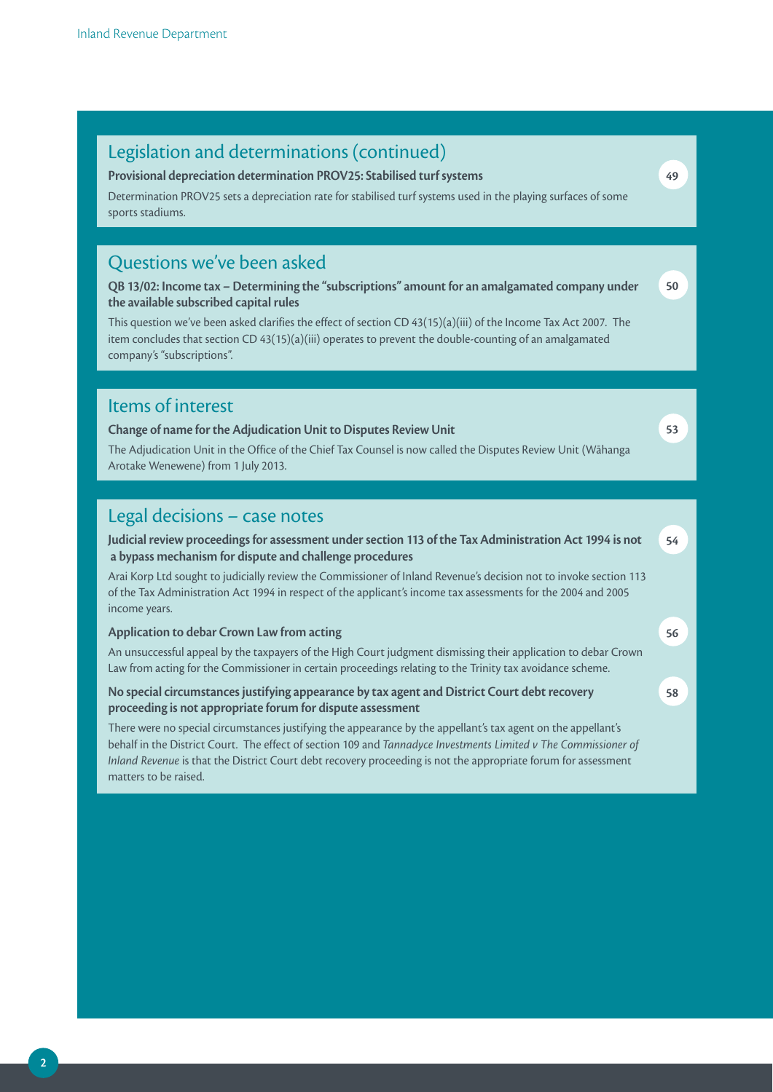# Legislation and determinations (continued)

**Provisional depreciation determination PROV25: Stabilised turf systems**

Determination PROV25 sets a depreciation rate for stabilised turf systems used in the playing surfaces of some sports stadiums.

**49**

**50**

**53**

**54**

**56**

**58**

# Questions we've been asked

**QB 13/02: Income tax – Determining the "subscriptions" amount for an amalgamated company under the available subscribed capital rules**

This question we've been asked clarifies the effect of section CD 43(15)(a)(iii) of the Income Tax Act 2007. The item concludes that section CD 43(15)(a)(iii) operates to prevent the double-counting of an amalgamated company's "subscriptions".

# Items of interest

**Change of name for the Adjudication Unit to Disputes Review Unit**

The Adjudication Unit in the Office of the Chief Tax Counsel is now called the Disputes Review Unit (Wāhanga Arotake Wenewene) from 1 July 2013.

# Legal decisions – case notes

**Judicial review proceedings for assessment under section 113 of the Tax Administration Act 1994 is not a bypass mechanism for dispute and challenge procedures**

Arai Korp Ltd sought to judicially review the Commissioner of Inland Revenue's decision not to invoke section 113 of the Tax Administration Act 1994 in respect of the applicant's income tax assessments for the 2004 and 2005 income years.

# **Application to debar Crown Law from acting**

An unsuccessful appeal by the taxpayers of the High Court judgment dismissing their application to debar Crown Law from acting for the Commissioner in certain proceedings relating to the Trinity tax avoidance scheme.

# **No special circumstances justifying appearance by tax agent and District Court debt recovery proceeding is not appropriate forum for dispute assessment**

There were no special circumstances justifying the appearance by the appellant's tax agent on the appellant's behalf in the District Court. The effect of section 109 and *Tannadyce Investments Limited v The Commissioner of Inland Revenue* is that the District Court debt recovery proceeding is not the appropriate forum for assessment matters to be raised.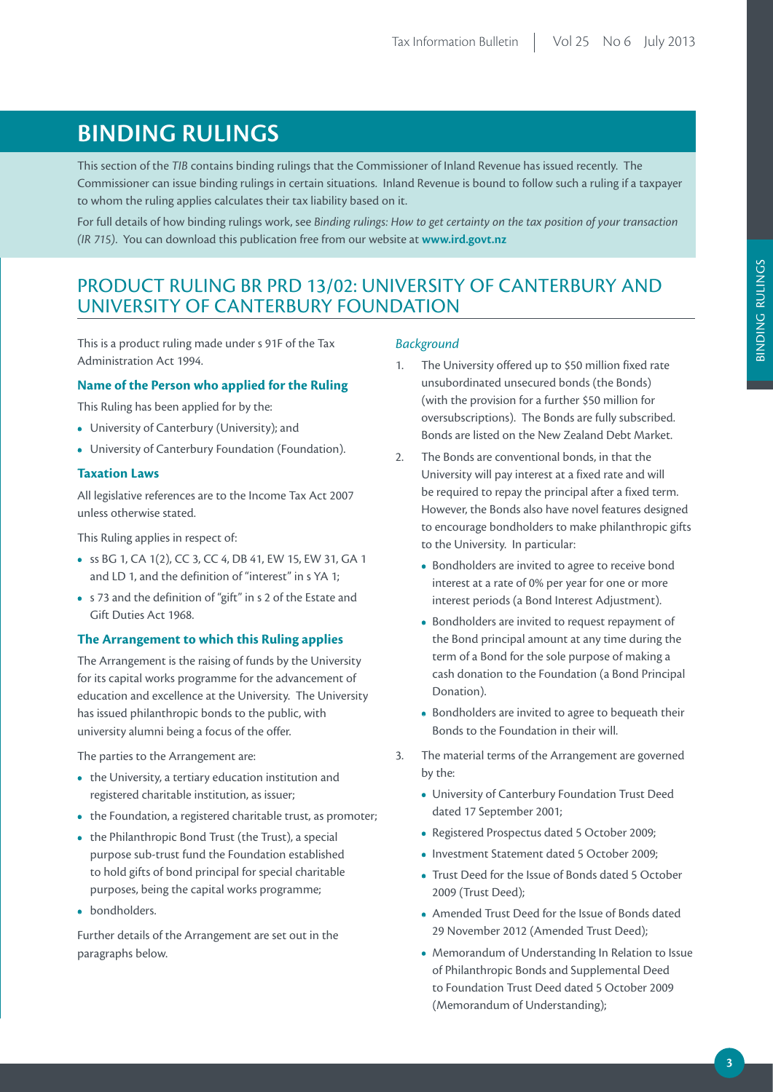# **BINDING RULINGS**

This section of the *TIB* contains binding rulings that the Commissioner of Inland Revenue has issued recently. The Commissioner can issue binding rulings in certain situations. Inland Revenue is bound to follow such a ruling if a taxpayer to whom the ruling applies calculates their tax liability based on it.

For full details of how binding rulings work, see *Binding rulings: How to get certainty on the tax position of your transaction (IR 715)*. You can download this publication free from our website at **www.ird.govt.nz**

# PRODUCT RULING BR PRD 13/02: UNIVERSITY OF CANTERBURY AND UNIVERSITY OF CANTERBURY FOUNDATION

This is a product ruling made under s 91F of the Tax Administration Act 1994.

# **Name of the Person who applied for the Ruling**

This Ruling has been applied for by the:

- **•** University of Canterbury (University); and
- **•** University of Canterbury Foundation (Foundation).

# **Taxation Laws**

All legislative references are to the Income Tax Act 2007 unless otherwise stated.

This Ruling applies in respect of:

- **•** ss BG 1, CA 1(2), CC 3, CC 4, DB 41, EW 15, EW 31, GA 1 and LD 1, and the definition of "interest" in s YA 1;
- **•** s 73 and the definition of "gift" in s 2 of the Estate and Gift Duties Act 1968.

# **The Arrangement to which this Ruling applies**

The Arrangement is the raising of funds by the University for its capital works programme for the advancement of education and excellence at the University. The University has issued philanthropic bonds to the public, with university alumni being a focus of the offer.

The parties to the Arrangement are:

- **•** the University, a tertiary education institution and registered charitable institution, as issuer;
- **•** the Foundation, a registered charitable trust, as promoter;
- **•** the Philanthropic Bond Trust (the Trust), a special purpose sub-trust fund the Foundation established to hold gifts of bond principal for special charitable purposes, being the capital works programme;
- **•** bondholders.

Further details of the Arrangement are set out in the paragraphs below.

## *Background*

- 1. The University offered up to \$50 million fixed rate unsubordinated unsecured bonds (the Bonds) (with the provision for a further \$50 million for oversubscriptions). The Bonds are fully subscribed. Bonds are listed on the New Zealand Debt Market.
- 2. The Bonds are conventional bonds, in that the University will pay interest at a fixed rate and will be required to repay the principal after a fixed term. However, the Bonds also have novel features designed to encourage bondholders to make philanthropic gifts to the University. In particular:
	- **•** Bondholders are invited to agree to receive bond interest at a rate of 0% per year for one or more interest periods (a Bond Interest Adjustment).
	- **•** Bondholders are invited to request repayment of the Bond principal amount at any time during the term of a Bond for the sole purpose of making a cash donation to the Foundation (a Bond Principal Donation).
	- **•** Bondholders are invited to agree to bequeath their Bonds to the Foundation in their will.
- 3. The material terms of the Arrangement are governed by the:
	- **•** University of Canterbury Foundation Trust Deed dated 17 September 2001;
	- **•** Registered Prospectus dated 5 October 2009;
	- **•** Investment Statement dated 5 October 2009;
	- **•** Trust Deed for the Issue of Bonds dated 5 October 2009 (Trust Deed);
	- **•** Amended Trust Deed for the Issue of Bonds dated 29 November 2012 (Amended Trust Deed);
	- **•** Memorandum of Understanding In Relation to Issue of Philanthropic Bonds and Supplemental Deed to Foundation Trust Deed dated 5 October 2009 (Memorandum of Understanding);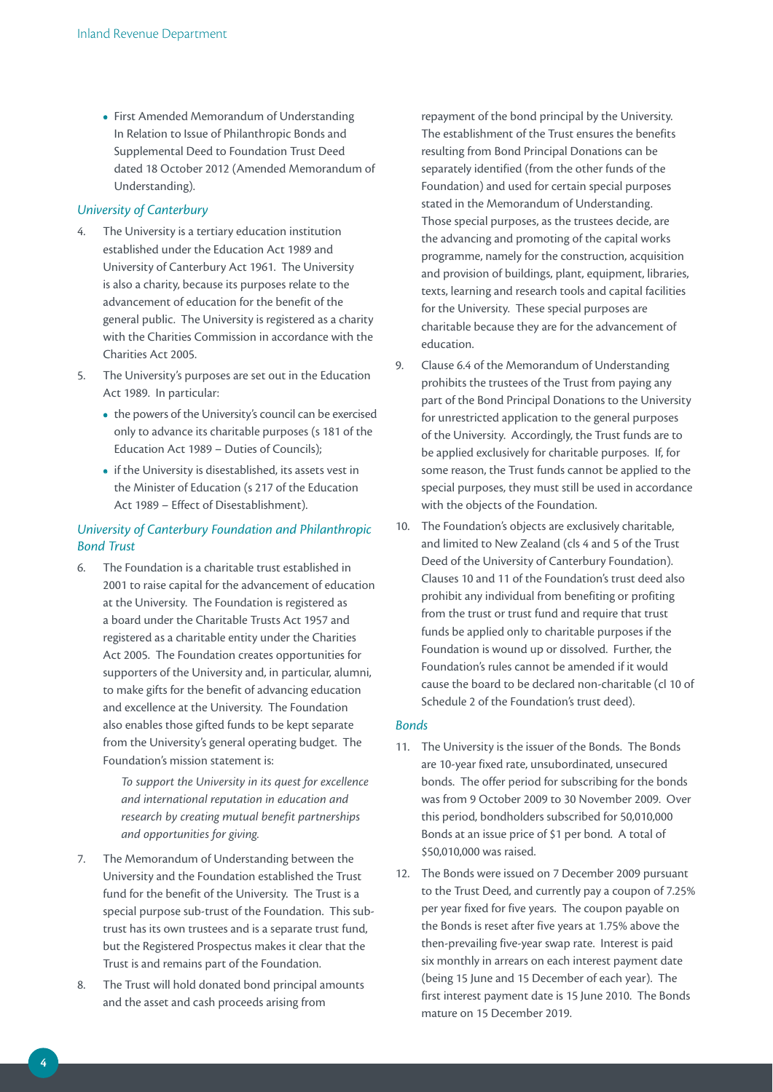**•** First Amended Memorandum of Understanding In Relation to Issue of Philanthropic Bonds and Supplemental Deed to Foundation Trust Deed dated 18 October 2012 (Amended Memorandum of Understanding).

# *University of Canterbury*

- 4. The University is a tertiary education institution established under the Education Act 1989 and University of Canterbury Act 1961. The University is also a charity, because its purposes relate to the advancement of education for the benefit of the general public. The University is registered as a charity with the Charities Commission in accordance with the Charities Act 2005.
- 5. The University's purposes are set out in the Education Act 1989. In particular:
	- **•** the powers of the University's council can be exercised only to advance its charitable purposes (s 181 of the Education Act 1989 – Duties of Councils);
	- **•** if the University is disestablished, its assets vest in the Minister of Education (s 217 of the Education Act 1989 – Effect of Disestablishment).

# *University of Canterbury Foundation and Philanthropic Bond Trust*

6. The Foundation is a charitable trust established in 2001 to raise capital for the advancement of education at the University. The Foundation is registered as a board under the Charitable Trusts Act 1957 and registered as a charitable entity under the Charities Act 2005. The Foundation creates opportunities for supporters of the University and, in particular, alumni, to make gifts for the benefit of advancing education and excellence at the University. The Foundation also enables those gifted funds to be kept separate from the University's general operating budget. The Foundation's mission statement is:

> *To support the University in its quest for excellence and international reputation in education and research by creating mutual benefit partnerships and opportunities for giving.*

- 7. The Memorandum of Understanding between the University and the Foundation established the Trust fund for the benefit of the University. The Trust is a special purpose sub-trust of the Foundation. This subtrust has its own trustees and is a separate trust fund, but the Registered Prospectus makes it clear that the Trust is and remains part of the Foundation.
- 8. The Trust will hold donated bond principal amounts and the asset and cash proceeds arising from

repayment of the bond principal by the University. The establishment of the Trust ensures the benefits resulting from Bond Principal Donations can be separately identified (from the other funds of the Foundation) and used for certain special purposes stated in the Memorandum of Understanding. Those special purposes, as the trustees decide, are the advancing and promoting of the capital works programme, namely for the construction, acquisition and provision of buildings, plant, equipment, libraries, texts, learning and research tools and capital facilities for the University. These special purposes are charitable because they are for the advancement of education.

- 9. Clause 6.4 of the Memorandum of Understanding prohibits the trustees of the Trust from paying any part of the Bond Principal Donations to the University for unrestricted application to the general purposes of the University. Accordingly, the Trust funds are to be applied exclusively for charitable purposes. If, for some reason, the Trust funds cannot be applied to the special purposes, they must still be used in accordance with the objects of the Foundation.
- 10. The Foundation's objects are exclusively charitable, and limited to New Zealand (cls 4 and 5 of the Trust Deed of the University of Canterbury Foundation). Clauses 10 and 11 of the Foundation's trust deed also prohibit any individual from benefiting or profiting from the trust or trust fund and require that trust funds be applied only to charitable purposes if the Foundation is wound up or dissolved. Further, the Foundation's rules cannot be amended if it would cause the board to be declared non-charitable (cl 10 of Schedule 2 of the Foundation's trust deed).

# *Bonds*

- 11. The University is the issuer of the Bonds. The Bonds are 10-year fixed rate, unsubordinated, unsecured bonds. The offer period for subscribing for the bonds was from 9 October 2009 to 30 November 2009. Over this period, bondholders subscribed for 50,010,000 Bonds at an issue price of \$1 per bond. A total of \$50,010,000 was raised.
- 12. The Bonds were issued on 7 December 2009 pursuant to the Trust Deed, and currently pay a coupon of 7.25% per year fixed for five years. The coupon payable on the Bonds is reset after five years at 1.75% above the then-prevailing five-year swap rate. Interest is paid six monthly in arrears on each interest payment date (being 15 June and 15 December of each year). The first interest payment date is 15 June 2010. The Bonds mature on 15 December 2019.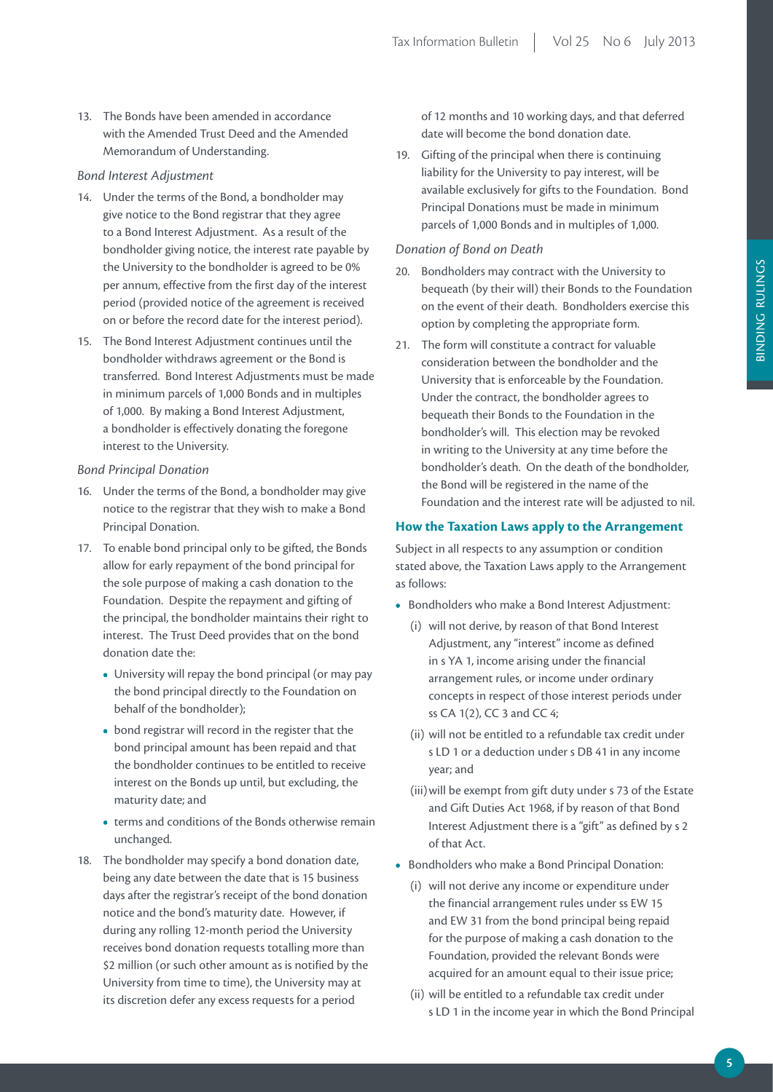13. The Bonds have been amended in accordance with the Amended Trust Deed and the Amended Memorandum of Understanding.

# *Bond Interest Adjustment*

- 14. Under the terms of the Bond, a bondholder may give notice to the Bond registrar that they agree to a Bond Interest Adjustment. As a result of the bondholder giving notice, the interest rate payable by the University to the bondholder is agreed to be 0% per annum, effective from the first day of the interest period (provided notice of the agreement is received on or before the record date for the interest period).
- 15. The Bond Interest Adjustment continues until the bondholder withdraws agreement or the Bond is transferred. Bond Interest Adjustments must be made in minimum parcels of 1,000 Bonds and in multiples of 1,000. By making a Bond Interest Adjustment, a bondholder is effectively donating the foregone interest to the University.

# *Bond Principal Donation*

- 16. Under the terms of the Bond, a bondholder may give notice to the registrar that they wish to make a Bond Principal Donation.
- 17. To enable bond principal only to be gifted, the Bonds allow for early repayment of the bond principal for the sole purpose of making a cash donation to the Foundation. Despite the repayment and gifting of the principal, the bondholder maintains their right to interest. The Trust Deed provides that on the bond donation date the:
	- **•** University will repay the bond principal (or may pay the bond principal directly to the Foundation on behalf of the bondholder);
	- **•** bond registrar will record in the register that the bond principal amount has been repaid and that the bondholder continues to be entitled to receive interest on the Bonds up until, but excluding, the maturity date; and
	- **•** terms and conditions of the Bonds otherwise remain unchanged.
- 18. The bondholder may specify a bond donation date, being any date between the date that is 15 business days after the registrar's receipt of the bond donation notice and the bond's maturity date. However, if during any rolling 12-month period the University receives bond donation requests totalling more than \$2 million (or such other amount as is notified by the University from time to time), the University may at its discretion defer any excess requests for a period

of 12 months and 10 working days, and that deferred date will become the bond donation date.

19. Gifting of the principal when there is continuing liability for the University to pay interest, will be available exclusively for gifts to the Foundation. Bond Principal Donations must be made in minimum parcels of 1,000 Bonds and in multiples of 1,000.

# *Donation of Bond on Death*

- 20. Bondholders may contract with the University to bequeath (by their will) their Bonds to the Foundation on the event of their death. Bondholders exercise this option by completing the appropriate form.
- 21. The form will constitute a contract for valuable consideration between the bondholder and the University that is enforceable by the Foundation. Under the contract, the bondholder agrees to bequeath their Bonds to the Foundation in the bondholder's will. This election may be revoked in writing to the University at any time before the bondholder's death. On the death of the bondholder, the Bond will be registered in the name of the Foundation and the interest rate will be adjusted to nil.

# **How the Taxation Laws apply to the Arrangement**

Subject in all respects to any assumption or condition stated above, the Taxation Laws apply to the Arrangement as follows:

- **•** Bondholders who make a Bond Interest Adjustment:
	- (i) will not derive, by reason of that Bond Interest Adjustment, any "interest" income as defined in s YA 1, income arising under the financial arrangement rules, or income under ordinary concepts in respect of those interest periods under ss CA 1(2), CC 3 and CC 4;
	- (ii) will not be entitled to a refundable tax credit under s LD 1 or a deduction under s DB 41 in any income year; and
	- (iii)will be exempt from gift duty under s 73 of the Estate and Gift Duties Act 1968, if by reason of that Bond Interest Adjustment there is a "gift" as defined by s 2 of that Act.
- **•** Bondholders who make a Bond Principal Donation:
	- (i) will not derive any income or expenditure under the financial arrangement rules under ss EW 15 and EW 31 from the bond principal being repaid for the purpose of making a cash donation to the Foundation, provided the relevant Bonds were acquired for an amount equal to their issue price;
	- (ii) will be entitled to a refundable tax credit under s LD 1 in the income year in which the Bond Principal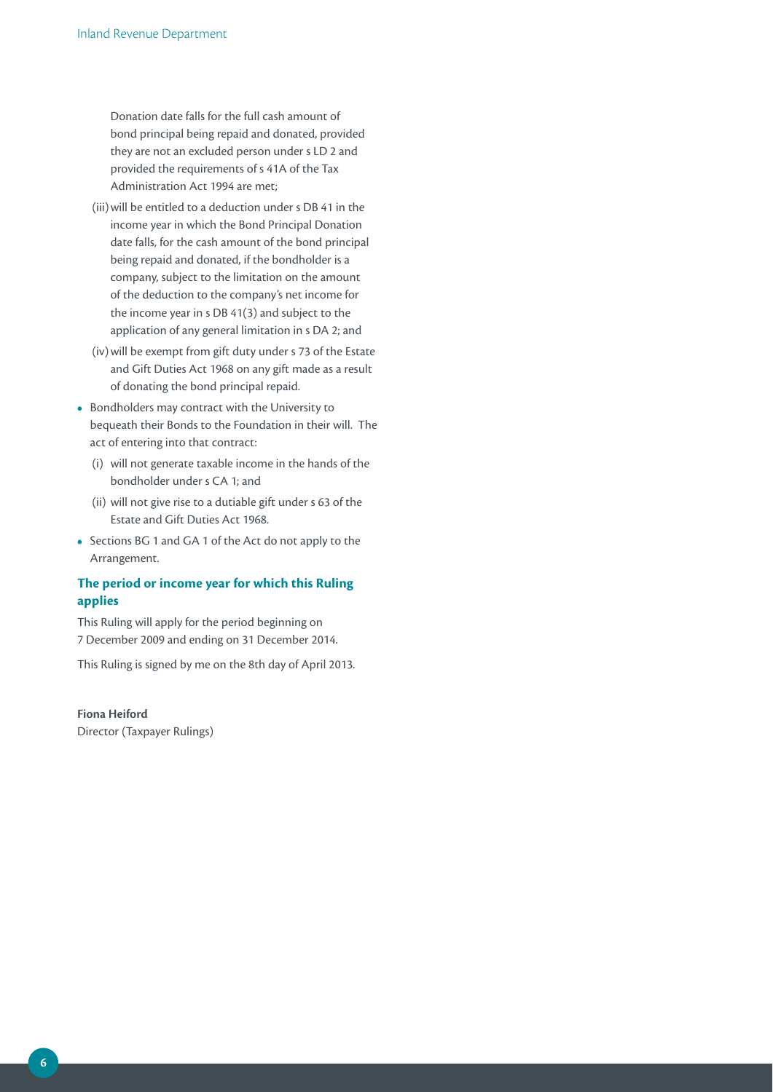Donation date falls for the full cash amount of bond principal being repaid and donated, provided they are not an excluded person under s LD 2 and provided the requirements of s 41A of the Tax Administration Act 1994 are met;

- (iii)will be entitled to a deduction under s DB 41 in the income year in which the Bond Principal Donation date falls, for the cash amount of the bond principal being repaid and donated, if the bondholder is a company, subject to the limitation on the amount of the deduction to the company's net income for the income year in s DB 41(3) and subject to the application of any general limitation in s DA 2; and
- (iv) will be exempt from gift duty under s 73 of the Estate and Gift Duties Act 1968 on any gift made as a result of donating the bond principal repaid.
- **•** Bondholders may contract with the University to bequeath their Bonds to the Foundation in their will. The act of entering into that contract:
	- (i) will not generate taxable income in the hands of the bondholder under s CA 1; and
	- (ii) will not give rise to a dutiable gift under s 63 of the Estate and Gift Duties Act 1968.
- **•** Sections BG 1 and GA 1 of the Act do not apply to the Arrangement.

# **The period or income year for which this Ruling applies**

This Ruling will apply for the period beginning on 7 December 2009 and ending on 31 December 2014.

This Ruling is signed by me on the 8th day of April 2013.

**Fiona Heiford** Director (Taxpayer Rulings)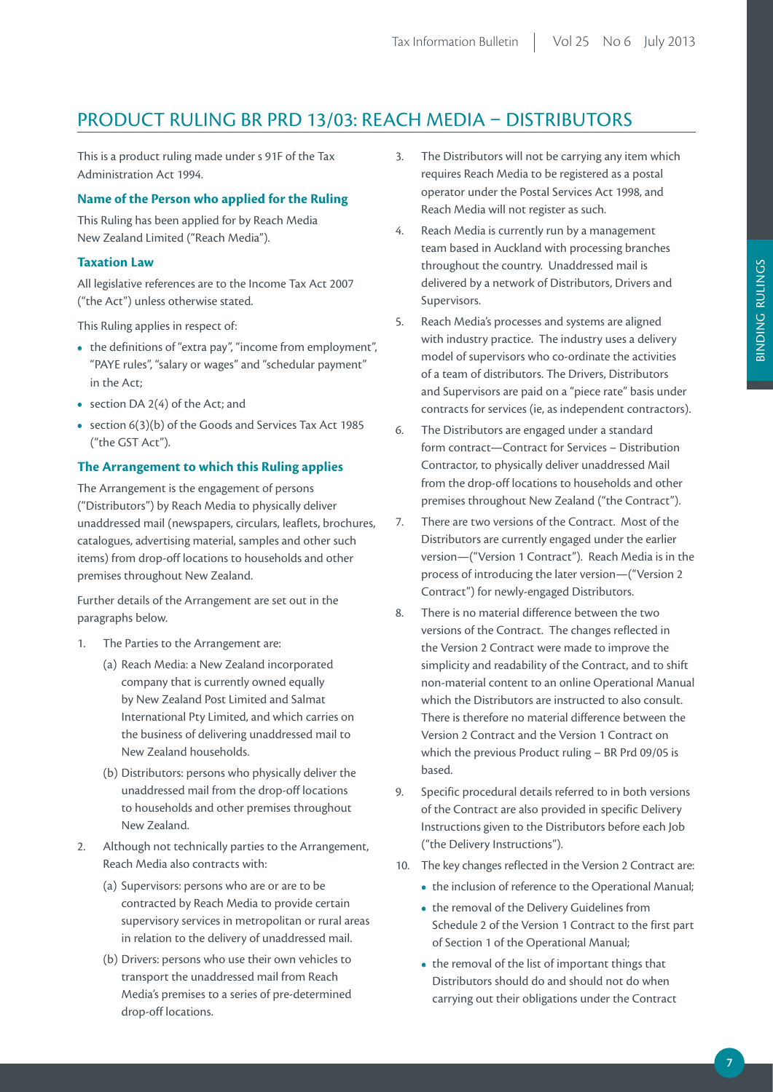# PRODUCT RULING BR PRD 13/03: REACH MEDIA – DISTRIBUTORS

This is a product ruling made under s 91F of the Tax Administration Act 1994.

## **Name of the Person who applied for the Ruling**

This Ruling has been applied for by Reach Media New Zealand Limited ("Reach Media").

## **Taxation Law**

All legislative references are to the Income Tax Act 2007 ("the Act") unless otherwise stated.

This Ruling applies in respect of:

- **•** the definitions of "extra pay", "income from employment", "PAYE rules", "salary or wages" and "schedular payment" in the Act;
- **•** section DA 2(4) of the Act; and
- **•** section 6(3)(b) of the Goods and Services Tax Act 1985 ("the GST Act").

# **The Arrangement to which this Ruling applies**

The Arrangement is the engagement of persons ("Distributors") by Reach Media to physically deliver unaddressed mail (newspapers, circulars, leaflets, brochures, catalogues, advertising material, samples and other such items) from drop-off locations to households and other premises throughout New Zealand.

Further details of the Arrangement are set out in the paragraphs below.

- 1. The Parties to the Arrangement are:
	- (a) Reach Media: a New Zealand incorporated company that is currently owned equally by New Zealand Post Limited and Salmat International Pty Limited, and which carries on the business of delivering unaddressed mail to New Zealand households.
	- (b) Distributors: persons who physically deliver the unaddressed mail from the drop-off locations to households and other premises throughout New Zealand.
- 2. Although not technically parties to the Arrangement, Reach Media also contracts with:
	- (a) Supervisors: persons who are or are to be contracted by Reach Media to provide certain supervisory services in metropolitan or rural areas in relation to the delivery of unaddressed mail.
	- (b) Drivers: persons who use their own vehicles to transport the unaddressed mail from Reach Media's premises to a series of pre-determined drop-off locations.
- 3. The Distributors will not be carrying any item which requires Reach Media to be registered as a postal operator under the Postal Services Act 1998, and Reach Media will not register as such.
- 4. Reach Media is currently run by a management team based in Auckland with processing branches throughout the country. Unaddressed mail is delivered by a network of Distributors, Drivers and Supervisors.
- 5. Reach Media's processes and systems are aligned with industry practice. The industry uses a delivery model of supervisors who co-ordinate the activities of a team of distributors. The Drivers, Distributors and Supervisors are paid on a "piece rate" basis under contracts for services (ie, as independent contractors).
- 6. The Distributors are engaged under a standard form contract—Contract for Services – Distribution Contractor, to physically deliver unaddressed Mail from the drop-off locations to households and other premises throughout New Zealand ("the Contract").
- 7. There are two versions of the Contract. Most of the Distributors are currently engaged under the earlier version—("Version 1 Contract"). Reach Media is in the process of introducing the later version—("Version 2 Contract") for newly-engaged Distributors.
- 8. There is no material difference between the two versions of the Contract. The changes reflected in the Version 2 Contract were made to improve the simplicity and readability of the Contract, and to shift non-material content to an online Operational Manual which the Distributors are instructed to also consult. There is therefore no material difference between the Version 2 Contract and the Version 1 Contract on which the previous Product ruling – BR Prd 09/05 is based.
- 9. Specific procedural details referred to in both versions of the Contract are also provided in specific Delivery Instructions given to the Distributors before each Job ("the Delivery Instructions").
- 10. The key changes reflected in the Version 2 Contract are:
	- **•** the inclusion of reference to the Operational Manual;
	- **•** the removal of the Delivery Guidelines from Schedule 2 of the Version 1 Contract to the first part of Section 1 of the Operational Manual;
	- **•** the removal of the list of important things that Distributors should do and should not do when carrying out their obligations under the Contract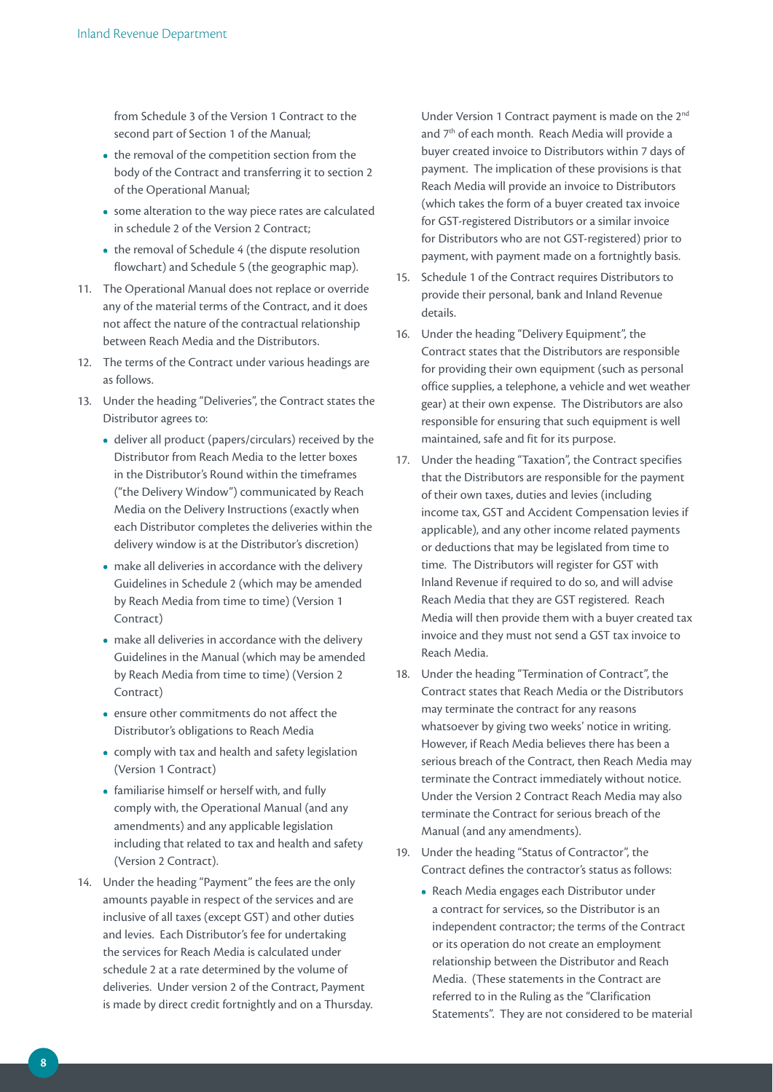from Schedule 3 of the Version 1 Contract to the second part of Section 1 of the Manual;

- **•** the removal of the competition section from the body of the Contract and transferring it to section 2 of the Operational Manual;
- **•** some alteration to the way piece rates are calculated in schedule 2 of the Version 2 Contract;
- **•** the removal of Schedule 4 (the dispute resolution flowchart) and Schedule 5 (the geographic map).
- 11. The Operational Manual does not replace or override any of the material terms of the Contract, and it does not affect the nature of the contractual relationship between Reach Media and the Distributors.
- 12. The terms of the Contract under various headings are as follows.
- 13. Under the heading "Deliveries", the Contract states the Distributor agrees to:
	- **•** deliver all product (papers/circulars) received by the Distributor from Reach Media to the letter boxes in the Distributor's Round within the timeframes ("the Delivery Window") communicated by Reach Media on the Delivery Instructions (exactly when each Distributor completes the deliveries within the delivery window is at the Distributor's discretion)
	- **•** make all deliveries in accordance with the delivery Guidelines in Schedule 2 (which may be amended by Reach Media from time to time) (Version 1 Contract)
	- **•** make all deliveries in accordance with the delivery Guidelines in the Manual (which may be amended by Reach Media from time to time) (Version 2 Contract)
	- **•** ensure other commitments do not affect the Distributor's obligations to Reach Media
	- **•** comply with tax and health and safety legislation (Version 1 Contract)
	- **•** familiarise himself or herself with, and fully comply with, the Operational Manual (and any amendments) and any applicable legislation including that related to tax and health and safety (Version 2 Contract).
- 14. Under the heading "Payment" the fees are the only amounts payable in respect of the services and are inclusive of all taxes (except GST) and other duties and levies. Each Distributor's fee for undertaking the services for Reach Media is calculated under schedule 2 at a rate determined by the volume of deliveries. Under version 2 of the Contract, Payment is made by direct credit fortnightly and on a Thursday.

Under Version 1 Contract payment is made on the 2<sup>nd</sup> and 7<sup>th</sup> of each month. Reach Media will provide a buyer created invoice to Distributors within 7 days of payment. The implication of these provisions is that Reach Media will provide an invoice to Distributors (which takes the form of a buyer created tax invoice for GST-registered Distributors or a similar invoice for Distributors who are not GST-registered) prior to payment, with payment made on a fortnightly basis.

- 15. Schedule 1 of the Contract requires Distributors to provide their personal, bank and Inland Revenue details.
- 16. Under the heading "Delivery Equipment", the Contract states that the Distributors are responsible for providing their own equipment (such as personal office supplies, a telephone, a vehicle and wet weather gear) at their own expense. The Distributors are also responsible for ensuring that such equipment is well maintained, safe and fit for its purpose.
- 17. Under the heading "Taxation", the Contract specifies that the Distributors are responsible for the payment of their own taxes, duties and levies (including income tax, GST and Accident Compensation levies if applicable), and any other income related payments or deductions that may be legislated from time to time. The Distributors will register for GST with Inland Revenue if required to do so, and will advise Reach Media that they are GST registered. Reach Media will then provide them with a buyer created tax invoice and they must not send a GST tax invoice to Reach Media.
- 18. Under the heading "Termination of Contract", the Contract states that Reach Media or the Distributors may terminate the contract for any reasons whatsoever by giving two weeks' notice in writing. However, if Reach Media believes there has been a serious breach of the Contract, then Reach Media may terminate the Contract immediately without notice. Under the Version 2 Contract Reach Media may also terminate the Contract for serious breach of the Manual (and any amendments).
- 19. Under the heading "Status of Contractor", the Contract defines the contractor's status as follows:
	- **•** Reach Media engages each Distributor under a contract for services, so the Distributor is an independent contractor; the terms of the Contract or its operation do not create an employment relationship between the Distributor and Reach Media. (These statements in the Contract are referred to in the Ruling as the "Clarification Statements". They are not considered to be material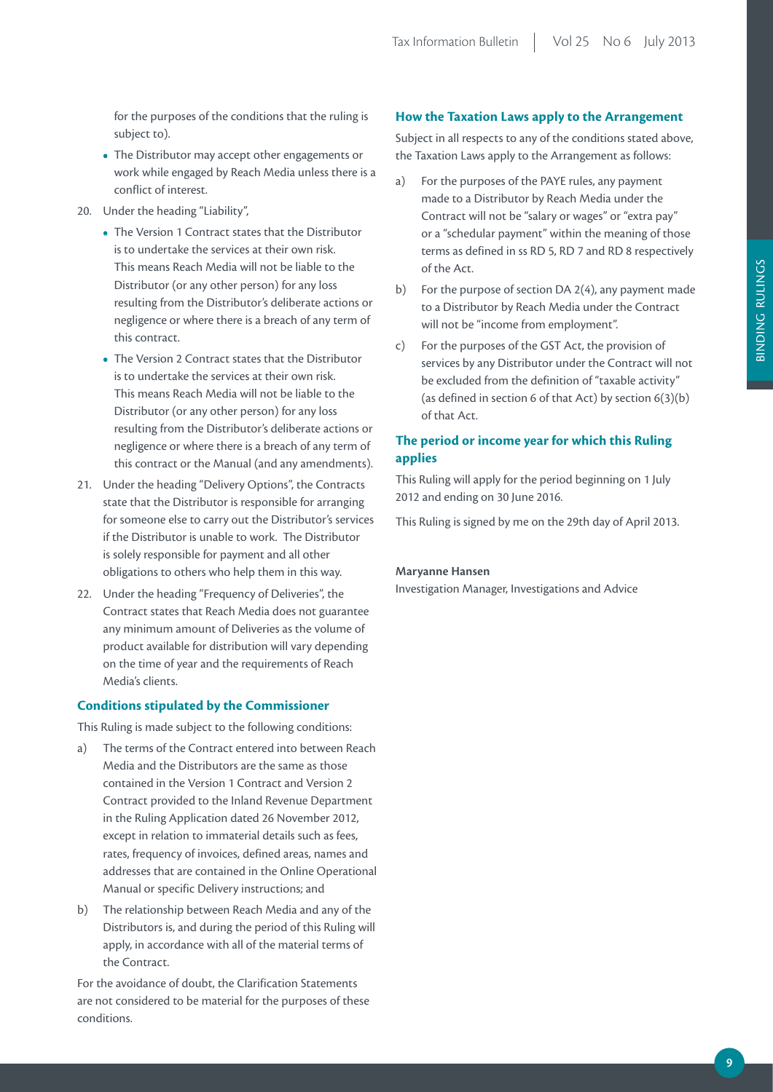for the purposes of the conditions that the ruling is subject to).

- **•** The Distributor may accept other engagements or work while engaged by Reach Media unless there is a conflict of interest.
- 20. Under the heading "Liability",
	- **•** The Version 1 Contract states that the Distributor is to undertake the services at their own risk. This means Reach Media will not be liable to the Distributor (or any other person) for any loss resulting from the Distributor's deliberate actions or negligence or where there is a breach of any term of this contract.
	- **•** The Version 2 Contract states that the Distributor is to undertake the services at their own risk. This means Reach Media will not be liable to the Distributor (or any other person) for any loss resulting from the Distributor's deliberate actions or negligence or where there is a breach of any term of this contract or the Manual (and any amendments).
- 21. Under the heading "Delivery Options", the Contracts state that the Distributor is responsible for arranging for someone else to carry out the Distributor's services if the Distributor is unable to work. The Distributor is solely responsible for payment and all other obligations to others who help them in this way.
- 22. Under the heading "Frequency of Deliveries", the Contract states that Reach Media does not guarantee any minimum amount of Deliveries as the volume of product available for distribution will vary depending on the time of year and the requirements of Reach Media's clients.

# **Conditions stipulated by the Commissioner**

This Ruling is made subject to the following conditions:

- a) The terms of the Contract entered into between Reach Media and the Distributors are the same as those contained in the Version 1 Contract and Version 2 Contract provided to the Inland Revenue Department in the Ruling Application dated 26 November 2012, except in relation to immaterial details such as fees, rates, frequency of invoices, defined areas, names and addresses that are contained in the Online Operational Manual or specific Delivery instructions; and
- b) The relationship between Reach Media and any of the Distributors is, and during the period of this Ruling will apply, in accordance with all of the material terms of the Contract.

For the avoidance of doubt, the Clarification Statements are not considered to be material for the purposes of these conditions.

# **How the Taxation Laws apply to the Arrangement**

Subject in all respects to any of the conditions stated above, the Taxation Laws apply to the Arrangement as follows:

- a) For the purposes of the PAYE rules, any payment made to a Distributor by Reach Media under the Contract will not be "salary or wages" or "extra pay" or a "schedular payment" within the meaning of those terms as defined in ss RD 5, RD 7 and RD 8 respectively of the Act.
- b) For the purpose of section DA 2(4), any payment made to a Distributor by Reach Media under the Contract will not be "income from employment".
- c) For the purposes of the GST Act, the provision of services by any Distributor under the Contract will not be excluded from the definition of "taxable activity" (as defined in section 6 of that Act) by section 6(3)(b) of that Act.

# **The period or income year for which this Ruling applies**

This Ruling will apply for the period beginning on 1 July 2012 and ending on 30 June 2016.

This Ruling is signed by me on the 29th day of April 2013.

# **Maryanne Hansen**

Investigation Manager, Investigations and Advice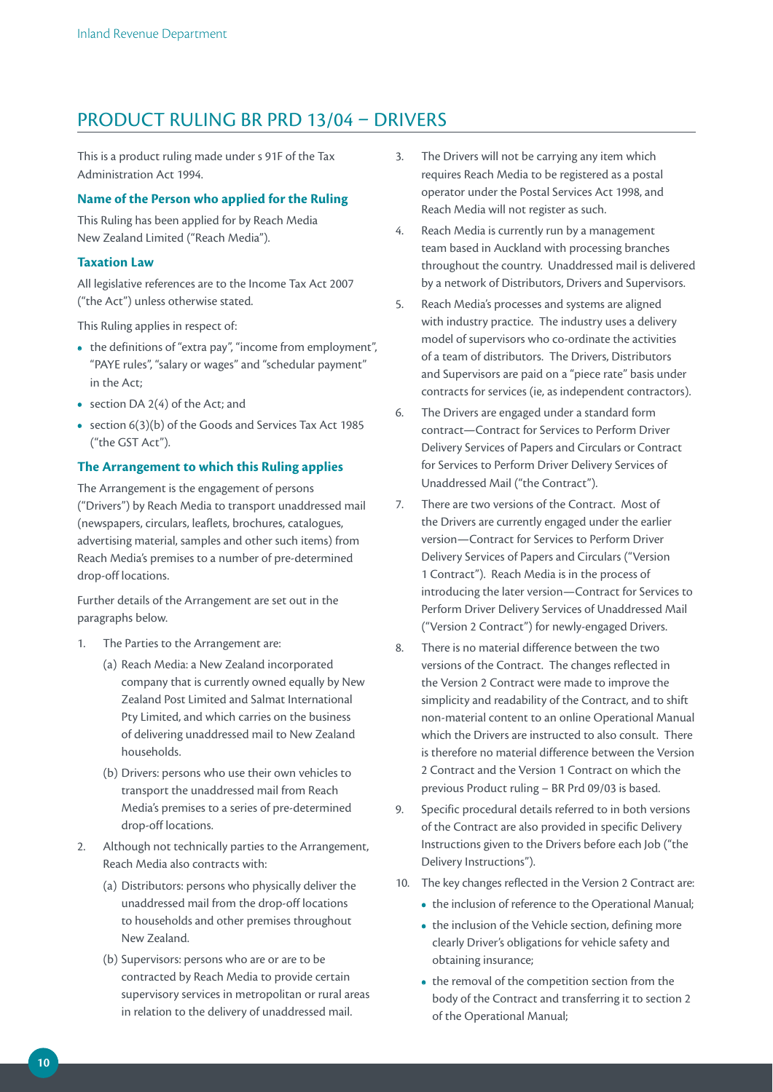# PRODUCT RULING BR PRD 13/04 – DRIVERS

This is a product ruling made under s 91F of the Tax Administration Act 1994.

## **Name of the Person who applied for the Ruling**

This Ruling has been applied for by Reach Media New Zealand Limited ("Reach Media").

## **Taxation Law**

All legislative references are to the Income Tax Act 2007 ("the Act") unless otherwise stated.

This Ruling applies in respect of:

- **•** the definitions of "extra pay", "income from employment", "PAYE rules", "salary or wages" and "schedular payment" in the Act;
- **•** section DA 2(4) of the Act; and
- **•** section 6(3)(b) of the Goods and Services Tax Act 1985 ("the GST Act").

# **The Arrangement to which this Ruling applies**

The Arrangement is the engagement of persons ("Drivers") by Reach Media to transport unaddressed mail (newspapers, circulars, leaflets, brochures, catalogues, advertising material, samples and other such items) from Reach Media's premises to a number of pre-determined drop-off locations.

Further details of the Arrangement are set out in the paragraphs below.

- 1. The Parties to the Arrangement are:
	- (a) Reach Media: a New Zealand incorporated company that is currently owned equally by New Zealand Post Limited and Salmat International Pty Limited, and which carries on the business of delivering unaddressed mail to New Zealand households.
	- (b) Drivers: persons who use their own vehicles to transport the unaddressed mail from Reach Media's premises to a series of pre-determined drop-off locations.
- 2. Although not technically parties to the Arrangement, Reach Media also contracts with:
	- (a) Distributors: persons who physically deliver the unaddressed mail from the drop-off locations to households and other premises throughout New Zealand.
	- (b) Supervisors: persons who are or are to be contracted by Reach Media to provide certain supervisory services in metropolitan or rural areas in relation to the delivery of unaddressed mail.
- 3. The Drivers will not be carrying any item which requires Reach Media to be registered as a postal operator under the Postal Services Act 1998, and Reach Media will not register as such.
- 4. Reach Media is currently run by a management team based in Auckland with processing branches throughout the country. Unaddressed mail is delivered by a network of Distributors, Drivers and Supervisors.
- 5. Reach Media's processes and systems are aligned with industry practice. The industry uses a delivery model of supervisors who co-ordinate the activities of a team of distributors. The Drivers, Distributors and Supervisors are paid on a "piece rate" basis under contracts for services (ie, as independent contractors).
- 6. The Drivers are engaged under a standard form contract—Contract for Services to Perform Driver Delivery Services of Papers and Circulars or Contract for Services to Perform Driver Delivery Services of Unaddressed Mail ("the Contract").
- 7. There are two versions of the Contract. Most of the Drivers are currently engaged under the earlier version—Contract for Services to Perform Driver Delivery Services of Papers and Circulars ("Version 1 Contract"). Reach Media is in the process of introducing the later version—Contract for Services to Perform Driver Delivery Services of Unaddressed Mail ("Version 2 Contract") for newly-engaged Drivers.
- 8. There is no material difference between the two versions of the Contract. The changes reflected in the Version 2 Contract were made to improve the simplicity and readability of the Contract, and to shift non-material content to an online Operational Manual which the Drivers are instructed to also consult. There is therefore no material difference between the Version 2 Contract and the Version 1 Contract on which the previous Product ruling – BR Prd 09/03 is based.
- 9. Specific procedural details referred to in both versions of the Contract are also provided in specific Delivery Instructions given to the Drivers before each Job ("the Delivery Instructions").
- 10. The key changes reflected in the Version 2 Contract are:
	- **•** the inclusion of reference to the Operational Manual;
	- **•** the inclusion of the Vehicle section, defining more clearly Driver's obligations for vehicle safety and obtaining insurance;
	- **•** the removal of the competition section from the body of the Contract and transferring it to section 2 of the Operational Manual;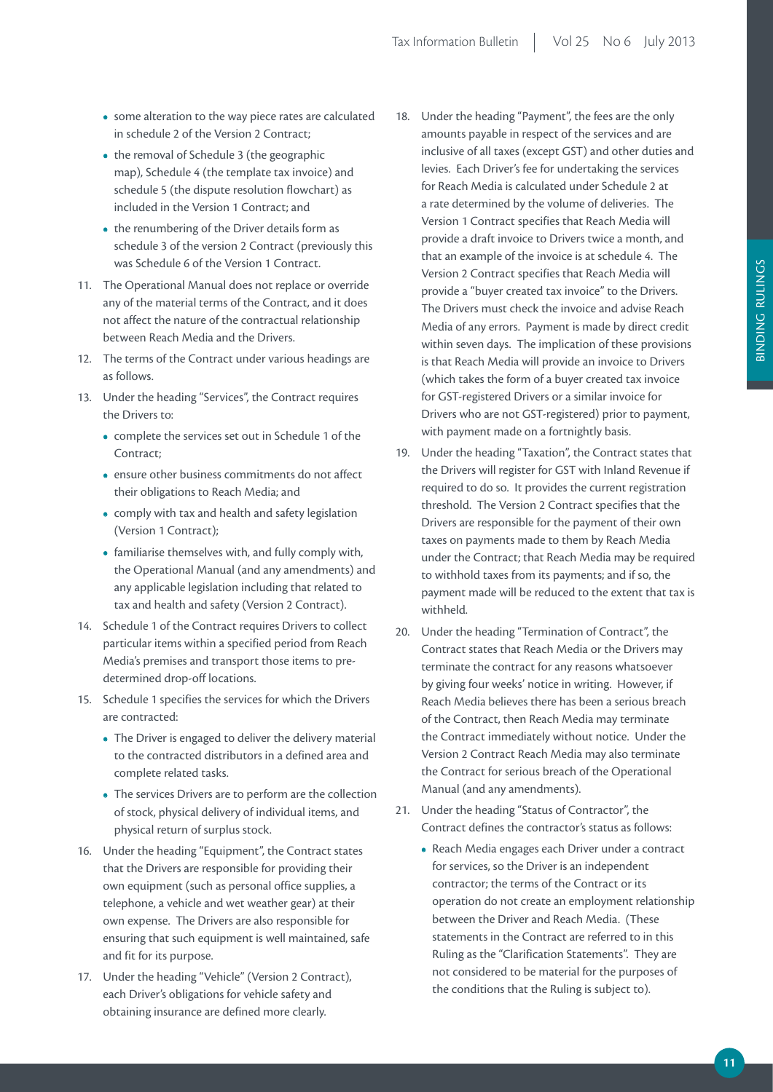- **•** some alteration to the way piece rates are calculated in schedule 2 of the Version 2 Contract;
- **•** the removal of Schedule 3 (the geographic map), Schedule 4 (the template tax invoice) and schedule 5 (the dispute resolution flowchart) as included in the Version 1 Contract; and
- **•** the renumbering of the Driver details form as schedule 3 of the version 2 Contract (previously this was Schedule 6 of the Version 1 Contract.
- 11. The Operational Manual does not replace or override any of the material terms of the Contract, and it does not affect the nature of the contractual relationship between Reach Media and the Drivers.
- 12. The terms of the Contract under various headings are as follows.
- 13. Under the heading "Services", the Contract requires the Drivers to:
	- **•** complete the services set out in Schedule 1 of the Contract;
	- **•** ensure other business commitments do not affect their obligations to Reach Media; and
	- **•** comply with tax and health and safety legislation (Version 1 Contract);
	- **•** familiarise themselves with, and fully comply with, the Operational Manual (and any amendments) and any applicable legislation including that related to tax and health and safety (Version 2 Contract).
- 14. Schedule 1 of the Contract requires Drivers to collect particular items within a specified period from Reach Media's premises and transport those items to predetermined drop-off locations.
- 15. Schedule 1 specifies the services for which the Drivers are contracted:
	- **•** The Driver is engaged to deliver the delivery material to the contracted distributors in a defined area and complete related tasks.
	- **•** The services Drivers are to perform are the collection of stock, physical delivery of individual items, and physical return of surplus stock.
- 16. Under the heading "Equipment", the Contract states that the Drivers are responsible for providing their own equipment (such as personal office supplies, a telephone, a vehicle and wet weather gear) at their own expense. The Drivers are also responsible for ensuring that such equipment is well maintained, safe and fit for its purpose.
- 17. Under the heading "Vehicle" (Version 2 Contract), each Driver's obligations for vehicle safety and obtaining insurance are defined more clearly.
- 18. Under the heading "Payment", the fees are the only amounts payable in respect of the services and are inclusive of all taxes (except GST) and other duties and levies. Each Driver's fee for undertaking the services for Reach Media is calculated under Schedule 2 at a rate determined by the volume of deliveries. The Version 1 Contract specifies that Reach Media will provide a draft invoice to Drivers twice a month, and that an example of the invoice is at schedule 4. The Version 2 Contract specifies that Reach Media will provide a "buyer created tax invoice" to the Drivers. The Drivers must check the invoice and advise Reach Media of any errors. Payment is made by direct credit within seven days. The implication of these provisions is that Reach Media will provide an invoice to Drivers (which takes the form of a buyer created tax invoice for GST-registered Drivers or a similar invoice for Drivers who are not GST-registered) prior to payment, with payment made on a fortnightly basis.
- 19. Under the heading "Taxation", the Contract states that the Drivers will register for GST with Inland Revenue if required to do so. It provides the current registration threshold. The Version 2 Contract specifies that the Drivers are responsible for the payment of their own taxes on payments made to them by Reach Media under the Contract; that Reach Media may be required to withhold taxes from its payments; and if so, the payment made will be reduced to the extent that tax is withheld.
- 20. Under the heading "Termination of Contract", the Contract states that Reach Media or the Drivers may terminate the contract for any reasons whatsoever by giving four weeks' notice in writing. However, if Reach Media believes there has been a serious breach of the Contract, then Reach Media may terminate the Contract immediately without notice. Under the Version 2 Contract Reach Media may also terminate the Contract for serious breach of the Operational Manual (and any amendments).
- 21. Under the heading "Status of Contractor", the Contract defines the contractor's status as follows:
	- **•** Reach Media engages each Driver under a contract for services, so the Driver is an independent contractor; the terms of the Contract or its operation do not create an employment relationship between the Driver and Reach Media. (These statements in the Contract are referred to in this Ruling as the "Clarification Statements". They are not considered to be material for the purposes of the conditions that the Ruling is subject to).

**11**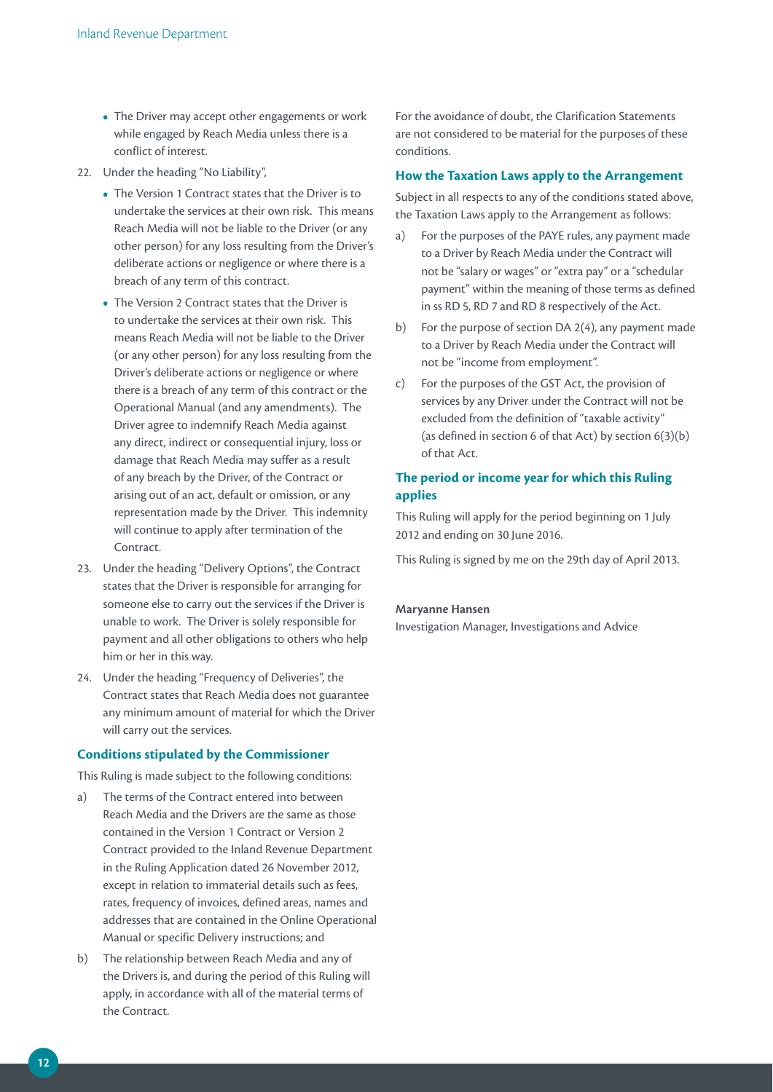- **•** The Driver may accept other engagements or work while engaged by Reach Media unless there is a conflict of interest.
- 22. Under the heading "No Liability",
	- **•** The Version 1 Contract states that the Driver is to undertake the services at their own risk. This means Reach Media will not be liable to the Driver (or any other person) for any loss resulting from the Driver's deliberate actions or negligence or where there is a breach of any term of this contract.
	- **•** The Version 2 Contract states that the Driver is to undertake the services at their own risk. This means Reach Media will not be liable to the Driver (or any other person) for any loss resulting from the Driver's deliberate actions or negligence or where there is a breach of any term of this contract or the Operational Manual (and any amendments). The Driver agree to indemnify Reach Media against any direct, indirect or consequential injury, loss or damage that Reach Media may suffer as a result of any breach by the Driver, of the Contract or arising out of an act, default or omission, or any representation made by the Driver. This indemnity will continue to apply after termination of the Contract.
- 23. Under the heading "Delivery Options", the Contract states that the Driver is responsible for arranging for someone else to carry out the services if the Driver is unable to work. The Driver is solely responsible for payment and all other obligations to others who help him or her in this way.
- 24. Under the heading "Frequency of Deliveries", the Contract states that Reach Media does not guarantee any minimum amount of material for which the Driver will carry out the services.

## **Conditions stipulated by the Commissioner**

This Ruling is made subject to the following conditions:

- a) The terms of the Contract entered into between Reach Media and the Drivers are the same as those contained in the Version 1 Contract or Version 2 Contract provided to the Inland Revenue Department in the Ruling Application dated 26 November 2012, except in relation to immaterial details such as fees, rates, frequency of invoices, defined areas, names and addresses that are contained in the Online Operational Manual or specific Delivery instructions; and
- b) The relationship between Reach Media and any of the Drivers is, and during the period of this Ruling will apply, in accordance with all of the material terms of the Contract.

For the avoidance of doubt, the Clarification Statements are not considered to be material for the purposes of these conditions.

#### **How the Taxation Laws apply to the Arrangement**

Subject in all respects to any of the conditions stated above, the Taxation Laws apply to the Arrangement as follows:

- a) For the purposes of the PAYE rules, any payment made to a Driver by Reach Media under the Contract will not be "salary or wages" or "extra pay" or a "schedular payment" within the meaning of those terms as defined in ss RD 5, RD 7 and RD 8 respectively of the Act.
- b) For the purpose of section DA 2(4), any payment made to a Driver by Reach Media under the Contract will not be "income from employment".
- c) For the purposes of the GST Act, the provision of services by any Driver under the Contract will not be excluded from the definition of "taxable activity" (as defined in section 6 of that Act) by section 6(3)(b) of that Act.

# **The period or income year for which this Ruling applies**

This Ruling will apply for the period beginning on 1 July 2012 and ending on 30 June 2016.

This Ruling is signed by me on the 29th day of April 2013.

#### **Maryanne Hansen**

Investigation Manager, Investigations and Advice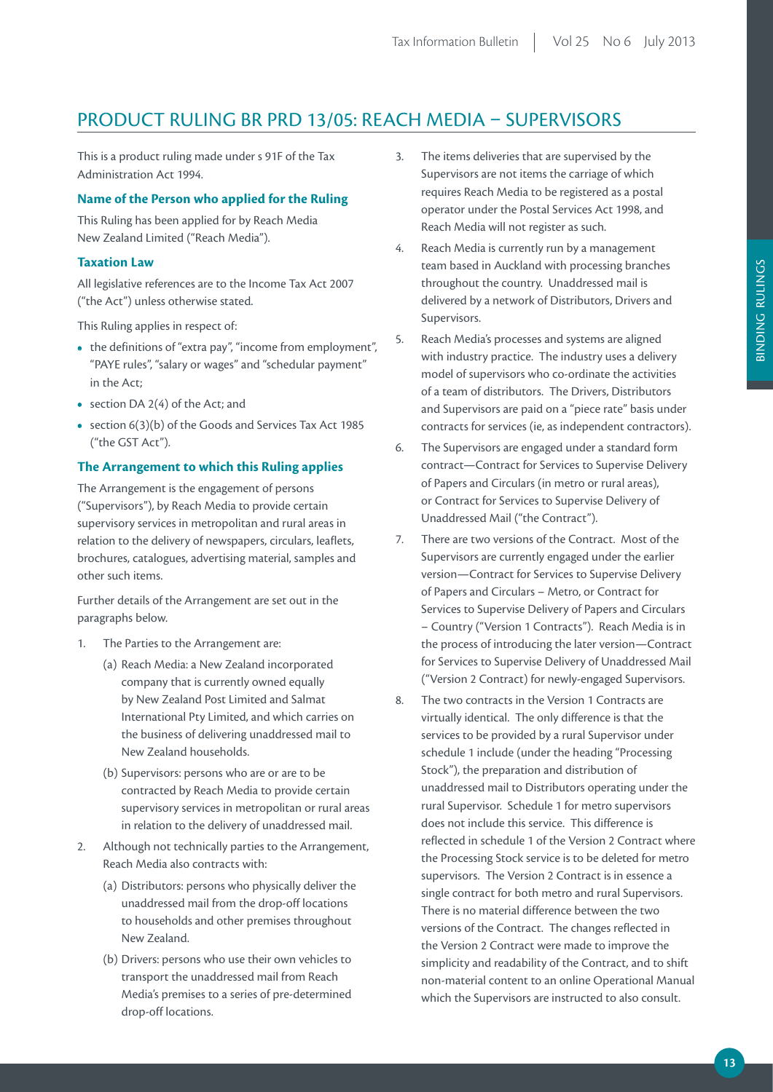# PRODUCT RULING BR PRD 13/05: REACH MEDIA – SUPERVISORS

This is a product ruling made under s 91F of the Tax Administration Act 1994.

## **Name of the Person who applied for the Ruling**

This Ruling has been applied for by Reach Media New Zealand Limited ("Reach Media").

# **Taxation Law**

All legislative references are to the Income Tax Act 2007 ("the Act") unless otherwise stated.

This Ruling applies in respect of:

- **•** the definitions of "extra pay", "income from employment", "PAYE rules", "salary or wages" and "schedular payment" in the Act;
- **•** section DA 2(4) of the Act; and
- **•** section 6(3)(b) of the Goods and Services Tax Act 1985 ("the GST Act").

# **The Arrangement to which this Ruling applies**

The Arrangement is the engagement of persons ("Supervisors"), by Reach Media to provide certain supervisory services in metropolitan and rural areas in relation to the delivery of newspapers, circulars, leaflets, brochures, catalogues, advertising material, samples and other such items.

Further details of the Arrangement are set out in the paragraphs below.

- 1. The Parties to the Arrangement are:
	- (a) Reach Media: a New Zealand incorporated company that is currently owned equally by New Zealand Post Limited and Salmat International Pty Limited, and which carries on the business of delivering unaddressed mail to New Zealand households.
	- (b) Supervisors: persons who are or are to be contracted by Reach Media to provide certain supervisory services in metropolitan or rural areas in relation to the delivery of unaddressed mail.
- 2. Although not technically parties to the Arrangement, Reach Media also contracts with:
	- (a) Distributors: persons who physically deliver the unaddressed mail from the drop-off locations to households and other premises throughout New Zealand.
	- (b) Drivers: persons who use their own vehicles to transport the unaddressed mail from Reach Media's premises to a series of pre-determined drop-off locations.
- 3. The items deliveries that are supervised by the Supervisors are not items the carriage of which requires Reach Media to be registered as a postal operator under the Postal Services Act 1998, and Reach Media will not register as such.
- 4. Reach Media is currently run by a management team based in Auckland with processing branches throughout the country. Unaddressed mail is delivered by a network of Distributors, Drivers and Supervisors.
- 5. Reach Media's processes and systems are aligned with industry practice. The industry uses a delivery model of supervisors who co-ordinate the activities of a team of distributors. The Drivers, Distributors and Supervisors are paid on a "piece rate" basis under contracts for services (ie, as independent contractors).
- 6. The Supervisors are engaged under a standard form contract—Contract for Services to Supervise Delivery of Papers and Circulars (in metro or rural areas), or Contract for Services to Supervise Delivery of Unaddressed Mail ("the Contract").
- 7. There are two versions of the Contract. Most of the Supervisors are currently engaged under the earlier version—Contract for Services to Supervise Delivery of Papers and Circulars – Metro, or Contract for Services to Supervise Delivery of Papers and Circulars – Country ("Version 1 Contracts"). Reach Media is in the process of introducing the later version—Contract for Services to Supervise Delivery of Unaddressed Mail ("Version 2 Contract) for newly-engaged Supervisors.
- 8. The two contracts in the Version 1 Contracts are virtually identical. The only difference is that the services to be provided by a rural Supervisor under schedule 1 include (under the heading "Processing Stock"), the preparation and distribution of unaddressed mail to Distributors operating under the rural Supervisor. Schedule 1 for metro supervisors does not include this service. This difference is reflected in schedule 1 of the Version 2 Contract where the Processing Stock service is to be deleted for metro supervisors. The Version 2 Contract is in essence a single contract for both metro and rural Supervisors. There is no material difference between the two versions of the Contract. The changes reflected in the Version 2 Contract were made to improve the simplicity and readability of the Contract, and to shift non-material content to an online Operational Manual which the Supervisors are instructed to also consult.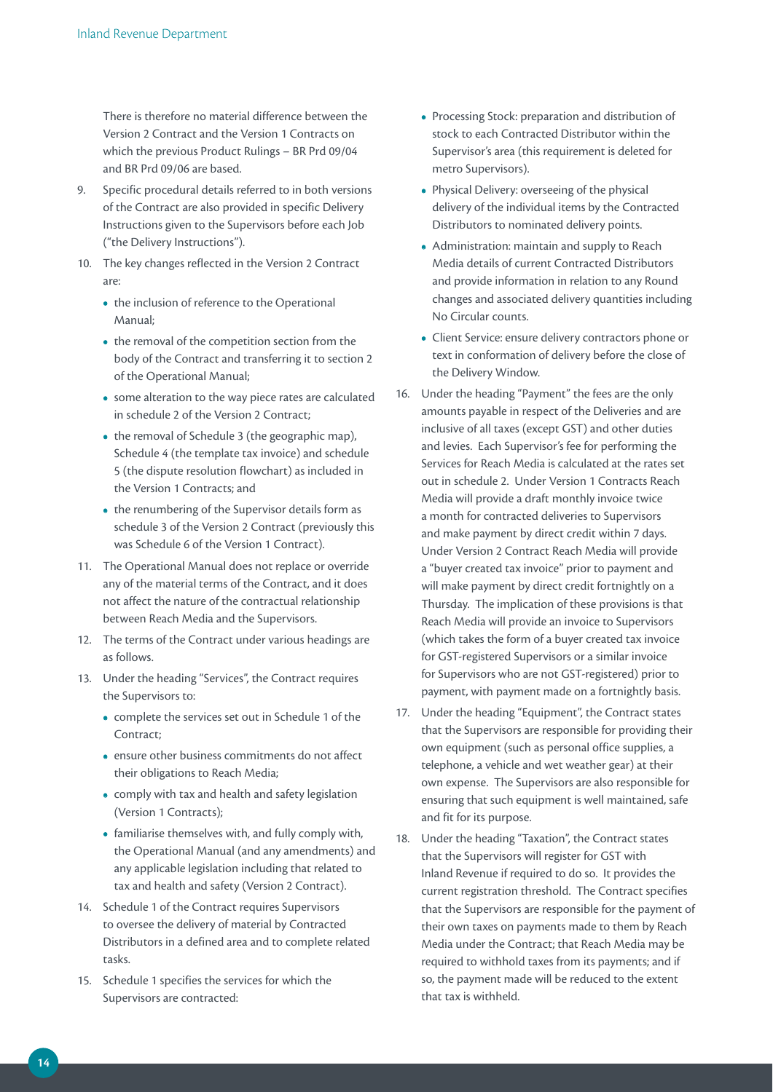There is therefore no material difference between the Version 2 Contract and the Version 1 Contracts on which the previous Product Rulings – BR Prd 09/04 and BR Prd 09/06 are based.

- 9. Specific procedural details referred to in both versions of the Contract are also provided in specific Delivery Instructions given to the Supervisors before each Job ("the Delivery Instructions").
- 10. The key changes reflected in the Version 2 Contract are:
	- **•** the inclusion of reference to the Operational Manual;
	- **•** the removal of the competition section from the body of the Contract and transferring it to section 2 of the Operational Manual;
	- **•** some alteration to the way piece rates are calculated in schedule 2 of the Version 2 Contract;
	- **•** the removal of Schedule 3 (the geographic map), Schedule 4 (the template tax invoice) and schedule 5 (the dispute resolution flowchart) as included in the Version 1 Contracts; and
	- **•** the renumbering of the Supervisor details form as schedule 3 of the Version 2 Contract (previously this was Schedule 6 of the Version 1 Contract).
- 11. The Operational Manual does not replace or override any of the material terms of the Contract, and it does not affect the nature of the contractual relationship between Reach Media and the Supervisors.
- 12. The terms of the Contract under various headings are as follows.
- 13. Under the heading "Services", the Contract requires the Supervisors to:
	- **•** complete the services set out in Schedule 1 of the Contract;
	- **•** ensure other business commitments do not affect their obligations to Reach Media;
	- **•** comply with tax and health and safety legislation (Version 1 Contracts);
	- **•** familiarise themselves with, and fully comply with, the Operational Manual (and any amendments) and any applicable legislation including that related to tax and health and safety (Version 2 Contract).
- 14. Schedule 1 of the Contract requires Supervisors to oversee the delivery of material by Contracted Distributors in a defined area and to complete related tasks.
- 15. Schedule 1 specifies the services for which the Supervisors are contracted:
- **•** Processing Stock: preparation and distribution of stock to each Contracted Distributor within the Supervisor's area (this requirement is deleted for metro Supervisors).
- **•** Physical Delivery: overseeing of the physical delivery of the individual items by the Contracted Distributors to nominated delivery points.
- **•** Administration: maintain and supply to Reach Media details of current Contracted Distributors and provide information in relation to any Round changes and associated delivery quantities including No Circular counts.
- **•** Client Service: ensure delivery contractors phone or text in conformation of delivery before the close of the Delivery Window.
- 16. Under the heading "Payment" the fees are the only amounts payable in respect of the Deliveries and are inclusive of all taxes (except GST) and other duties and levies. Each Supervisor's fee for performing the Services for Reach Media is calculated at the rates set out in schedule 2. Under Version 1 Contracts Reach Media will provide a draft monthly invoice twice a month for contracted deliveries to Supervisors and make payment by direct credit within 7 days. Under Version 2 Contract Reach Media will provide a "buyer created tax invoice" prior to payment and will make payment by direct credit fortnightly on a Thursday. The implication of these provisions is that Reach Media will provide an invoice to Supervisors (which takes the form of a buyer created tax invoice for GST-registered Supervisors or a similar invoice for Supervisors who are not GST-registered) prior to payment, with payment made on a fortnightly basis.
- 17. Under the heading "Equipment", the Contract states that the Supervisors are responsible for providing their own equipment (such as personal office supplies, a telephone, a vehicle and wet weather gear) at their own expense. The Supervisors are also responsible for ensuring that such equipment is well maintained, safe and fit for its purpose.
- 18. Under the heading "Taxation", the Contract states that the Supervisors will register for GST with Inland Revenue if required to do so. It provides the current registration threshold. The Contract specifies that the Supervisors are responsible for the payment of their own taxes on payments made to them by Reach Media under the Contract; that Reach Media may be required to withhold taxes from its payments; and if so, the payment made will be reduced to the extent that tax is withheld.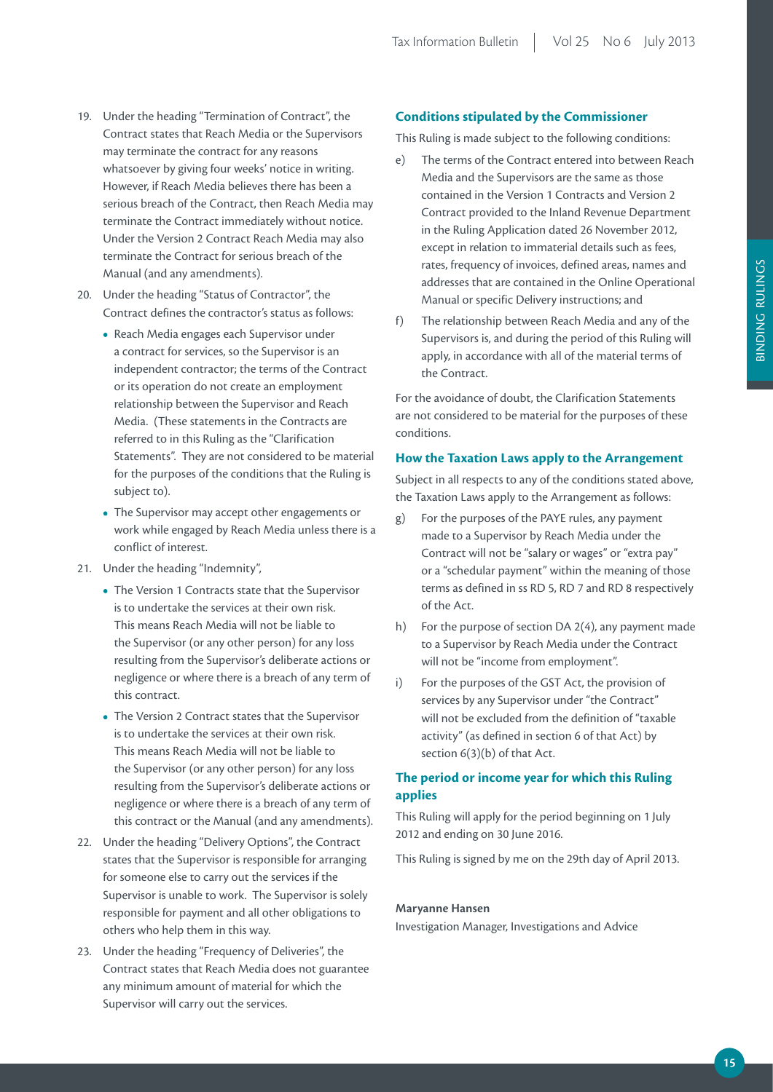- 19. Under the heading "Termination of Contract", the Contract states that Reach Media or the Supervisors may terminate the contract for any reasons whatsoever by giving four weeks' notice in writing. However, if Reach Media believes there has been a serious breach of the Contract, then Reach Media may terminate the Contract immediately without notice. Under the Version 2 Contract Reach Media may also terminate the Contract for serious breach of the Manual (and any amendments).
- 20. Under the heading "Status of Contractor", the Contract defines the contractor's status as follows:
	- **•** Reach Media engages each Supervisor under a contract for services, so the Supervisor is an independent contractor; the terms of the Contract or its operation do not create an employment relationship between the Supervisor and Reach Media. (These statements in the Contracts are referred to in this Ruling as the "Clarification Statements". They are not considered to be material for the purposes of the conditions that the Ruling is subject to).
	- **•** The Supervisor may accept other engagements or work while engaged by Reach Media unless there is a conflict of interest.
- 21. Under the heading "Indemnity",
	- **•** The Version 1 Contracts state that the Supervisor is to undertake the services at their own risk. This means Reach Media will not be liable to the Supervisor (or any other person) for any loss resulting from the Supervisor's deliberate actions or negligence or where there is a breach of any term of this contract.
	- **•** The Version 2 Contract states that the Supervisor is to undertake the services at their own risk. This means Reach Media will not be liable to the Supervisor (or any other person) for any loss resulting from the Supervisor's deliberate actions or negligence or where there is a breach of any term of this contract or the Manual (and any amendments).
- 22. Under the heading "Delivery Options", the Contract states that the Supervisor is responsible for arranging for someone else to carry out the services if the Supervisor is unable to work. The Supervisor is solely responsible for payment and all other obligations to others who help them in this way.
- 23. Under the heading "Frequency of Deliveries", the Contract states that Reach Media does not guarantee any minimum amount of material for which the Supervisor will carry out the services.

#### **Conditions stipulated by the Commissioner**

This Ruling is made subject to the following conditions:

- e) The terms of the Contract entered into between Reach Media and the Supervisors are the same as those contained in the Version 1 Contracts and Version 2 Contract provided to the Inland Revenue Department in the Ruling Application dated 26 November 2012, except in relation to immaterial details such as fees, rates, frequency of invoices, defined areas, names and addresses that are contained in the Online Operational Manual or specific Delivery instructions; and
- f) The relationship between Reach Media and any of the Supervisors is, and during the period of this Ruling will apply, in accordance with all of the material terms of the Contract.

For the avoidance of doubt, the Clarification Statements are not considered to be material for the purposes of these conditions.

#### **How the Taxation Laws apply to the Arrangement**

Subject in all respects to any of the conditions stated above, the Taxation Laws apply to the Arrangement as follows:

- g) For the purposes of the PAYE rules, any payment made to a Supervisor by Reach Media under the Contract will not be "salary or wages" or "extra pay" or a "schedular payment" within the meaning of those terms as defined in ss RD 5, RD 7 and RD 8 respectively of the Act.
- h) For the purpose of section DA 2(4), any payment made to a Supervisor by Reach Media under the Contract will not be "income from employment".
- i) For the purposes of the GST Act, the provision of services by any Supervisor under "the Contract" will not be excluded from the definition of "taxable activity" (as defined in section 6 of that Act) by section 6(3)(b) of that Act.

# **The period or income year for which this Ruling applies**

This Ruling will apply for the period beginning on 1 July 2012 and ending on 30 June 2016.

This Ruling is signed by me on the 29th day of April 2013.

#### **Maryanne Hansen**

Investigation Manager, Investigations and Advice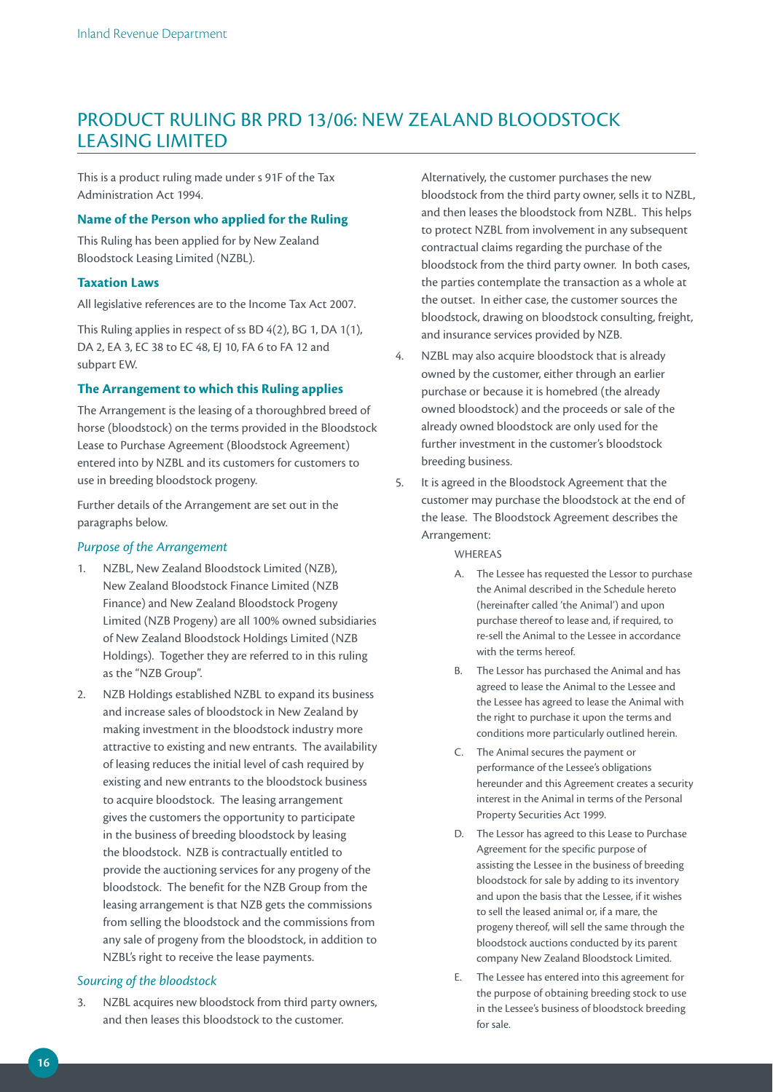# PRODUCT RULING BR PRD 13/06: NEW ZEALAND BLOODSTOCK LEASING LIMITED

This is a product ruling made under s 91F of the Tax Administration Act 1994.

# **Name of the Person who applied for the Ruling**

This Ruling has been applied for by New Zealand Bloodstock Leasing Limited (NZBL).

# **Taxation Laws**

All legislative references are to the Income Tax Act 2007.

This Ruling applies in respect of ss BD 4(2), BG 1, DA 1(1), DA 2, EA 3, EC 38 to EC 48, EJ 10, FA 6 to FA 12 and subpart EW.

# **The Arrangement to which this Ruling applies**

The Arrangement is the leasing of a thoroughbred breed of horse (bloodstock) on the terms provided in the Bloodstock Lease to Purchase Agreement (Bloodstock Agreement) entered into by NZBL and its customers for customers to use in breeding bloodstock progeny.

Further details of the Arrangement are set out in the paragraphs below.

# *Purpose of the Arrangement*

- 1. NZBL, New Zealand Bloodstock Limited (NZB), New Zealand Bloodstock Finance Limited (NZB Finance) and New Zealand Bloodstock Progeny Limited (NZB Progeny) are all 100% owned subsidiaries of New Zealand Bloodstock Holdings Limited (NZB Holdings). Together they are referred to in this ruling as the "NZB Group".
- 2. NZB Holdings established NZBL to expand its business and increase sales of bloodstock in New Zealand by making investment in the bloodstock industry more attractive to existing and new entrants. The availability of leasing reduces the initial level of cash required by existing and new entrants to the bloodstock business to acquire bloodstock. The leasing arrangement gives the customers the opportunity to participate in the business of breeding bloodstock by leasing the bloodstock. NZB is contractually entitled to provide the auctioning services for any progeny of the bloodstock. The benefit for the NZB Group from the leasing arrangement is that NZB gets the commissions from selling the bloodstock and the commissions from any sale of progeny from the bloodstock, in addition to NZBL's right to receive the lease payments.

# *Sourcing of the bloodstock*

3. NZBL acquires new bloodstock from third party owners, and then leases this bloodstock to the customer.

Alternatively, the customer purchases the new bloodstock from the third party owner, sells it to NZBL, and then leases the bloodstock from NZBL. This helps to protect NZBL from involvement in any subsequent contractual claims regarding the purchase of the bloodstock from the third party owner. In both cases, the parties contemplate the transaction as a whole at the outset. In either case, the customer sources the bloodstock, drawing on bloodstock consulting, freight, and insurance services provided by NZB.

- 4. NZBL may also acquire bloodstock that is already owned by the customer, either through an earlier purchase or because it is homebred (the already owned bloodstock) and the proceeds or sale of the already owned bloodstock are only used for the further investment in the customer's bloodstock breeding business.
- 5. It is agreed in the Bloodstock Agreement that the customer may purchase the bloodstock at the end of the lease. The Bloodstock Agreement describes the Arrangement:

WHEREAS

- A. The Lessee has requested the Lessor to purchase the Animal described in the Schedule hereto (hereinafter called 'the Animal') and upon purchase thereof to lease and, if required, to re-sell the Animal to the Lessee in accordance with the terms hereof.
- B. The Lessor has purchased the Animal and has agreed to lease the Animal to the Lessee and the Lessee has agreed to lease the Animal with the right to purchase it upon the terms and conditions more particularly outlined herein.
- C. The Animal secures the payment or performance of the Lessee's obligations hereunder and this Agreement creates a security interest in the Animal in terms of the Personal Property Securities Act 1999.
- D. The Lessor has agreed to this Lease to Purchase Agreement for the specific purpose of assisting the Lessee in the business of breeding bloodstock for sale by adding to its inventory and upon the basis that the Lessee, if it wishes to sell the leased animal or, if a mare, the progeny thereof, will sell the same through the bloodstock auctions conducted by its parent company New Zealand Bloodstock Limited.
- E. The Lessee has entered into this agreement for the purpose of obtaining breeding stock to use in the Lessee's business of bloodstock breeding for sale.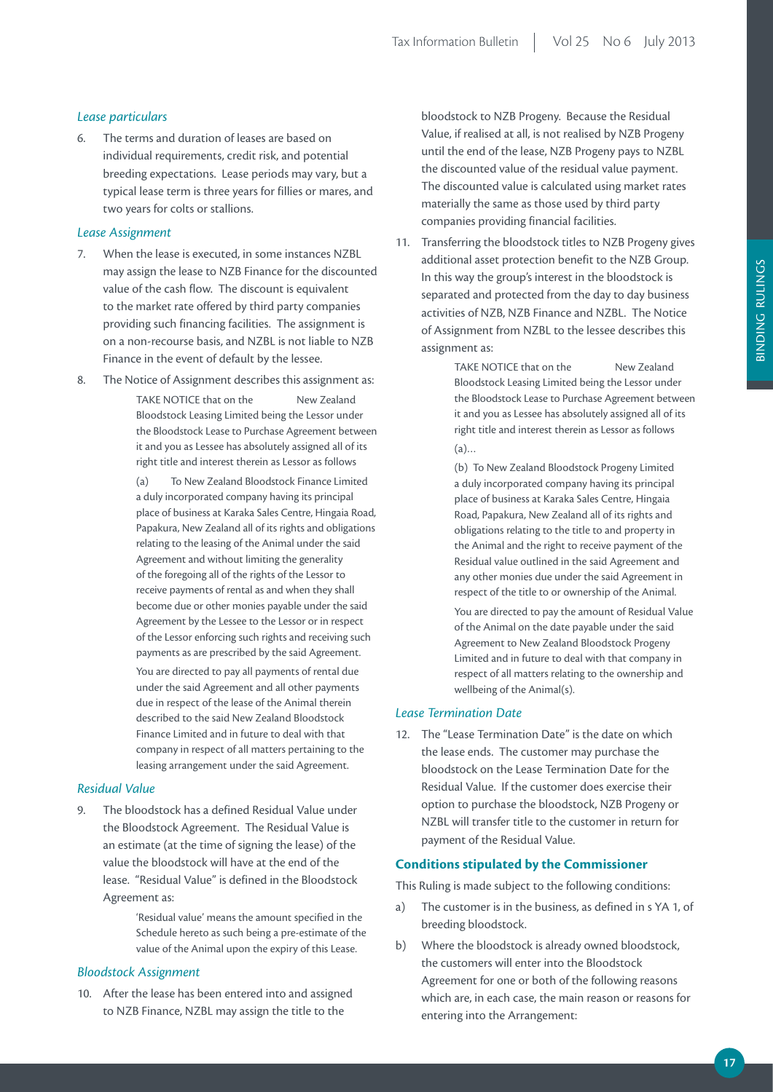# *Lease particulars*

6. The terms and duration of leases are based on individual requirements, credit risk, and potential breeding expectations. Lease periods may vary, but a typical lease term is three years for fillies or mares, and two years for colts or stallions.

# *Lease Assignment*

- 7. When the lease is executed, in some instances NZBL may assign the lease to NZB Finance for the discounted value of the cash flow. The discount is equivalent to the market rate offered by third party companies providing such financing facilities. The assignment is on a non-recourse basis, and NZBL is not liable to NZB Finance in the event of default by the lessee.
- 8. The Notice of Assignment describes this assignment as:

TAKE NOTICE that on the New Zealand Bloodstock Leasing Limited being the Lessor under the Bloodstock Lease to Purchase Agreement between it and you as Lessee has absolutely assigned all of its right title and interest therein as Lessor as follows

(a) To New Zealand Bloodstock Finance Limited a duly incorporated company having its principal place of business at Karaka Sales Centre, Hingaia Road, Papakura, New Zealand all of its rights and obligations relating to the leasing of the Animal under the said Agreement and without limiting the generality of the foregoing all of the rights of the Lessor to receive payments of rental as and when they shall become due or other monies payable under the said Agreement by the Lessee to the Lessor or in respect of the Lessor enforcing such rights and receiving such payments as are prescribed by the said Agreement.

You are directed to pay all payments of rental due under the said Agreement and all other payments due in respect of the lease of the Animal therein described to the said New Zealand Bloodstock Finance Limited and in future to deal with that company in respect of all matters pertaining to the leasing arrangement under the said Agreement.

# *Residual Value*

9. The bloodstock has a defined Residual Value under the Bloodstock Agreement. The Residual Value is an estimate (at the time of signing the lease) of the value the bloodstock will have at the end of the lease. "Residual Value" is defined in the Bloodstock Agreement as:

> 'Residual value' means the amount specified in the Schedule hereto as such being a pre-estimate of the value of the Animal upon the expiry of this Lease.

# *Bloodstock Assignment*

10. After the lease has been entered into and assigned to NZB Finance, NZBL may assign the title to the

bloodstock to NZB Progeny. Because the Residual Value, if realised at all, is not realised by NZB Progeny until the end of the lease, NZB Progeny pays to NZBL the discounted value of the residual value payment. The discounted value is calculated using market rates materially the same as those used by third party companies providing financial facilities.

11. Transferring the bloodstock titles to NZB Progeny gives additional asset protection benefit to the NZB Group. In this way the group's interest in the bloodstock is separated and protected from the day to day business activities of NZB, NZB Finance and NZBL. The Notice of Assignment from NZBL to the lessee describes this assignment as:

> TAKE NOTICE that on the New Zealand Bloodstock Leasing Limited being the Lessor under the Bloodstock Lease to Purchase Agreement between it and you as Lessee has absolutely assigned all of its right title and interest therein as Lessor as follows (a)…

(b) To New Zealand Bloodstock Progeny Limited a duly incorporated company having its principal place of business at Karaka Sales Centre, Hingaia Road, Papakura, New Zealand all of its rights and obligations relating to the title to and property in the Animal and the right to receive payment of the Residual value outlined in the said Agreement and any other monies due under the said Agreement in respect of the title to or ownership of the Animal.

You are directed to pay the amount of Residual Value of the Animal on the date payable under the said Agreement to New Zealand Bloodstock Progeny Limited and in future to deal with that company in respect of all matters relating to the ownership and wellbeing of the Animal(s).

#### *Lease Termination Date*

12. The "Lease Termination Date" is the date on which the lease ends. The customer may purchase the bloodstock on the Lease Termination Date for the Residual Value. If the customer does exercise their option to purchase the bloodstock, NZB Progeny or NZBL will transfer title to the customer in return for payment of the Residual Value.

#### **Conditions stipulated by the Commissioner**

This Ruling is made subject to the following conditions:

- a) The customer is in the business, as defined in s YA 1, of breeding bloodstock.
- b) Where the bloodstock is already owned bloodstock, the customers will enter into the Bloodstock Agreement for one or both of the following reasons which are, in each case, the main reason or reasons for entering into the Arrangement: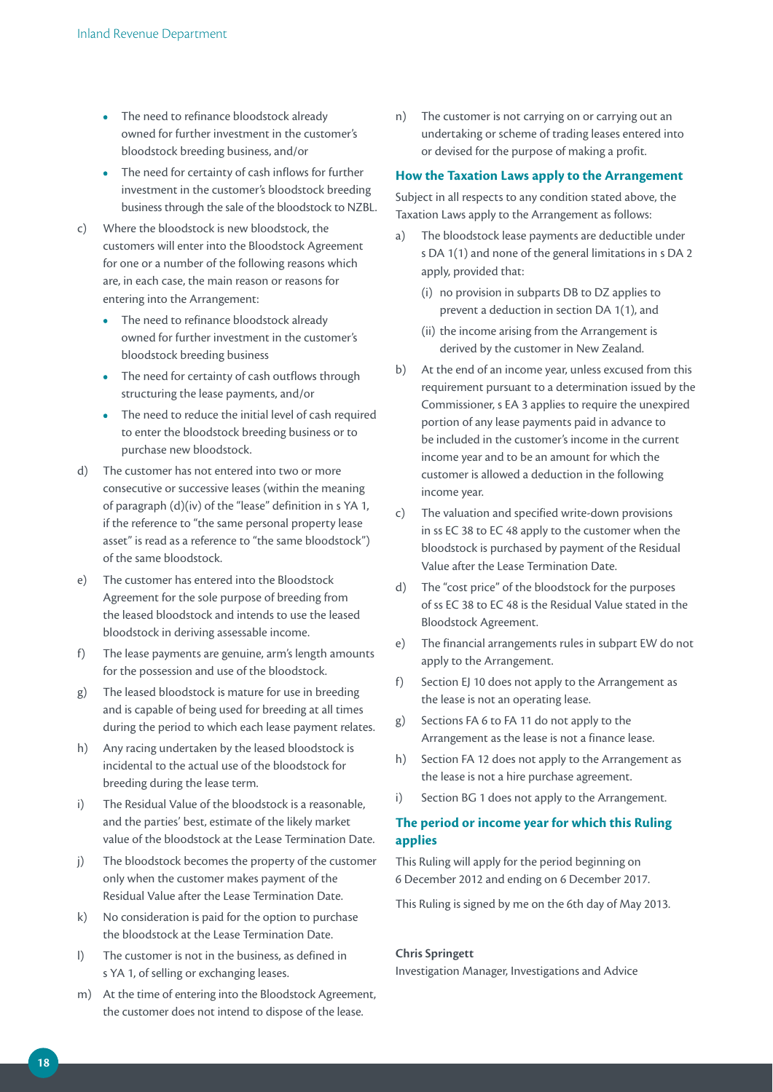- **•** The need to refinance bloodstock already owned for further investment in the customer's bloodstock breeding business, and/or
- **•** The need for certainty of cash inflows for further investment in the customer's bloodstock breeding business through the sale of the bloodstock to NZBL.
- c) Where the bloodstock is new bloodstock, the customers will enter into the Bloodstock Agreement for one or a number of the following reasons which are, in each case, the main reason or reasons for entering into the Arrangement:
	- **•** The need to refinance bloodstock already owned for further investment in the customer's bloodstock breeding business
	- **•** The need for certainty of cash outflows through structuring the lease payments, and/or
	- **•** The need to reduce the initial level of cash required to enter the bloodstock breeding business or to purchase new bloodstock.
- d) The customer has not entered into two or more consecutive or successive leases (within the meaning of paragraph (d)(iv) of the "lease" definition in s YA 1, if the reference to "the same personal property lease asset" is read as a reference to "the same bloodstock") of the same bloodstock.
- e) The customer has entered into the Bloodstock Agreement for the sole purpose of breeding from the leased bloodstock and intends to use the leased bloodstock in deriving assessable income.
- f) The lease payments are genuine, arm's length amounts for the possession and use of the bloodstock.
- g) The leased bloodstock is mature for use in breeding and is capable of being used for breeding at all times during the period to which each lease payment relates.
- h) Any racing undertaken by the leased bloodstock is incidental to the actual use of the bloodstock for breeding during the lease term.
- i) The Residual Value of the bloodstock is a reasonable, and the parties' best, estimate of the likely market value of the bloodstock at the Lease Termination Date.
- j) The bloodstock becomes the property of the customer only when the customer makes payment of the Residual Value after the Lease Termination Date.
- k) No consideration is paid for the option to purchase the bloodstock at the Lease Termination Date.
- l) The customer is not in the business, as defined in s YA 1, of selling or exchanging leases.
- m) At the time of entering into the Bloodstock Agreement, the customer does not intend to dispose of the lease.

n) The customer is not carrying on or carrying out an undertaking or scheme of trading leases entered into or devised for the purpose of making a profit.

#### **How the Taxation Laws apply to the Arrangement**

Subject in all respects to any condition stated above, the Taxation Laws apply to the Arrangement as follows:

- a) The bloodstock lease payments are deductible under s DA 1(1) and none of the general limitations in s DA 2 apply, provided that:
	- (i) no provision in subparts DB to DZ applies to prevent a deduction in section DA 1(1), and
	- (ii) the income arising from the Arrangement is derived by the customer in New Zealand.
- b) At the end of an income year, unless excused from this requirement pursuant to a determination issued by the Commissioner, s EA 3 applies to require the unexpired portion of any lease payments paid in advance to be included in the customer's income in the current income year and to be an amount for which the customer is allowed a deduction in the following income year.
- c) The valuation and specified write-down provisions in ss EC 38 to EC 48 apply to the customer when the bloodstock is purchased by payment of the Residual Value after the Lease Termination Date.
- d) The "cost price" of the bloodstock for the purposes of ss EC 38 to EC 48 is the Residual Value stated in the Bloodstock Agreement.
- e) The financial arrangements rules in subpart EW do not apply to the Arrangement.
- f) Section EJ 10 does not apply to the Arrangement as the lease is not an operating lease.
- g) Sections FA 6 to FA 11 do not apply to the Arrangement as the lease is not a finance lease.
- h) Section FA 12 does not apply to the Arrangement as the lease is not a hire purchase agreement.
- i) Section BG 1 does not apply to the Arrangement.

# **The period or income year for which this Ruling applies**

This Ruling will apply for the period beginning on 6 December 2012 and ending on 6 December 2017.

This Ruling is signed by me on the 6th day of May 2013.

# **Chris Springett**

Investigation Manager, Investigations and Advice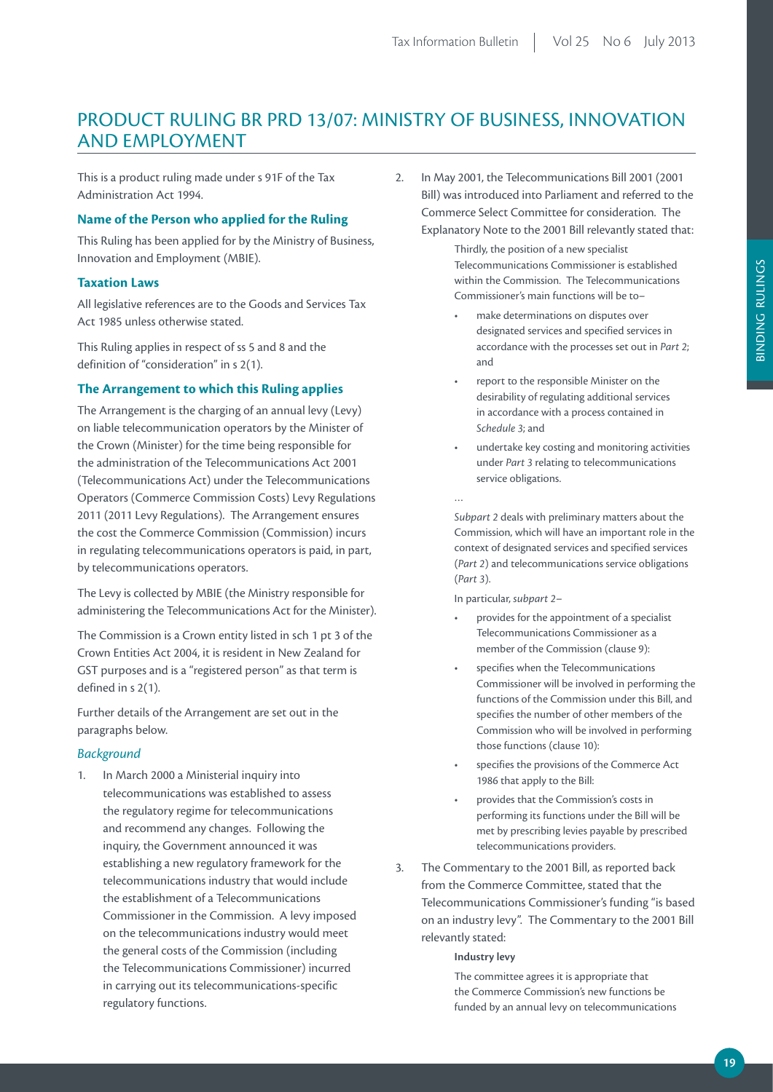# PRODUCT RULING BR PRD 13/07: MINISTRY OF BUSINESS, INNOVATION AND EMPLOYMENT

This is a product ruling made under s 91F of the Tax Administration Act 1994.

# **Name of the Person who applied for the Ruling**

This Ruling has been applied for by the Ministry of Business, Innovation and Employment (MBIE).

#### **Taxation Laws**

All legislative references are to the Goods and Services Tax Act 1985 unless otherwise stated.

This Ruling applies in respect of ss 5 and 8 and the definition of "consideration" in s 2(1).

# **The Arrangement to which this Ruling applies**

The Arrangement is the charging of an annual levy (Levy) on liable telecommunication operators by the Minister of the Crown (Minister) for the time being responsible for the administration of the Telecommunications Act 2001 (Telecommunications Act) under the Telecommunications Operators (Commerce Commission Costs) Levy Regulations 2011 (2011 Levy Regulations). The Arrangement ensures the cost the Commerce Commission (Commission) incurs in regulating telecommunications operators is paid, in part, by telecommunications operators.

The Levy is collected by MBIE (the Ministry responsible for administering the Telecommunications Act for the Minister).

The Commission is a Crown entity listed in sch 1 pt 3 of the Crown Entities Act 2004, it is resident in New Zealand for GST purposes and is a "registered person" as that term is defined in s 2(1).

Further details of the Arrangement are set out in the paragraphs below.

## *Background*

1. In March 2000 a Ministerial inquiry into telecommunications was established to assess the regulatory regime for telecommunications and recommend any changes. Following the inquiry, the Government announced it was establishing a new regulatory framework for the telecommunications industry that would include the establishment of a Telecommunications Commissioner in the Commission. A levy imposed on the telecommunications industry would meet the general costs of the Commission (including the Telecommunications Commissioner) incurred in carrying out its telecommunications-specific regulatory functions.

2. In May 2001, the Telecommunications Bill 2001 (2001 Bill) was introduced into Parliament and referred to the Commerce Select Committee for consideration. The Explanatory Note to the 2001 Bill relevantly stated that:

> Thirdly, the position of a new specialist Telecommunications Commissioner is established within the Commission. The Telecommunications Commissioner's main functions will be to–

- make determinations on disputes over designated services and specified services in accordance with the processes set out in *Part 2*; and
- report to the responsible Minister on the desirability of regulating additional services in accordance with a process contained in *Schedule 3*; and
- undertake key costing and monitoring activities under *Part 3* relating to telecommunications service obligations.

…

*Subpart 2* deals with preliminary matters about the Commission, which will have an important role in the context of designated services and specified services (*Part 2*) and telecommunications service obligations (*Part 3*).

In particular, *subpart 2*–

- provides for the appointment of a specialist Telecommunications Commissioner as a member of the Commission (clause 9):
- specifies when the Telecommunications Commissioner will be involved in performing the functions of the Commission under this Bill, and specifies the number of other members of the Commission who will be involved in performing those functions (clause 10):
- specifies the provisions of the Commerce Act 1986 that apply to the Bill:
- provides that the Commission's costs in performing its functions under the Bill will be met by prescribing levies payable by prescribed telecommunications providers.
- 3. The Commentary to the 2001 Bill, as reported back from the Commerce Committee, stated that the Telecommunications Commissioner's funding "is based on an industry levy". The Commentary to the 2001 Bill relevantly stated:

 **Industry levy**

The committee agrees it is appropriate that the Commerce Commission's new functions be funded by an annual levy on telecommunications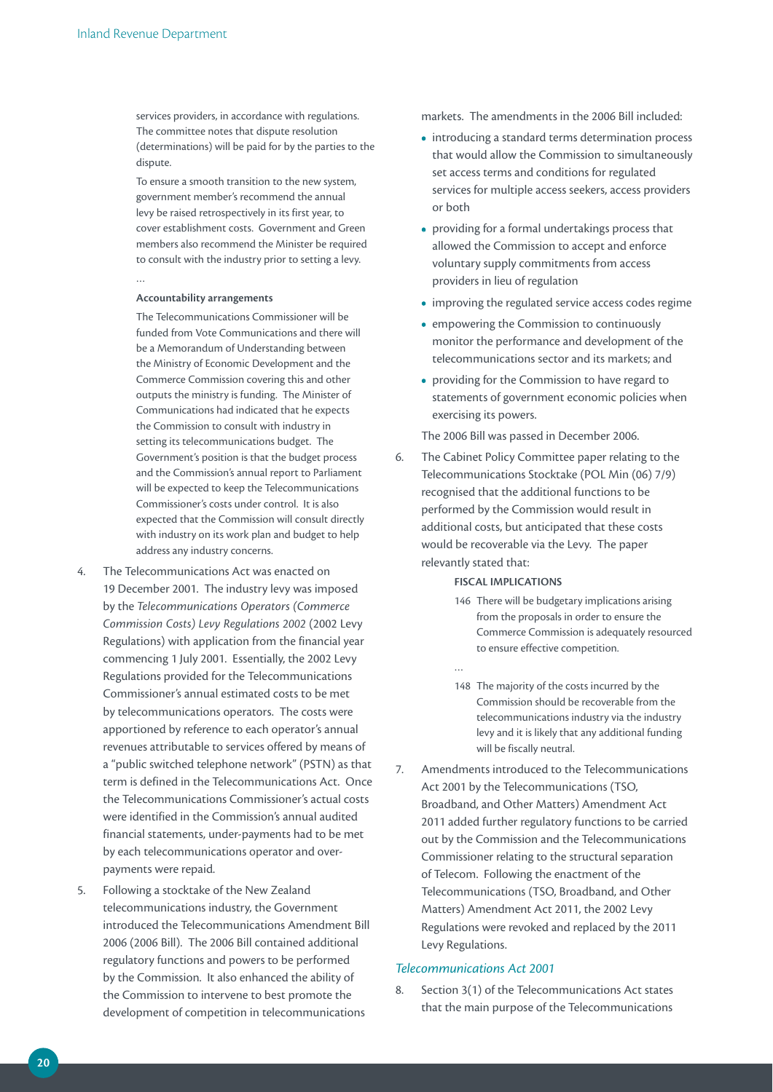services providers, in accordance with regulations. The committee notes that dispute resolution (determinations) will be paid for by the parties to the dispute.

To ensure a smooth transition to the new system, government member's recommend the annual levy be raised retrospectively in its first year, to cover establishment costs. Government and Green members also recommend the Minister be required to consult with the industry prior to setting a levy.

#### …

#### **Accountability arrangements**

The Telecommunications Commissioner will be funded from Vote Communications and there will be a Memorandum of Understanding between the Ministry of Economic Development and the Commerce Commission covering this and other outputs the ministry is funding. The Minister of Communications had indicated that he expects the Commission to consult with industry in setting its telecommunications budget. The Government's position is that the budget process and the Commission's annual report to Parliament will be expected to keep the Telecommunications Commissioner's costs under control. It is also expected that the Commission will consult directly with industry on its work plan and budget to help address any industry concerns.

- 4. The Telecommunications Act was enacted on 19 December 2001. The industry levy was imposed by the *Telecommunications Operators (Commerce Commission Costs) Levy Regulations 2002* (2002 Levy Regulations) with application from the financial year commencing 1 July 2001. Essentially, the 2002 Levy Regulations provided for the Telecommunications Commissioner's annual estimated costs to be met by telecommunications operators. The costs were apportioned by reference to each operator's annual revenues attributable to services offered by means of a "public switched telephone network" (PSTN) as that term is defined in the Telecommunications Act. Once the Telecommunications Commissioner's actual costs were identified in the Commission's annual audited financial statements, under-payments had to be met by each telecommunications operator and overpayments were repaid.
- 5. Following a stocktake of the New Zealand telecommunications industry, the Government introduced the Telecommunications Amendment Bill 2006 (2006 Bill). The 2006 Bill contained additional regulatory functions and powers to be performed by the Commission. It also enhanced the ability of the Commission to intervene to best promote the development of competition in telecommunications

markets. The amendments in the 2006 Bill included:

- **•** introducing a standard terms determination process that would allow the Commission to simultaneously set access terms and conditions for regulated services for multiple access seekers, access providers or both
- **•** providing for a formal undertakings process that allowed the Commission to accept and enforce voluntary supply commitments from access providers in lieu of regulation
- **•** improving the regulated service access codes regime
- **•** empowering the Commission to continuously monitor the performance and development of the telecommunications sector and its markets; and
- **•** providing for the Commission to have regard to statements of government economic policies when exercising its powers.

The 2006 Bill was passed in December 2006.

6. The Cabinet Policy Committee paper relating to the Telecommunications Stocktake (POL Min (06) 7/9) recognised that the additional functions to be performed by the Commission would result in additional costs, but anticipated that these costs would be recoverable via the Levy. The paper relevantly stated that:

#### **FISCAL IMPLICATIONS**

…

- 146 There will be budgetary implications arising from the proposals in order to ensure the Commerce Commission is adequately resourced to ensure effective competition.
- 148 The majority of the costs incurred by the Commission should be recoverable from the telecommunications industry via the industry levy and it is likely that any additional funding will be fiscally neutral.
- 7. Amendments introduced to the Telecommunications Act 2001 by the Telecommunications (TSO, Broadband, and Other Matters) Amendment Act 2011 added further regulatory functions to be carried out by the Commission and the Telecommunications Commissioner relating to the structural separation of Telecom. Following the enactment of the Telecommunications (TSO, Broadband, and Other Matters) Amendment Act 2011, the 2002 Levy Regulations were revoked and replaced by the 2011 Levy Regulations.

#### *Telecommunications Act 2001*

8. Section 3(1) of the Telecommunications Act states that the main purpose of the Telecommunications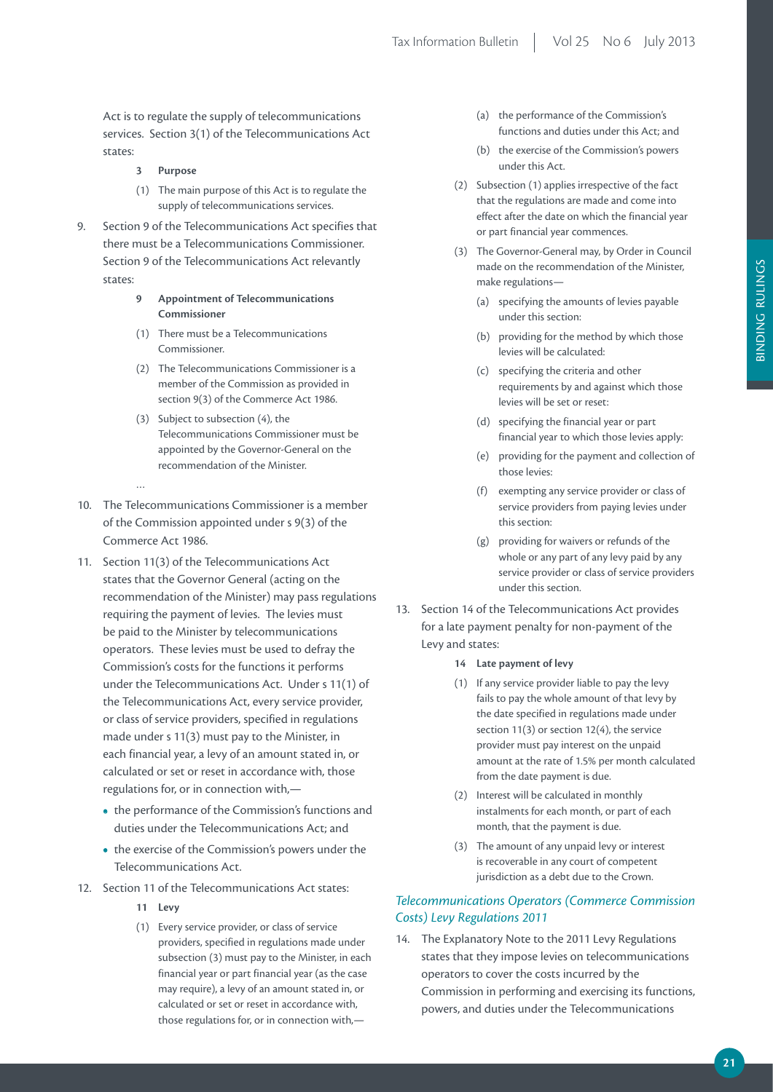Act is to regulate the supply of telecommunications services. Section 3(1) of the Telecommunications Act states:

#### **3 Purpose**

…

- (1) The main purpose of this Act is to regulate the supply of telecommunications services.
- 9. Section 9 of the Telecommunications Act specifies that there must be a Telecommunications Commissioner. Section 9 of the Telecommunications Act relevantly states:
	- **9 Appointment of Telecommunications Commissioner**
	- (1) There must be a Telecommunications Commissioner.
	- (2) The Telecommunications Commissioner is a member of the Commission as provided in section 9(3) of the Commerce Act 1986.
	- (3) Subject to subsection (4), the Telecommunications Commissioner must be appointed by the Governor-General on the recommendation of the Minister.
- 10. The Telecommunications Commissioner is a member of the Commission appointed under s 9(3) of the Commerce Act 1986.
- 11. Section 11(3) of the Telecommunications Act states that the Governor General (acting on the recommendation of the Minister) may pass regulations requiring the payment of levies. The levies must be paid to the Minister by telecommunications operators. These levies must be used to defray the Commission's costs for the functions it performs under the Telecommunications Act. Under s 11(1) of the Telecommunications Act, every service provider, or class of service providers, specified in regulations made under s 11(3) must pay to the Minister, in each financial year, a levy of an amount stated in, or calculated or set or reset in accordance with, those regulations for, or in connection with,—
	- **•** the performance of the Commission's functions and duties under the Telecommunications Act; and
	- **•** the exercise of the Commission's powers under the Telecommunications Act.
- 12. Section 11 of the Telecommunications Act states:

#### **11 Levy**

(1) Every service provider, or class of service providers, specified in regulations made under subsection (3) must pay to the Minister, in each financial year or part financial year (as the case may require), a levy of an amount stated in, or calculated or set or reset in accordance with, those regulations for, or in connection with,—

- (a) the performance of the Commission's functions and duties under this Act; and
- (b) the exercise of the Commission's powers under this Act.
- (2) Subsection (1) applies irrespective of the fact that the regulations are made and come into effect after the date on which the financial year or part financial year commences.
- (3) The Governor-General may, by Order in Council made on the recommendation of the Minister, make regulations—
	- (a) specifying the amounts of levies payable under this section:
	- (b) providing for the method by which those levies will be calculated:
	- (c) specifying the criteria and other requirements by and against which those levies will be set or reset:
	- (d) specifying the financial year or part financial year to which those levies apply:
	- (e) providing for the payment and collection of those levies:
	- (f) exempting any service provider or class of service providers from paying levies under this section:
	- (g) providing for waivers or refunds of the whole or any part of any levy paid by any service provider or class of service providers under this section.
- 13. Section 14 of the Telecommunications Act provides for a late payment penalty for non-payment of the Levy and states:
	- **14 Late payment of levy**
	- (1) If any service provider liable to pay the levy fails to pay the whole amount of that levy by the date specified in regulations made under section 11(3) or section 12(4), the service provider must pay interest on the unpaid amount at the rate of 1.5% per month calculated from the date payment is due.
	- (2) Interest will be calculated in monthly instalments for each month, or part of each month, that the payment is due.
	- (3) The amount of any unpaid levy or interest is recoverable in any court of competent jurisdiction as a debt due to the Crown.

# *Telecommunications Operators (Commerce Commission Costs) Levy Regulations 2011*

14. The Explanatory Note to the 2011 Levy Regulations states that they impose levies on telecommunications operators to cover the costs incurred by the Commission in performing and exercising its functions, powers, and duties under the Telecommunications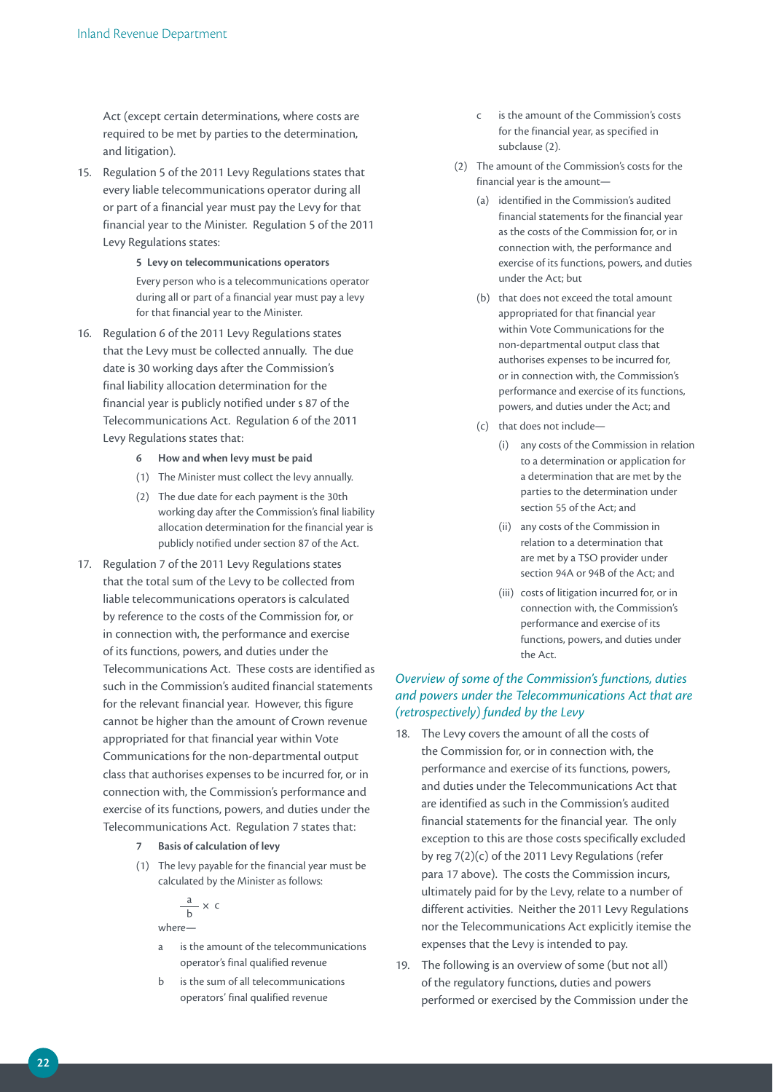Act (except certain determinations, where costs are required to be met by parties to the determination, and litigation).

15. Regulation 5 of the 2011 Levy Regulations states that every liable telecommunications operator during all or part of a financial year must pay the Levy for that financial year to the Minister. Regulation 5 of the 2011 Levy Regulations states:

# **5 Levy on telecommunications operators** Every person who is a telecommunications operator during all or part of a financial year must pay a levy for that financial year to the Minister.

- 16. Regulation 6 of the 2011 Levy Regulations states that the Levy must be collected annually. The due date is 30 working days after the Commission's final liability allocation determination for the financial year is publicly notified under s 87 of the Telecommunications Act. Regulation 6 of the 2011 Levy Regulations states that:
	- **6 How and when levy must be paid**
	- (1) The Minister must collect the levy annually.
	- (2) The due date for each payment is the 30th working day after the Commission's final liability allocation determination for the financial year is publicly notified under section 87 of the Act.
- 17. Regulation 7 of the 2011 Levy Regulations states that the total sum of the Levy to be collected from liable telecommunications operators is calculated by reference to the costs of the Commission for, or in connection with, the performance and exercise of its functions, powers, and duties under the Telecommunications Act. These costs are identified as such in the Commission's audited financial statements for the relevant financial year. However, this figure cannot be higher than the amount of Crown revenue appropriated for that financial year within Vote Communications for the non-departmental output class that authorises expenses to be incurred for, or in connection with, the Commission's performance and exercise of its functions, powers, and duties under the Telecommunications Act. Regulation 7 states that:
	- **7 Basis of calculation of levy**
	- (1) The levy payable for the financial year must be calculated by the Minister as follows:

 $\frac{a}{b} \times c$ where—

- a is the amount of the telecommunications operator's final qualified revenue
- b is the sum of all telecommunications operators' final qualified revenue
- c is the amount of the Commission's costs for the financial year, as specified in subclause (2).
- (2) The amount of the Commission's costs for the financial year is the amount—
	- (a) identified in the Commission's audited financial statements for the financial year as the costs of the Commission for, or in connection with, the performance and exercise of its functions, powers, and duties under the Act; but
	- (b) that does not exceed the total amount appropriated for that financial year within Vote Communications for the non-departmental output class that authorises expenses to be incurred for, or in connection with, the Commission's performance and exercise of its functions, powers, and duties under the Act; and
	- (c) that does not include—
		- (i) any costs of the Commission in relation to a determination or application for a determination that are met by the parties to the determination under section 55 of the Act; and
		- (ii) any costs of the Commission in relation to a determination that are met by a TSO provider under section 94A or 94B of the Act; and
		- (iii) costs of litigation incurred for, or in connection with, the Commission's performance and exercise of its functions, powers, and duties under the Act.

# *Overview of some of the Commission's functions, duties and powers under the Telecommunications Act that are (retrospectively) funded by the Levy*

- 18. The Levy covers the amount of all the costs of the Commission for, or in connection with, the performance and exercise of its functions, powers, and duties under the Telecommunications Act that are identified as such in the Commission's audited financial statements for the financial year. The only exception to this are those costs specifically excluded by reg 7(2)(c) of the 2011 Levy Regulations (refer para 17 above). The costs the Commission incurs, ultimately paid for by the Levy, relate to a number of different activities. Neither the 2011 Levy Regulations nor the Telecommunications Act explicitly itemise the expenses that the Levy is intended to pay.
- 19. The following is an overview of some (but not all) of the regulatory functions, duties and powers performed or exercised by the Commission under the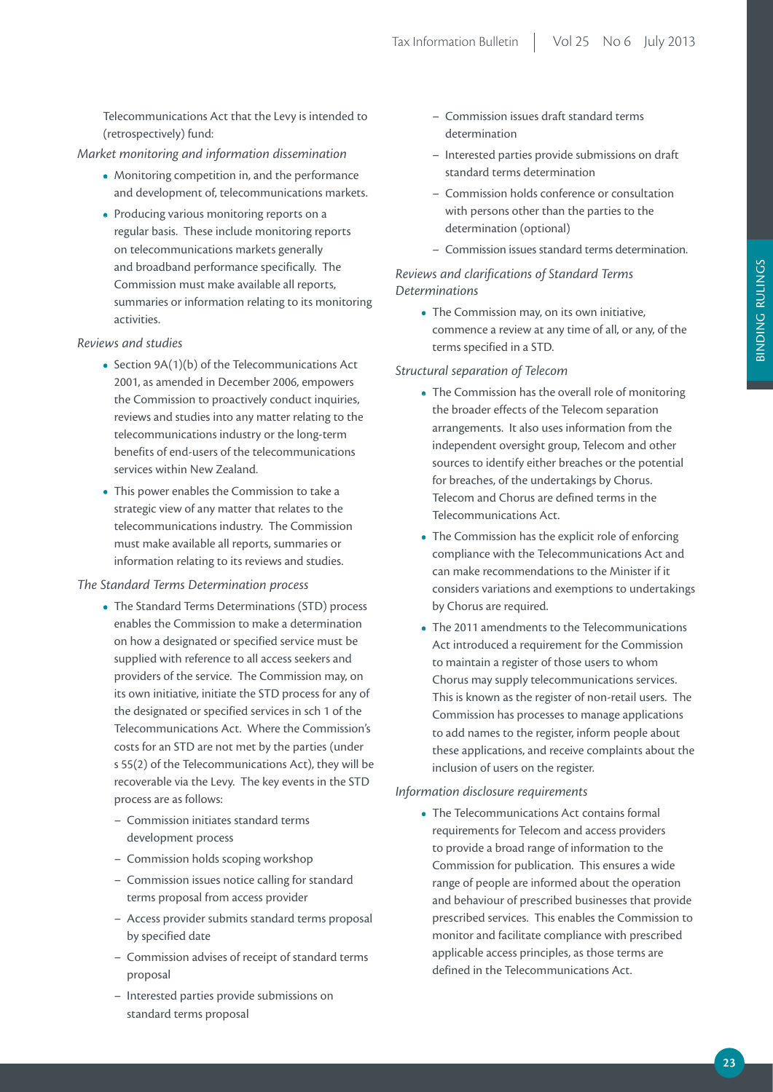Telecommunications Act that the Levy is intended to (retrospectively) fund:

# *Market monitoring and information dissemination*

- **•** Monitoring competition in, and the performance and development of, telecommunications markets.
- **•** Producing various monitoring reports on a regular basis. These include monitoring reports on telecommunications markets generally and broadband performance specifically. The Commission must make available all reports, summaries or information relating to its monitoring activities.

#### *Reviews and studies*

- **•** Section 9A(1)(b) of the Telecommunications Act 2001, as amended in December 2006, empowers the Commission to proactively conduct inquiries, reviews and studies into any matter relating to the telecommunications industry or the long-term benefits of end-users of the telecommunications services within New Zealand.
- **•** This power enables the Commission to take a strategic view of any matter that relates to the telecommunications industry. The Commission must make available all reports, summaries or information relating to its reviews and studies.

# *The Standard Terms Determination process*

- **•** The Standard Terms Determinations (STD) process enables the Commission to make a determination on how a designated or specified service must be supplied with reference to all access seekers and providers of the service. The Commission may, on its own initiative, initiate the STD process for any of the designated or specified services in sch 1 of the Telecommunications Act. Where the Commission's costs for an STD are not met by the parties (under s 55(2) of the Telecommunications Act), they will be recoverable via the Levy. The key events in the STD process are as follows:
	- Commission initiates standard terms development process
	- Commission holds scoping workshop
	- Commission issues notice calling for standard terms proposal from access provider
	- Access provider submits standard terms proposal by specified date
	- Commission advises of receipt of standard terms proposal
	- Interested parties provide submissions on standard terms proposal
- Commission issues draft standard terms determination
- Interested parties provide submissions on draft standard terms determination
- Commission holds conference or consultation with persons other than the parties to the determination (optional)
- Commission issues standard terms determination.

# *Reviews and clarifications of Standard Terms Determinations*

**•** The Commission may, on its own initiative, commence a review at any time of all, or any, of the terms specified in a STD.

#### *Structural separation of Telecom*

- **•** The Commission has the overall role of monitoring the broader effects of the Telecom separation arrangements. It also uses information from the independent oversight group, Telecom and other sources to identify either breaches or the potential for breaches, of the undertakings by Chorus. Telecom and Chorus are defined terms in the Telecommunications Act.
- **•** The Commission has the explicit role of enforcing compliance with the Telecommunications Act and can make recommendations to the Minister if it considers variations and exemptions to undertakings by Chorus are required.
- **•** The 2011 amendments to the Telecommunications Act introduced a requirement for the Commission to maintain a register of those users to whom Chorus may supply telecommunications services. This is known as the register of non-retail users. The Commission has processes to manage applications to add names to the register, inform people about these applications, and receive complaints about the inclusion of users on the register.

# *Information disclosure requirements*

**•** The Telecommunications Act contains formal requirements for Telecom and access providers to provide a broad range of information to the Commission for publication. This ensures a wide range of people are informed about the operation and behaviour of prescribed businesses that provide prescribed services. This enables the Commission to monitor and facilitate compliance with prescribed applicable access principles, as those terms are defined in the Telecommunications Act.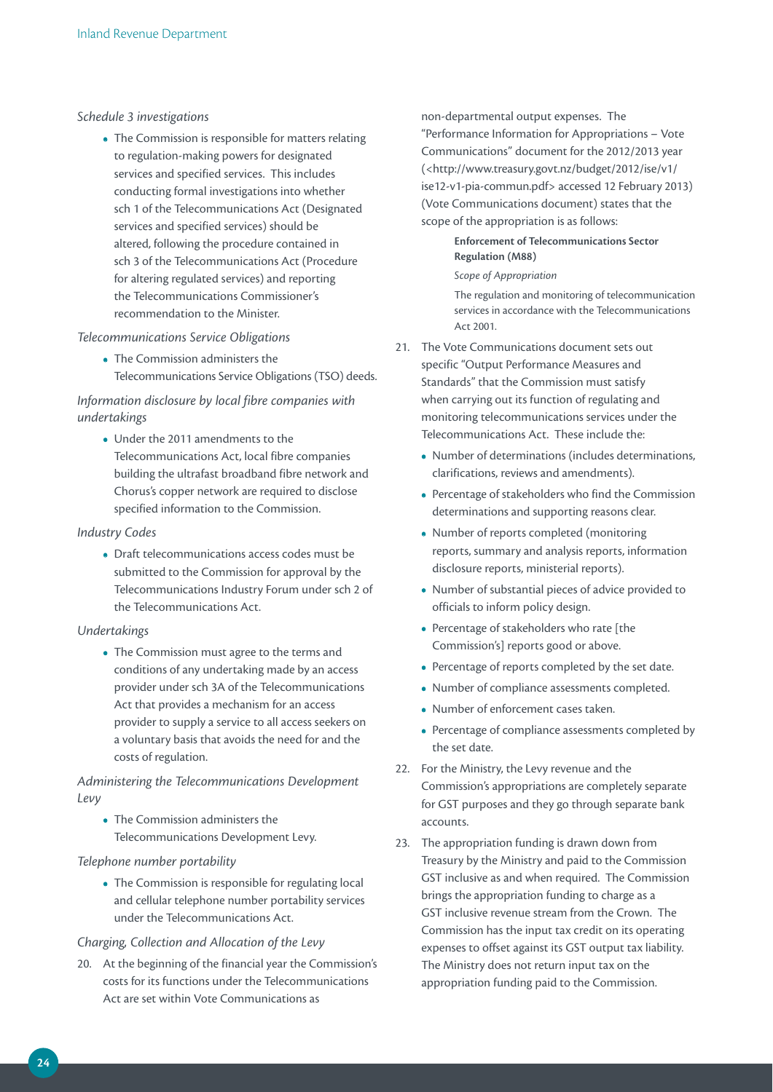## *Schedule 3 investigations*

**•** The Commission is responsible for matters relating to regulation-making powers for designated services and specified services. This includes conducting formal investigations into whether sch 1 of the Telecommunications Act (Designated services and specified services) should be altered, following the procedure contained in sch 3 of the Telecommunications Act (Procedure for altering regulated services) and reporting the Telecommunications Commissioner's recommendation to the Minister.

# *Telecommunications Service Obligations*

**•** The Commission administers the Telecommunications Service Obligations (TSO) deeds.

# *Information disclosure by local fibre companies with undertakings*

**•** Under the 2011 amendments to the Telecommunications Act, local fibre companies building the ultrafast broadband fibre network and Chorus's copper network are required to disclose specified information to the Commission.

## *Industry Codes*

**•** Draft telecommunications access codes must be submitted to the Commission for approval by the Telecommunications Industry Forum under sch 2 of the Telecommunications Act.

### *Undertakings*

**•** The Commission must agree to the terms and conditions of any undertaking made by an access provider under sch 3A of the Telecommunications Act that provides a mechanism for an access provider to supply a service to all access seekers on a voluntary basis that avoids the need for and the costs of regulation.

# *Administering the Telecommunications Development Levy*

**•** The Commission administers the Telecommunications Development Levy.

#### *Telephone number portability*

**•** The Commission is responsible for regulating local and cellular telephone number portability services under the Telecommunications Act.

# *Charging, Collection and Allocation of the Levy*

20. At the beginning of the financial year the Commission's costs for its functions under the Telecommunications Act are set within Vote Communications as

non-departmental output expenses. The "Performance Information for Appropriations – Vote Communications" document for the 2012/2013 year (<http://www.treasury.govt.nz/budget/2012/ise/v1/ ise12-v1-pia-commun.pdf> accessed 12 February 2013) (Vote Communications document) states that the scope of the appropriation is as follows:

> **Enforcement of Telecommunications Sector Regulation (M88)**

*Scope of Appropriation*

The regulation and monitoring of telecommunication services in accordance with the Telecommunications  $Act 2001$ 

- 21. The Vote Communications document sets out specific "Output Performance Measures and Standards" that the Commission must satisfy when carrying out its function of regulating and monitoring telecommunications services under the Telecommunications Act. These include the:
	- **•** Number of determinations (includes determinations, clarifications, reviews and amendments).
	- **•** Percentage of stakeholders who find the Commission determinations and supporting reasons clear.
	- **•** Number of reports completed (monitoring reports, summary and analysis reports, information disclosure reports, ministerial reports).
	- **•** Number of substantial pieces of advice provided to officials to inform policy design.
	- **•** Percentage of stakeholders who rate [the Commission's] reports good or above.
	- **•** Percentage of reports completed by the set date.
	- **•** Number of compliance assessments completed.
	- **•** Number of enforcement cases taken.
	- **•** Percentage of compliance assessments completed by the set date.
- 22. For the Ministry, the Levy revenue and the Commission's appropriations are completely separate for GST purposes and they go through separate bank accounts.
- 23. The appropriation funding is drawn down from Treasury by the Ministry and paid to the Commission GST inclusive as and when required. The Commission brings the appropriation funding to charge as a GST inclusive revenue stream from the Crown. The Commission has the input tax credit on its operating expenses to offset against its GST output tax liability. The Ministry does not return input tax on the appropriation funding paid to the Commission.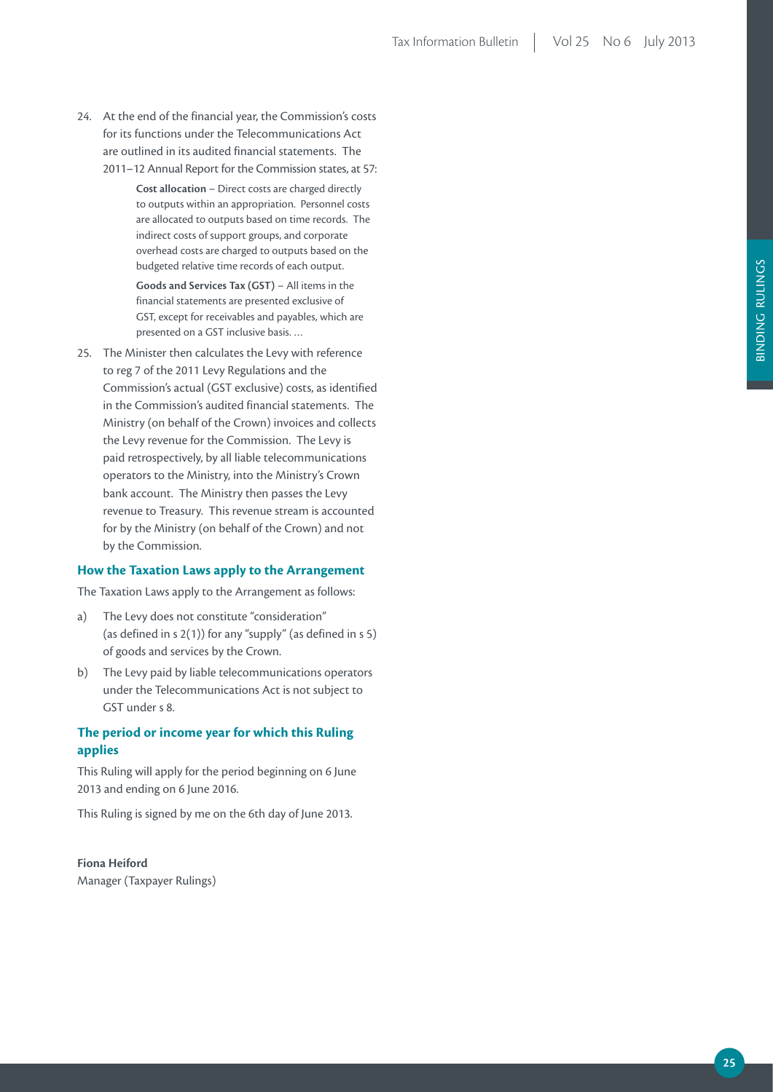- 24. At the end of the financial year, the Commission's costs for its functions under the Telecommunications Act are outlined in its audited financial statements. The 2011–12 Annual Report for the Commission states, at 57:
	- **Cost allocation** Direct costs are charged directly to outputs within an appropriation. Personnel costs are allocated to outputs based on time records. The indirect costs of support groups, and corporate overhead costs are charged to outputs based on the budgeted relative time records of each output. **Goods and Services Tax (GST)** – All items in the financial statements are presented exclusive of GST, except for receivables and payables, which are presented on a GST inclusive basis. …
- 25. The Minister then calculates the Levy with reference to reg 7 of the 2011 Levy Regulations and the Commission's actual (GST exclusive) costs, as identified in the Commission's audited financial statements. The Ministry (on behalf of the Crown) invoices and collects the Levy revenue for the Commission. The Levy is paid retrospectively, by all liable telecommunications operators to the Ministry, into the Ministry's Crown bank account. The Ministry then passes the Levy revenue to Treasury. This revenue stream is accounted for by the Ministry (on behalf of the Crown) and not by the Commission.

# **How the Taxation Laws apply to the Arrangement**

The Taxation Laws apply to the Arrangement as follows:

- a) The Levy does not constitute "consideration" (as defined in s 2(1)) for any "supply" (as defined in s 5) of goods and services by the Crown.
- b) The Levy paid by liable telecommunications operators under the Telecommunications Act is not subject to GST under s 8.

# **The period or income year for which this Ruling applies**

This Ruling will apply for the period beginning on 6 June 2013 and ending on 6 June 2016.

This Ruling is signed by me on the 6th day of June 2013.

# **Fiona Heiford**

Manager (Taxpayer Rulings)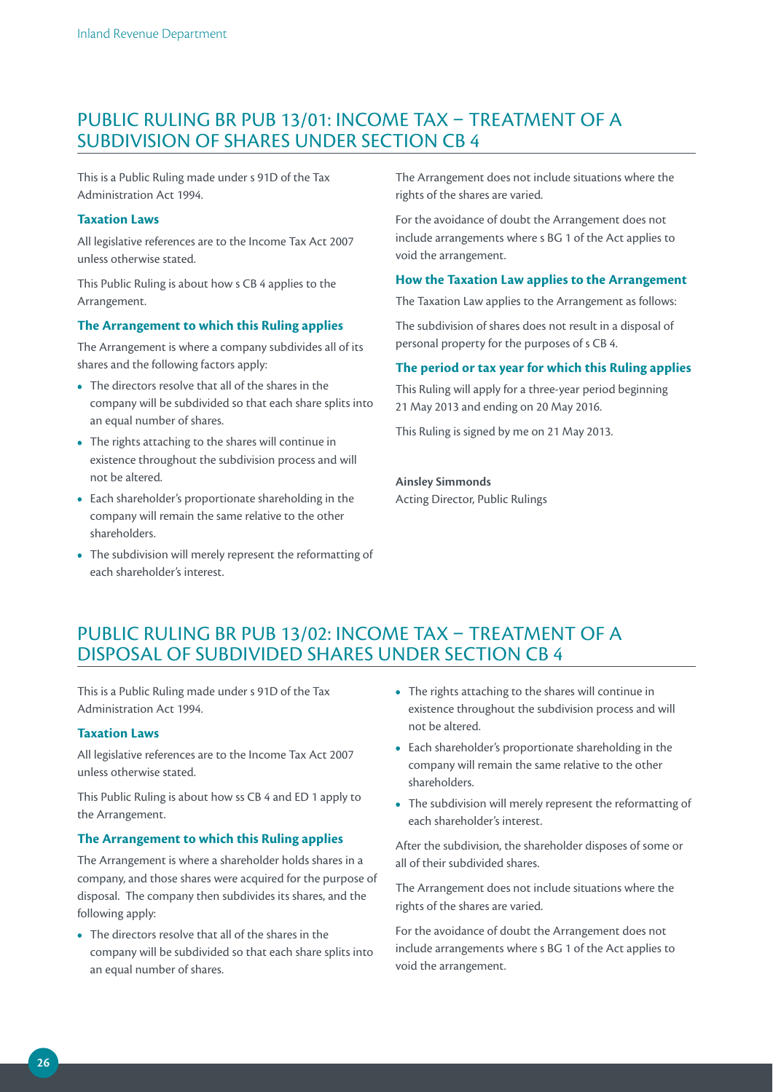# PUBLIC RULING BR PUB 13/01: INCOME TAX – TREATMENT OF A SUBDIVISION OF SHARES UNDER SECTION CB 4

This is a Public Ruling made under s 91D of the Tax Administration Act 1994.

# **Taxation Laws**

All legislative references are to the Income Tax Act 2007 unless otherwise stated.

This Public Ruling is about how s CB 4 applies to the Arrangement.

## **The Arrangement to which this Ruling applies**

The Arrangement is where a company subdivides all of its shares and the following factors apply:

- **•** The directors resolve that all of the shares in the company will be subdivided so that each share splits into an equal number of shares.
- **•** The rights attaching to the shares will continue in existence throughout the subdivision process and will not be altered.
- **•** Each shareholder's proportionate shareholding in the company will remain the same relative to the other shareholders.
- **•** The subdivision will merely represent the reformatting of each shareholder's interest.

The Arrangement does not include situations where the rights of the shares are varied.

For the avoidance of doubt the Arrangement does not include arrangements where s BG 1 of the Act applies to void the arrangement.

# **How the Taxation Law applies to the Arrangement**

The Taxation Law applies to the Arrangement as follows:

The subdivision of shares does not result in a disposal of personal property for the purposes of s CB 4.

# **The period or tax year for which this Ruling applies**

This Ruling will apply for a three-year period beginning 21 May 2013 and ending on 20 May 2016.

This Ruling is signed by me on 21 May 2013.

**Ainsley Simmonds**  Acting Director, Public Rulings

# PUBLIC RULING BR PUB 13/02: INCOME TAX – TREATMENT OF A DISPOSAL OF SUBDIVIDED SHARES UNDER SECTION CB 4

This is a Public Ruling made under s 91D of the Tax Administration Act 1994.

# **Taxation Laws**

All legislative references are to the Income Tax Act 2007 unless otherwise stated.

This Public Ruling is about how ss CB 4 and ED 1 apply to the Arrangement.

#### **The Arrangement to which this Ruling applies**

The Arrangement is where a shareholder holds shares in a company, and those shares were acquired for the purpose of disposal. The company then subdivides its shares, and the following apply:

**•** The directors resolve that all of the shares in the company will be subdivided so that each share splits into an equal number of shares.

- **•** The rights attaching to the shares will continue in existence throughout the subdivision process and will not be altered.
- **•** Each shareholder's proportionate shareholding in the company will remain the same relative to the other shareholders.
- **•** The subdivision will merely represent the reformatting of each shareholder's interest.

After the subdivision, the shareholder disposes of some or all of their subdivided shares.

The Arrangement does not include situations where the rights of the shares are varied.

For the avoidance of doubt the Arrangement does not include arrangements where s BG 1 of the Act applies to void the arrangement.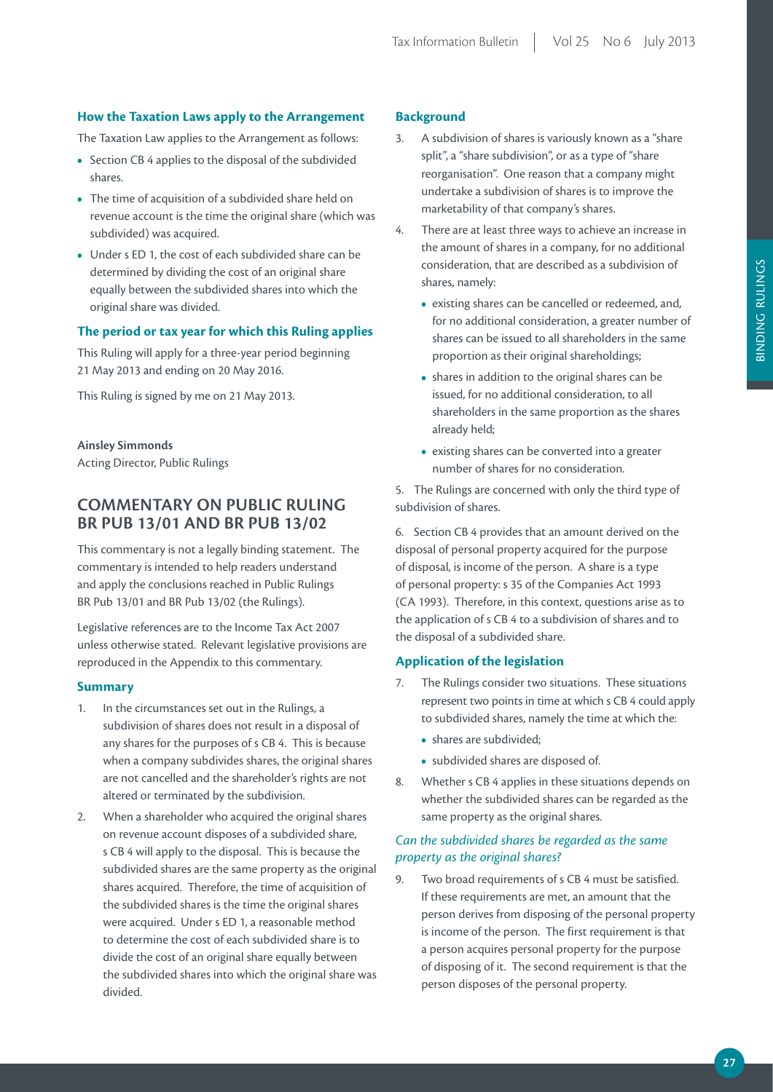## **How the Taxation Laws apply to the Arrangement**

The Taxation Law applies to the Arrangement as follows:

- **•** Section CB 4 applies to the disposal of the subdivided shares.
- **•** The time of acquisition of a subdivided share held on revenue account is the time the original share (which was subdivided) was acquired.
- **•** Under s ED 1, the cost of each subdivided share can be determined by dividing the cost of an original share equally between the subdivided shares into which the original share was divided.

# **The period or tax year for which this Ruling applies**

This Ruling will apply for a three-year period beginning 21 May 2013 and ending on 20 May 2016.

This Ruling is signed by me on 21 May 2013.

#### **Ainsley Simmonds**

Acting Director, Public Rulings

# **COMMENTARY ON PUBLIC RULING BR PUB 13/01 AND BR PUB 13/02**

This commentary is not a legally binding statement. The commentary is intended to help readers understand and apply the conclusions reached in Public Rulings BR Pub 13/01 and BR Pub 13/02 (the Rulings).

Legislative references are to the Income Tax Act 2007 unless otherwise stated. Relevant legislative provisions are reproduced in the Appendix to this commentary.

#### **Summary**

- 1. In the circumstances set out in the Rulings, a subdivision of shares does not result in a disposal of any shares for the purposes of s CB 4. This is because when a company subdivides shares, the original shares are not cancelled and the shareholder's rights are not altered or terminated by the subdivision.
- 2. When a shareholder who acquired the original shares on revenue account disposes of a subdivided share, s CB 4 will apply to the disposal. This is because the subdivided shares are the same property as the original shares acquired. Therefore, the time of acquisition of the subdivided shares is the time the original shares were acquired. Under s ED 1, a reasonable method to determine the cost of each subdivided share is to divide the cost of an original share equally between the subdivided shares into which the original share was divided.

## **Background**

- 3. A subdivision of shares is variously known as a "share split", a "share subdivision", or as a type of "share reorganisation". One reason that a company might undertake a subdivision of shares is to improve the marketability of that company's shares.
- 4. There are at least three ways to achieve an increase in the amount of shares in a company, for no additional consideration, that are described as a subdivision of shares, namely:
	- **•** existing shares can be cancelled or redeemed, and, for no additional consideration, a greater number of shares can be issued to all shareholders in the same proportion as their original shareholdings;
	- **•** shares in addition to the original shares can be issued, for no additional consideration, to all shareholders in the same proportion as the shares already held;
	- **•** existing shares can be converted into a greater number of shares for no consideration.

5. The Rulings are concerned with only the third type of subdivision of shares.

6. Section CB 4 provides that an amount derived on the disposal of personal property acquired for the purpose of disposal, is income of the person. A share is a type of personal property: s 35 of the Companies Act 1993 (CA 1993). Therefore, in this context, questions arise as to the application of s CB 4 to a subdivision of shares and to the disposal of a subdivided share.

## **Application of the legislation**

- 7. The Rulings consider two situations. These situations represent two points in time at which s CB 4 could apply to subdivided shares, namely the time at which the:
	- **•** shares are subdivided;
	- **•** subdivided shares are disposed of.
- 8. Whether s CB 4 applies in these situations depends on whether the subdivided shares can be regarded as the same property as the original shares.

## *Can the subdivided shares be regarded as the same property as the original shares?*

9. Two broad requirements of s CB 4 must be satisfied. If these requirements are met, an amount that the person derives from disposing of the personal property is income of the person. The first requirement is that a person acquires personal property for the purpose of disposing of it. The second requirement is that the person disposes of the personal property.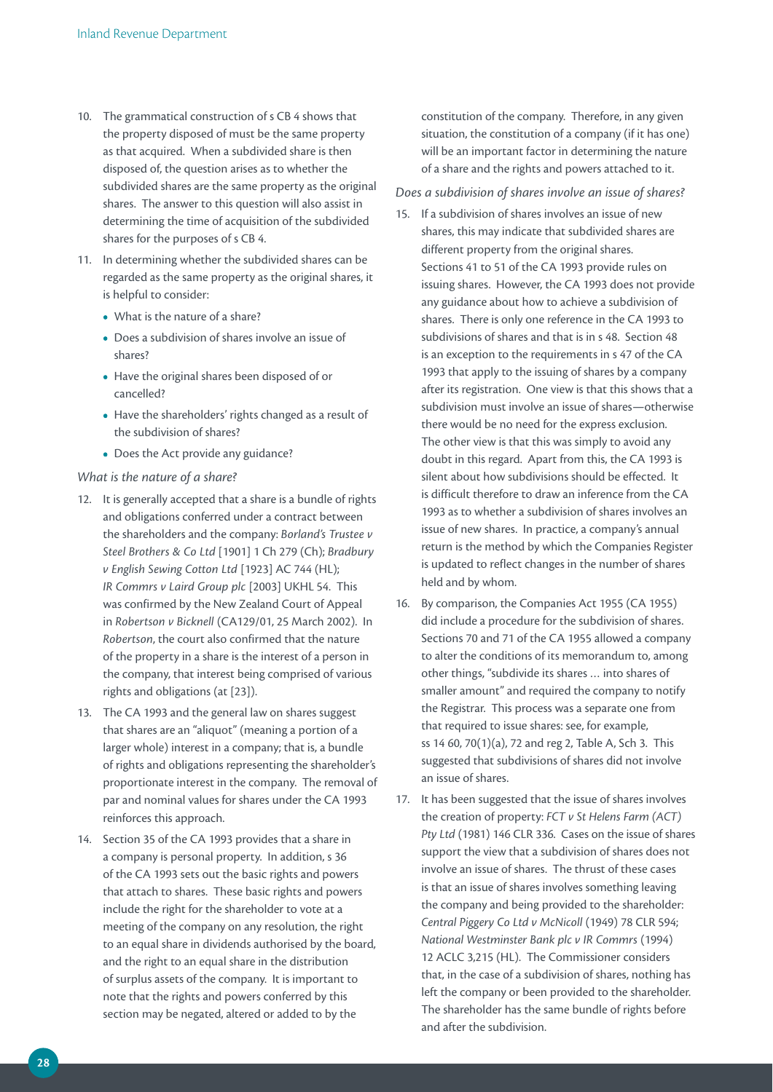- 10. The grammatical construction of s CB 4 shows that the property disposed of must be the same property as that acquired. When a subdivided share is then disposed of, the question arises as to whether the subdivided shares are the same property as the original shares. The answer to this question will also assist in determining the time of acquisition of the subdivided shares for the purposes of s CB 4.
- 11. In determining whether the subdivided shares can be regarded as the same property as the original shares, it is helpful to consider:
	- **•** What is the nature of a share?
	- **•** Does a subdivision of shares involve an issue of shares?
	- **•** Have the original shares been disposed of or cancelled?
	- **•** Have the shareholders' rights changed as a result of the subdivision of shares?
	- **•** Does the Act provide any guidance?

#### *What is the nature of a share?*

- 12. It is generally accepted that a share is a bundle of rights and obligations conferred under a contract between the shareholders and the company: *Borland's Trustee v Steel Brothers & Co Ltd* [1901] 1 Ch 279 (Ch); *Bradbury v English Sewing Cotton Ltd* [1923] AC 744 (HL); *IR Commrs v Laird Group plc* [2003] UKHL 54. This was confirmed by the New Zealand Court of Appeal in *Robertson v Bicknell* (CA129/01, 25 March 2002). In *Robertson*, the court also confirmed that the nature of the property in a share is the interest of a person in the company, that interest being comprised of various rights and obligations (at [23]).
- 13. The CA 1993 and the general law on shares suggest that shares are an "aliquot" (meaning a portion of a larger whole) interest in a company; that is, a bundle of rights and obligations representing the shareholder's proportionate interest in the company. The removal of par and nominal values for shares under the CA 1993 reinforces this approach.
- 14. Section 35 of the CA 1993 provides that a share in a company is personal property. In addition, s 36 of the CA 1993 sets out the basic rights and powers that attach to shares. These basic rights and powers include the right for the shareholder to vote at a meeting of the company on any resolution, the right to an equal share in dividends authorised by the board, and the right to an equal share in the distribution of surplus assets of the company. It is important to note that the rights and powers conferred by this section may be negated, altered or added to by the

constitution of the company. Therefore, in any given situation, the constitution of a company (if it has one) will be an important factor in determining the nature of a share and the rights and powers attached to it.

## *Does a subdivision of shares involve an issue of shares?*

- 15. If a subdivision of shares involves an issue of new shares, this may indicate that subdivided shares are different property from the original shares. Sections 41 to 51 of the CA 1993 provide rules on issuing shares. However, the CA 1993 does not provide any guidance about how to achieve a subdivision of shares. There is only one reference in the CA 1993 to subdivisions of shares and that is in s 48. Section 48 is an exception to the requirements in s 47 of the CA 1993 that apply to the issuing of shares by a company after its registration. One view is that this shows that a subdivision must involve an issue of shares—otherwise there would be no need for the express exclusion. The other view is that this was simply to avoid any doubt in this regard. Apart from this, the CA 1993 is silent about how subdivisions should be effected. It is difficult therefore to draw an inference from the CA 1993 as to whether a subdivision of shares involves an issue of new shares. In practice, a company's annual return is the method by which the Companies Register is updated to reflect changes in the number of shares held and by whom.
- 16. By comparison, the Companies Act 1955 (CA 1955) did include a procedure for the subdivision of shares. Sections 70 and 71 of the CA 1955 allowed a company to alter the conditions of its memorandum to, among other things, "subdivide its shares … into shares of smaller amount" and required the company to notify the Registrar. This process was a separate one from that required to issue shares: see, for example, ss 14 60, 70(1)(a), 72 and reg 2, Table A, Sch 3. This suggested that subdivisions of shares did not involve an issue of shares.
- 17. It has been suggested that the issue of shares involves the creation of property: *FCT v St Helens Farm (ACT) Pty Ltd* (1981) 146 CLR 336. Cases on the issue of shares support the view that a subdivision of shares does not involve an issue of shares. The thrust of these cases is that an issue of shares involves something leaving the company and being provided to the shareholder: *Central Piggery Co Ltd v McNicoll* (1949) 78 CLR 594; *National Westminster Bank plc v IR Commrs* (1994) 12 ACLC 3,215 (HL). The Commissioner considers that, in the case of a subdivision of shares, nothing has left the company or been provided to the shareholder. The shareholder has the same bundle of rights before and after the subdivision.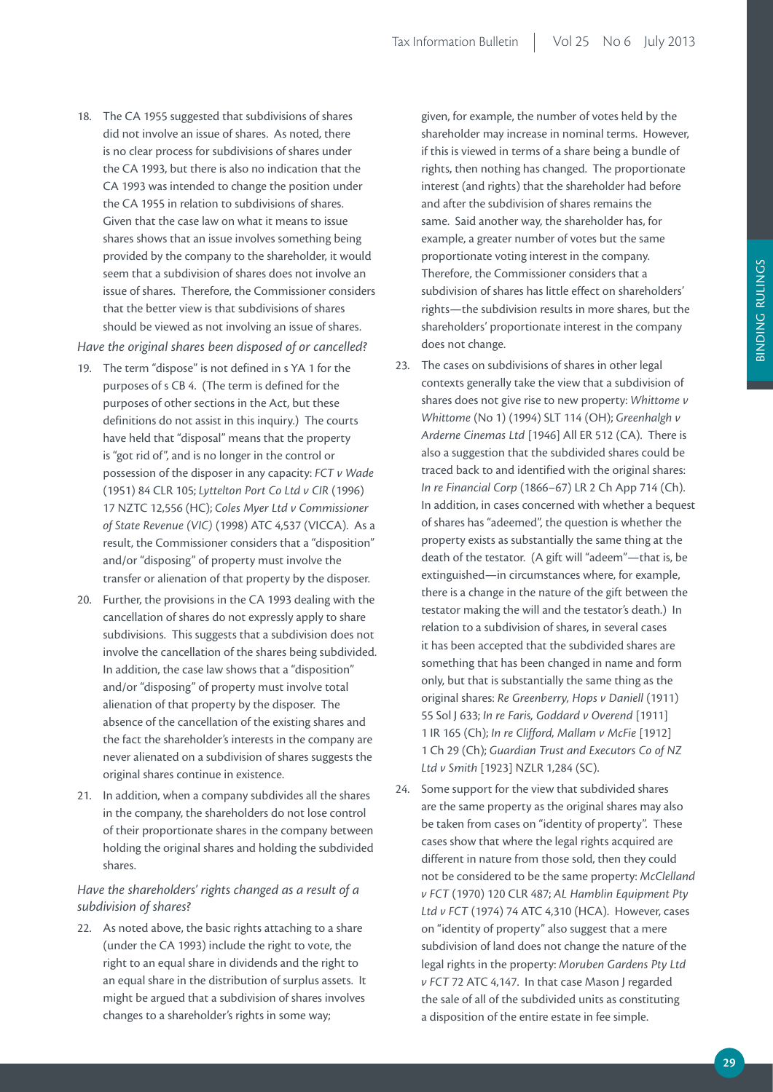18. The CA 1955 suggested that subdivisions of shares did not involve an issue of shares. As noted, there is no clear process for subdivisions of shares under the CA 1993, but there is also no indication that the CA 1993 was intended to change the position under the CA 1955 in relation to subdivisions of shares. Given that the case law on what it means to issue shares shows that an issue involves something being provided by the company to the shareholder, it would seem that a subdivision of shares does not involve an issue of shares. Therefore, the Commissioner considers that the better view is that subdivisions of shares should be viewed as not involving an issue of shares.

*Have the original shares been disposed of or cancelled?*

- 19. The term "dispose" is not defined in s YA 1 for the purposes of s CB 4. (The term is defined for the purposes of other sections in the Act, but these definitions do not assist in this inquiry.) The courts have held that "disposal" means that the property is "got rid of", and is no longer in the control or possession of the disposer in any capacity: *FCT v Wade* (1951) 84 CLR 105; *Lyttelton Port Co Ltd v CIR* (1996) 17 NZTC 12,556 (HC); *Coles Myer Ltd v Commissioner of State Revenue (VIC)* (1998) ATC 4,537 (VICCA). As a result, the Commissioner considers that a "disposition" and/or "disposing" of property must involve the transfer or alienation of that property by the disposer.
- 20. Further, the provisions in the CA 1993 dealing with the cancellation of shares do not expressly apply to share subdivisions. This suggests that a subdivision does not involve the cancellation of the shares being subdivided. In addition, the case law shows that a "disposition" and/or "disposing" of property must involve total alienation of that property by the disposer. The absence of the cancellation of the existing shares and the fact the shareholder's interests in the company are never alienated on a subdivision of shares suggests the original shares continue in existence.
- 21. In addition, when a company subdivides all the shares in the company, the shareholders do not lose control of their proportionate shares in the company between holding the original shares and holding the subdivided shares.

# *Have the shareholders' rights changed as a result of a subdivision of shares?*

22. As noted above, the basic rights attaching to a share (under the CA 1993) include the right to vote, the right to an equal share in dividends and the right to an equal share in the distribution of surplus assets. It might be argued that a subdivision of shares involves changes to a shareholder's rights in some way;

given, for example, the number of votes held by the shareholder may increase in nominal terms. However, if this is viewed in terms of a share being a bundle of rights, then nothing has changed. The proportionate interest (and rights) that the shareholder had before and after the subdivision of shares remains the same. Said another way, the shareholder has, for example, a greater number of votes but the same proportionate voting interest in the company. Therefore, the Commissioner considers that a subdivision of shares has little effect on shareholders' rights—the subdivision results in more shares, but the shareholders' proportionate interest in the company does not change.

- 23. The cases on subdivisions of shares in other legal contexts generally take the view that a subdivision of shares does not give rise to new property: *Whittome v Whittome* (No 1) (1994) SLT 114 (OH); *Greenhalgh v Arderne Cinemas Ltd* [1946] All ER 512 (CA). There is also a suggestion that the subdivided shares could be traced back to and identified with the original shares: *In re Financial Corp* (1866–67) LR 2 Ch App 714 (Ch). In addition, in cases concerned with whether a bequest of shares has "adeemed", the question is whether the property exists as substantially the same thing at the death of the testator. (A gift will "adeem"—that is, be extinguished—in circumstances where, for example, there is a change in the nature of the gift between the testator making the will and the testator's death.) In relation to a subdivision of shares, in several cases it has been accepted that the subdivided shares are something that has been changed in name and form only, but that is substantially the same thing as the original shares: *Re Greenberry, Hops v Daniell* (1911) 55 Sol J 633; *In re Faris, Goddard v Overend* [1911] 1 IR 165 (Ch); *In re Clifford, Mallam v McFie* [1912] 1 Ch 29 (Ch); *Guardian Trust and Executors Co of NZ Ltd v Smith* [1923] NZLR 1,284 (SC).
- 24. Some support for the view that subdivided shares are the same property as the original shares may also be taken from cases on "identity of property". These cases show that where the legal rights acquired are different in nature from those sold, then they could not be considered to be the same property: *McClelland v FCT* (1970) 120 CLR 487; *AL Hamblin Equipment Pty Ltd v FCT* (1974) 74 ATC 4,310 (HCA). However, cases on "identity of property" also suggest that a mere subdivision of land does not change the nature of the legal rights in the property: *Moruben Gardens Pty Ltd v FCT* 72 ATC 4,147. In that case Mason J regarded the sale of all of the subdivided units as constituting a disposition of the entire estate in fee simple.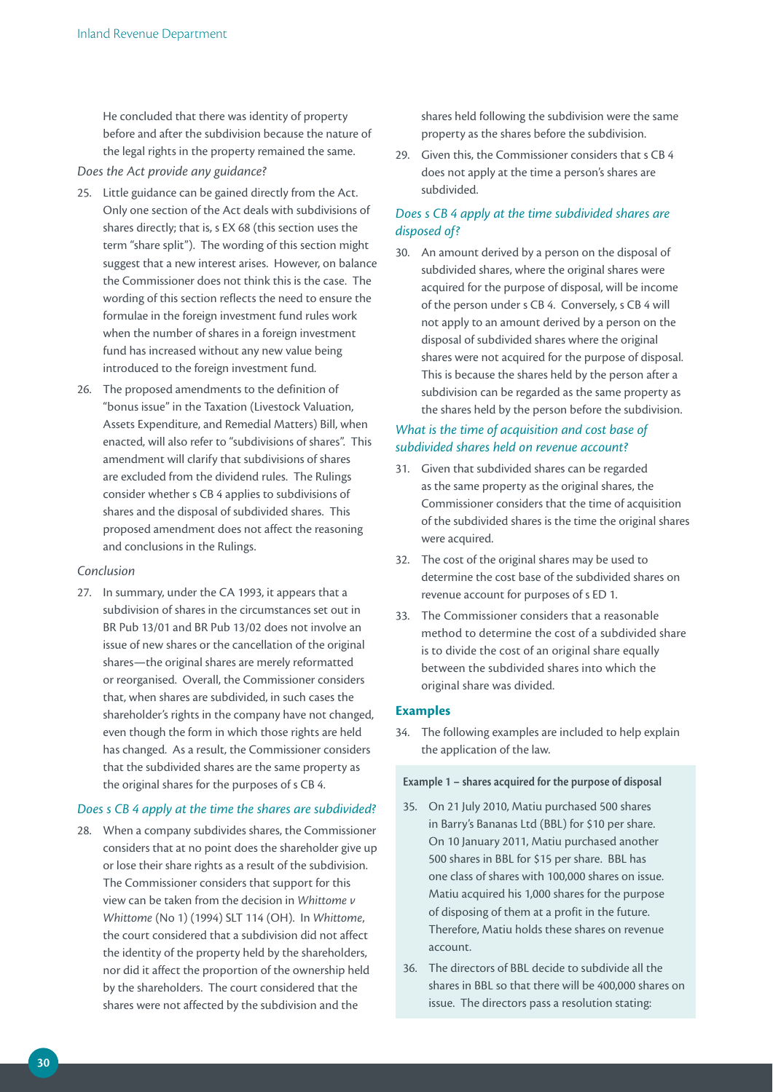He concluded that there was identity of property before and after the subdivision because the nature of the legal rights in the property remained the same.

# *Does the Act provide any guidance?*

- 25. Little guidance can be gained directly from the Act. Only one section of the Act deals with subdivisions of shares directly; that is, s EX 68 (this section uses the term "share split"). The wording of this section might suggest that a new interest arises. However, on balance the Commissioner does not think this is the case. The wording of this section reflects the need to ensure the formulae in the foreign investment fund rules work when the number of shares in a foreign investment fund has increased without any new value being introduced to the foreign investment fund.
- 26. The proposed amendments to the definition of "bonus issue" in the Taxation (Livestock Valuation, Assets Expenditure, and Remedial Matters) Bill, when enacted, will also refer to "subdivisions of shares". This amendment will clarify that subdivisions of shares are excluded from the dividend rules. The Rulings consider whether s CB 4 applies to subdivisions of shares and the disposal of subdivided shares. This proposed amendment does not affect the reasoning and conclusions in the Rulings.

#### *Conclusion*

27. In summary, under the CA 1993, it appears that a subdivision of shares in the circumstances set out in BR Pub 13/01 and BR Pub 13/02 does not involve an issue of new shares or the cancellation of the original shares—the original shares are merely reformatted or reorganised. Overall, the Commissioner considers that, when shares are subdivided, in such cases the shareholder's rights in the company have not changed, even though the form in which those rights are held has changed. As a result, the Commissioner considers that the subdivided shares are the same property as the original shares for the purposes of s CB 4.

## *Does s CB 4 apply at the time the shares are subdivided?*

28. When a company subdivides shares, the Commissioner considers that at no point does the shareholder give up or lose their share rights as a result of the subdivision. The Commissioner considers that support for this view can be taken from the decision in *Whittome v Whittome* (No 1) (1994) SLT 114 (OH). In *Whittome*, the court considered that a subdivision did not affect the identity of the property held by the shareholders, nor did it affect the proportion of the ownership held by the shareholders. The court considered that the shares were not affected by the subdivision and the

shares held following the subdivision were the same property as the shares before the subdivision.

29. Given this, the Commissioner considers that s CB 4 does not apply at the time a person's shares are subdivided.

# *Does s CB 4 apply at the time subdivided shares are disposed of?*

30. An amount derived by a person on the disposal of subdivided shares, where the original shares were acquired for the purpose of disposal, will be income of the person under s CB 4. Conversely, s CB 4 will not apply to an amount derived by a person on the disposal of subdivided shares where the original shares were not acquired for the purpose of disposal. This is because the shares held by the person after a subdivision can be regarded as the same property as the shares held by the person before the subdivision.

# *What is the time of acquisition and cost base of subdivided shares held on revenue account?*

- 31. Given that subdivided shares can be regarded as the same property as the original shares, the Commissioner considers that the time of acquisition of the subdivided shares is the time the original shares were acquired.
- 32. The cost of the original shares may be used to determine the cost base of the subdivided shares on revenue account for purposes of s ED 1.
- 33. The Commissioner considers that a reasonable method to determine the cost of a subdivided share is to divide the cost of an original share equally between the subdivided shares into which the original share was divided.

#### **Examples**

34. The following examples are included to help explain the application of the law.

#### **Example 1 – shares acquired for the purpose of disposal**

- 35. On 21 July 2010, Matiu purchased 500 shares in Barry's Bananas Ltd (BBL) for \$10 per share. On 10 January 2011, Matiu purchased another 500 shares in BBL for \$15 per share. BBL has one class of shares with 100,000 shares on issue. Matiu acquired his 1,000 shares for the purpose of disposing of them at a profit in the future. Therefore, Matiu holds these shares on revenue account.
- 36. The directors of BBL decide to subdivide all the shares in BBL so that there will be 400,000 shares on issue. The directors pass a resolution stating: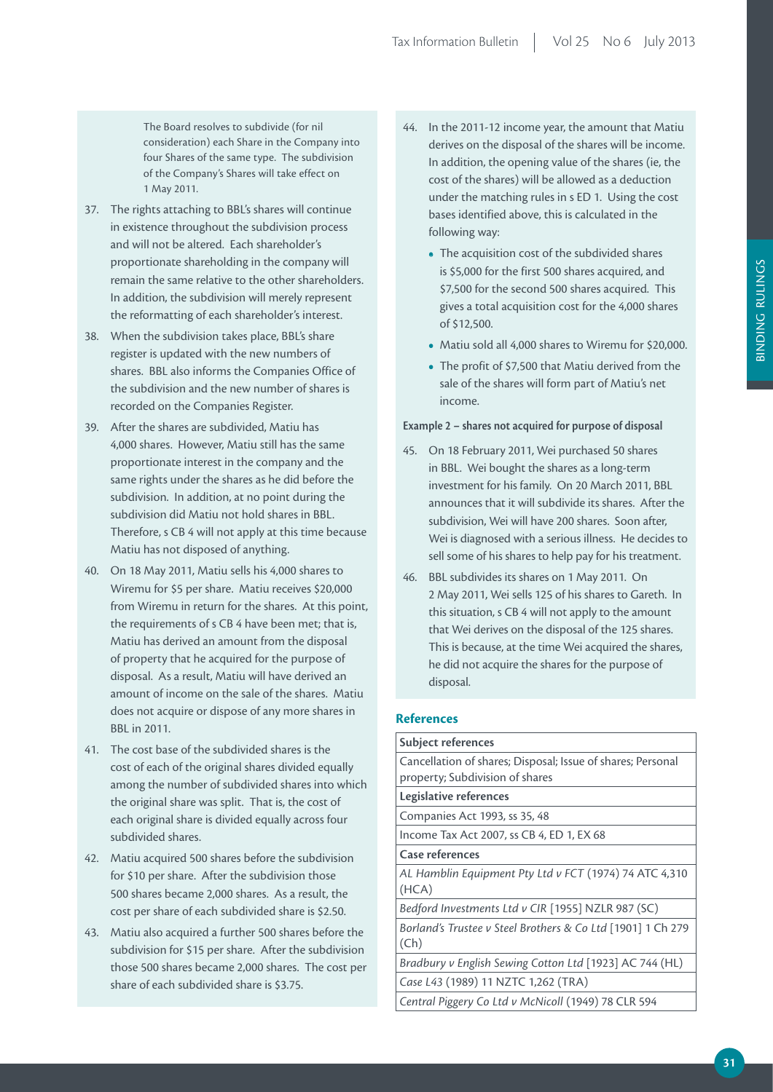The Board resolves to subdivide (for nil consideration) each Share in the Company into four Shares of the same type. The subdivision of the Company's Shares will take effect on 1 May 2011.

- 37. The rights attaching to BBL's shares will continue in existence throughout the subdivision process and will not be altered. Each shareholder's proportionate shareholding in the company will remain the same relative to the other shareholders. In addition, the subdivision will merely represent the reformatting of each shareholder's interest.
- 38. When the subdivision takes place, BBL's share register is updated with the new numbers of shares. BBL also informs the Companies Office of the subdivision and the new number of shares is recorded on the Companies Register.
- 39. After the shares are subdivided, Matiu has 4,000 shares. However, Matiu still has the same proportionate interest in the company and the same rights under the shares as he did before the subdivision. In addition, at no point during the subdivision did Matiu not hold shares in BBL. Therefore, s CB 4 will not apply at this time because Matiu has not disposed of anything.
- 40. On 18 May 2011, Matiu sells his 4,000 shares to Wiremu for \$5 per share. Matiu receives \$20,000 from Wiremu in return for the shares. At this point, the requirements of s CB 4 have been met; that is, Matiu has derived an amount from the disposal of property that he acquired for the purpose of disposal. As a result, Matiu will have derived an amount of income on the sale of the shares. Matiu does not acquire or dispose of any more shares in BBL in 2011.
- 41. The cost base of the subdivided shares is the cost of each of the original shares divided equally among the number of subdivided shares into which the original share was split. That is, the cost of each original share is divided equally across four subdivided shares.
- 42. Matiu acquired 500 shares before the subdivision for \$10 per share. After the subdivision those 500 shares became 2,000 shares. As a result, the cost per share of each subdivided share is \$2.50.
- 43. Matiu also acquired a further 500 shares before the subdivision for \$15 per share. After the subdivision those 500 shares became 2,000 shares. The cost per share of each subdivided share is \$3.75.
- 44. In the 2011-12 income year, the amount that Matiu derives on the disposal of the shares will be income. In addition, the opening value of the shares (ie, the cost of the shares) will be allowed as a deduction under the matching rules in s ED 1. Using the cost bases identified above, this is calculated in the following way:
	- **•** The acquisition cost of the subdivided shares is \$5,000 for the first 500 shares acquired, and \$7,500 for the second 500 shares acquired. This gives a total acquisition cost for the 4,000 shares of \$12,500.
	- **•** Matiu sold all 4,000 shares to Wiremu for \$20,000.
	- **•** The profit of \$7,500 that Matiu derived from the sale of the shares will form part of Matiu's net income.

# **Example 2 – shares not acquired for purpose of disposal**

- 45. On 18 February 2011, Wei purchased 50 shares in BBL. Wei bought the shares as a long-term investment for his family. On 20 March 2011, BBL announces that it will subdivide its shares. After the subdivision, Wei will have 200 shares. Soon after, Wei is diagnosed with a serious illness. He decides to sell some of his shares to help pay for his treatment.
- 46. BBL subdivides its shares on 1 May 2011. On 2 May 2011, Wei sells 125 of his shares to Gareth. In this situation, s CB 4 will not apply to the amount that Wei derives on the disposal of the 125 shares. This is because, at the time Wei acquired the shares, he did not acquire the shares for the purpose of disposal.

# **References**

# **Subject references** Cancellation of shares; Disposal; Issue of shares; Personal property; Subdivision of shares **Legislative references** Companies Act 1993, ss 35, 48 Income Tax Act 2007, ss CB 4, ED 1, EX 68 **Case references** *AL Hamblin Equipment Pty Ltd v FCT* (1974) 74 ATC 4,310 (HCA) *Bedford Investments Ltd v CIR* [1955] NZLR 987 (SC) *Borland's Trustee v Steel Brothers & Co Ltd* [1901] 1 Ch 279 (Ch) *Bradbury v English Sewing Cotton Ltd* [1923] AC 744 (HL) *Case L43* (1989) 11 NZTC 1,262 (TRA) *Central Piggery Co Ltd v McNicoll* (1949) 78 CLR 594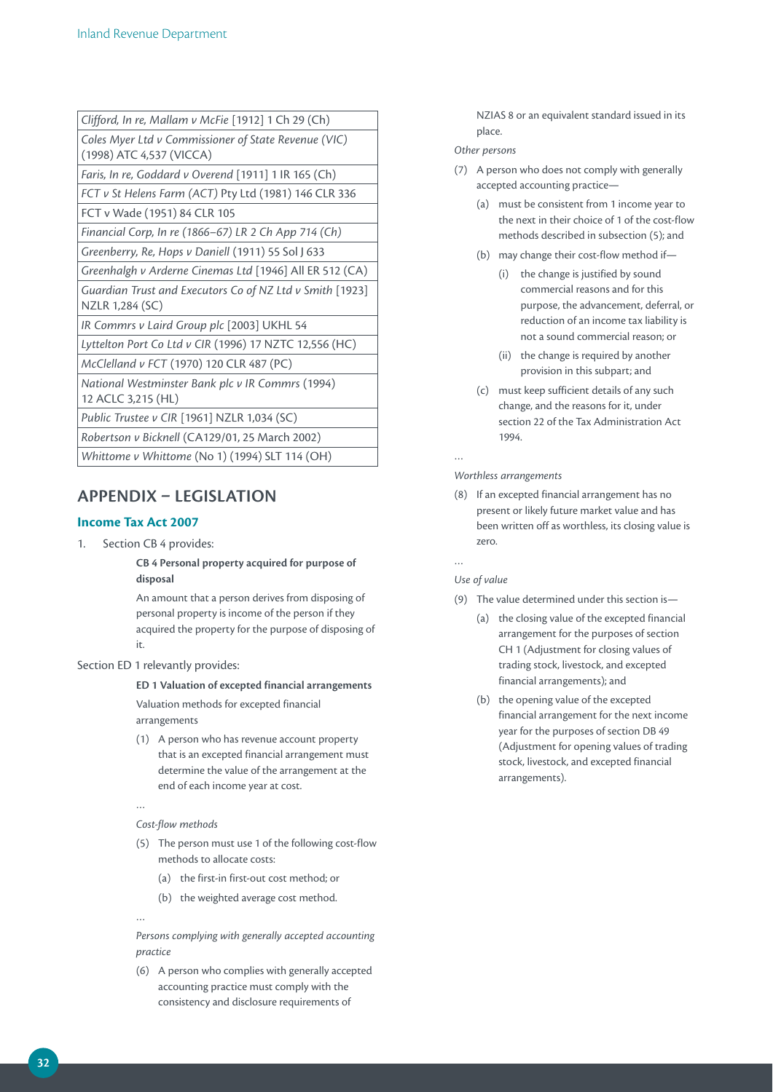| Clifford, In re, Mallam v McFie [1912] 1 Ch 29 (Ch)                              |
|----------------------------------------------------------------------------------|
| Coles Myer Ltd v Commissioner of State Revenue (VIC)<br>(1998) ATC 4,537 (VICCA) |
| Faris, In re, Goddard v Overend [1911] 1 IR 165 (Ch)                             |
| FCT v St Helens Farm (ACT) Pty Ltd (1981) 146 CLR 336                            |
| FCT v Wade (1951) 84 CLR 105                                                     |
| Financial Corp, In re (1866–67) LR 2 Ch App 714 (Ch)                             |
| Greenberry, Re, Hops v Daniell (1911) 55 Sol J 633                               |
| Greenhalgh v Arderne Cinemas Ltd [1946] All ER 512 (CA)                          |
| Guardian Trust and Executors Co of NZ Ltd v Smith [1923]<br>NZLR 1,284 (SC)      |
| IR Commrs v Laird Group plc [2003] UKHL 54                                       |
| Lyttelton Port Co Ltd v CIR (1996) 17 NZTC 12,556 (HC)                           |
| McClelland v FCT (1970) 120 CLR 487 (PC)                                         |
| National Westminster Bank plc v IR Commrs (1994)<br>12 ACLC 3,215 (HL)           |
| Public Trustee v CIR [1961] NZLR 1,034 (SC)                                      |
| Robertson v Bicknell (CA129/01, 25 March 2002)                                   |
| Whittome v Whittome (No 1) (1994) SLT 114 (OH)                                   |
|                                                                                  |

# **APPENDIX – LEGISLATION**

# **Income Tax Act 2007**

1. Section CB 4 provides:

**CB 4 Personal property acquired for purpose of disposal**

An amount that a person derives from disposing of personal property is income of the person if they acquired the property for the purpose of disposing of it.

#### Section ED 1 relevantly provides:

#### **ED 1 Valuation of excepted financial arrangements**

Valuation methods for excepted financial arrangements

(1) A person who has revenue account property that is an excepted financial arrangement must determine the value of the arrangement at the end of each income year at cost.

…

…

## *Cost-flow methods*

- (5) The person must use 1 of the following cost-flow methods to allocate costs:
	- (a) the first-in first-out cost method; or
	- (b) the weighted average cost method.

# *Persons complying with generally accepted accounting practice*

(6) A person who complies with generally accepted accounting practice must comply with the consistency and disclosure requirements of

NZIAS 8 or an equivalent standard issued in its place.

*Other persons*

- (7) A person who does not comply with generally accepted accounting practice—
	- (a) must be consistent from 1 income year to the next in their choice of 1 of the cost-flow methods described in subsection (5); and
	- (b) may change their cost-flow method if—
		- (i) the change is justified by sound commercial reasons and for this purpose, the advancement, deferral, or reduction of an income tax liability is not a sound commercial reason; or
		- (ii) the change is required by another provision in this subpart; and
	- (c) must keep sufficient details of any such change, and the reasons for it, under section 22 of the Tax Administration Act 1994.

# *Worthless arrangements*

(8) If an excepted financial arrangement has no present or likely future market value and has been written off as worthless, its closing value is zero.

#### … *Use of value*

…

- (9) The value determined under this section is—
	- (a) the closing value of the excepted financial arrangement for the purposes of section CH 1 (Adjustment for closing values of trading stock, livestock, and excepted financial arrangements); and
	- (b) the opening value of the excepted financial arrangement for the next income year for the purposes of section DB 49 (Adjustment for opening values of trading stock, livestock, and excepted financial arrangements).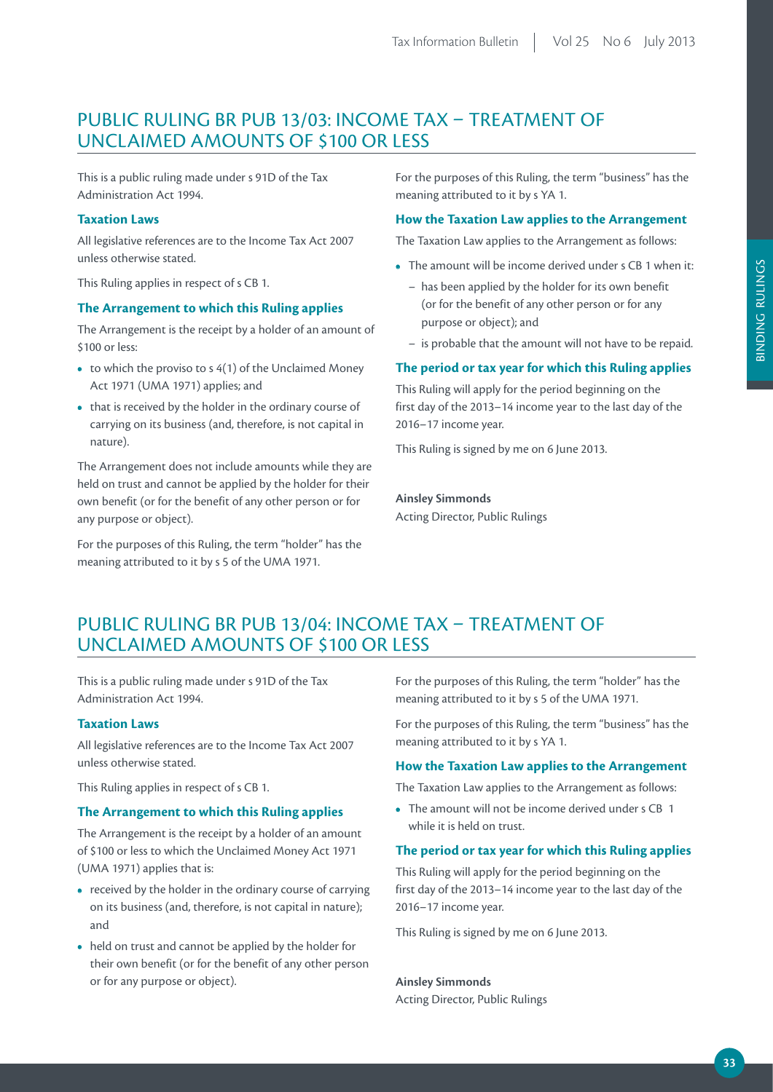# PUBLIC RULING BR PUB 13/03: INCOME TAX – TREATMENT OF UNCLAIMED AMOUNTS OF \$100 OR LESS

This is a public ruling made under s 91D of the Tax Administration Act 1994.

# **Taxation Laws**

All legislative references are to the Income Tax Act 2007 unless otherwise stated.

This Ruling applies in respect of s CB 1.

## **The Arrangement to which this Ruling applies**

The Arrangement is the receipt by a holder of an amount of \$100 or less:

- **•** to which the proviso to s 4(1) of the Unclaimed Money Act 1971 (UMA 1971) applies; and
- **•** that is received by the holder in the ordinary course of carrying on its business (and, therefore, is not capital in nature).

The Arrangement does not include amounts while they are held on trust and cannot be applied by the holder for their own benefit (or for the benefit of any other person or for any purpose or object).

For the purposes of this Ruling, the term "holder" has the meaning attributed to it by s 5 of the UMA 1971.

For the purposes of this Ruling, the term "business" has the meaning attributed to it by s YA 1.

#### **How the Taxation Law applies to the Arrangement**

The Taxation Law applies to the Arrangement as follows:

- **•** The amount will be income derived under s CB 1 when it:
	- has been applied by the holder for its own benefit (or for the benefit of any other person or for any purpose or object); and
	- is probable that the amount will not have to be repaid.

# **The period or tax year for which this Ruling applies**

This Ruling will apply for the period beginning on the first day of the 2013–14 income year to the last day of the 2016–17 income year.

This Ruling is signed by me on 6 June 2013.

## **Ainsley Simmonds**

Acting Director, Public Rulings

# PUBLIC RULING BR PUB 13/04: INCOME TAX – TREATMENT OF UNCLAIMED AMOUNTS OF \$100 OR LESS

This is a public ruling made under s 91D of the Tax Administration Act 1994.

## **Taxation Laws**

All legislative references are to the Income Tax Act 2007 unless otherwise stated.

This Ruling applies in respect of s CB 1.

## **The Arrangement to which this Ruling applies**

The Arrangement is the receipt by a holder of an amount of \$100 or less to which the Unclaimed Money Act 1971 (UMA 1971) applies that is:

- **•** received by the holder in the ordinary course of carrying on its business (and, therefore, is not capital in nature); and
- **•** held on trust and cannot be applied by the holder for their own benefit (or for the benefit of any other person or for any purpose or object).

For the purposes of this Ruling, the term "holder" has the meaning attributed to it by s 5 of the UMA 1971.

For the purposes of this Ruling, the term "business" has the meaning attributed to it by s YA 1.

## **How the Taxation Law applies to the Arrangement**

The Taxation Law applies to the Arrangement as follows:

**•** The amount will not be income derived under s CB 1 while it is held on trust.

#### **The period or tax year for which this Ruling applies**

This Ruling will apply for the period beginning on the first day of the 2013–14 income year to the last day of the 2016–17 income year.

This Ruling is signed by me on 6 June 2013.

**Ainsley Simmonds**  Acting Director, Public Rulings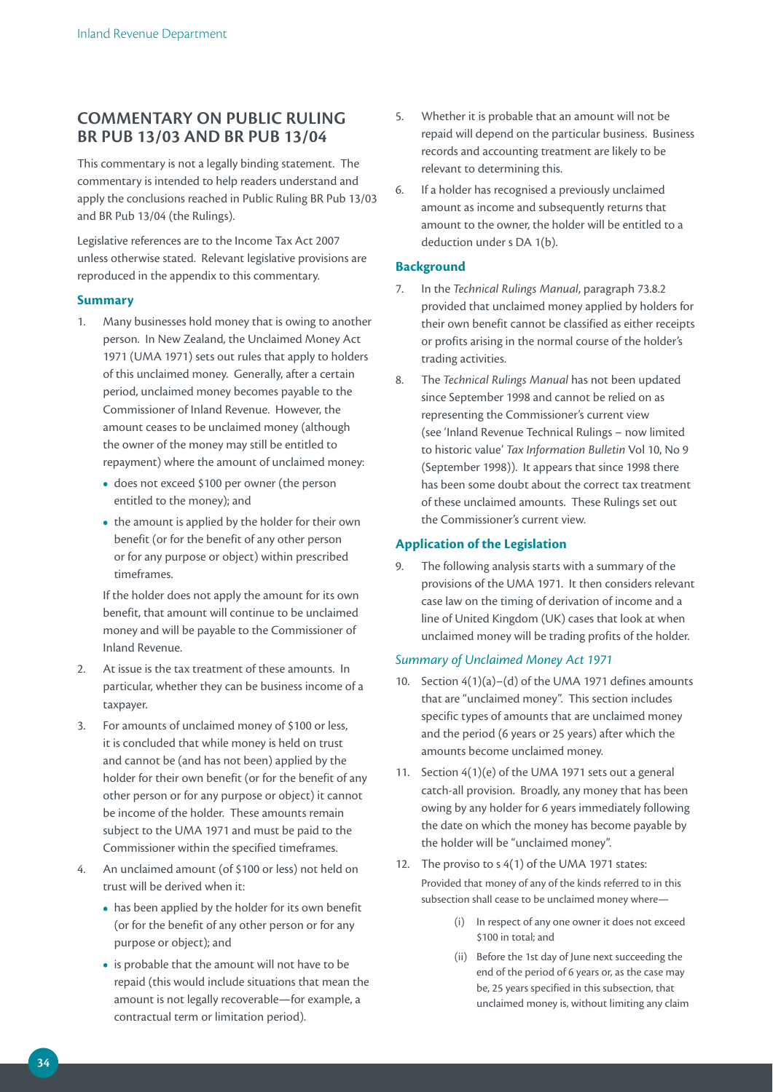# **COMMENTARY ON PUBLIC RULING BR PUB 13/03 AND BR PUB 13/04**

This commentary is not a legally binding statement. The commentary is intended to help readers understand and apply the conclusions reached in Public Ruling BR Pub 13/03 and BR Pub 13/04 (the Rulings).

Legislative references are to the Income Tax Act 2007 unless otherwise stated. Relevant legislative provisions are reproduced in the appendix to this commentary.

#### **Summary**

- 1. Many businesses hold money that is owing to another person. In New Zealand, the Unclaimed Money Act 1971 (UMA 1971) sets out rules that apply to holders of this unclaimed money. Generally, after a certain period, unclaimed money becomes payable to the Commissioner of Inland Revenue. However, the amount ceases to be unclaimed money (although the owner of the money may still be entitled to repayment) where the amount of unclaimed money:
	- **•** does not exceed \$100 per owner (the person entitled to the money); and
	- **•** the amount is applied by the holder for their own benefit (or for the benefit of any other person or for any purpose or object) within prescribed timeframes.

If the holder does not apply the amount for its own benefit, that amount will continue to be unclaimed money and will be payable to the Commissioner of Inland Revenue.

- 2. At issue is the tax treatment of these amounts. In particular, whether they can be business income of a taxpayer.
- 3. For amounts of unclaimed money of \$100 or less, it is concluded that while money is held on trust and cannot be (and has not been) applied by the holder for their own benefit (or for the benefit of any other person or for any purpose or object) it cannot be income of the holder. These amounts remain subject to the UMA 1971 and must be paid to the Commissioner within the specified timeframes.
- 4. An unclaimed amount (of \$100 or less) not held on trust will be derived when it:
	- **•** has been applied by the holder for its own benefit (or for the benefit of any other person or for any purpose or object); and
	- **•** is probable that the amount will not have to be repaid (this would include situations that mean the amount is not legally recoverable—for example, a contractual term or limitation period).
- 5. Whether it is probable that an amount will not be repaid will depend on the particular business. Business records and accounting treatment are likely to be relevant to determining this.
- 6. If a holder has recognised a previously unclaimed amount as income and subsequently returns that amount to the owner, the holder will be entitled to a deduction under s DA 1(b).

# **Background**

- 7. In the *Technical Rulings Manual*, paragraph 73.8.2 provided that unclaimed money applied by holders for their own benefit cannot be classified as either receipts or profits arising in the normal course of the holder's trading activities.
- 8. The *Technical Rulings Manual* has not been updated since September 1998 and cannot be relied on as representing the Commissioner's current view (see 'Inland Revenue Technical Rulings – now limited to historic value' *Tax Information Bulletin* Vol 10, No 9 (September 1998)). It appears that since 1998 there has been some doubt about the correct tax treatment of these unclaimed amounts. These Rulings set out the Commissioner's current view.

# **Application of the Legislation**

9. The following analysis starts with a summary of the provisions of the UMA 1971. It then considers relevant case law on the timing of derivation of income and a line of United Kingdom (UK) cases that look at when unclaimed money will be trading profits of the holder.

# *Summary of Unclaimed Money Act 1971*

- 10. Section 4(1)(a)–(d) of the UMA 1971 defines amounts that are "unclaimed money". This section includes specific types of amounts that are unclaimed money and the period (6 years or 25 years) after which the amounts become unclaimed money.
- 11. Section 4(1)(e) of the UMA 1971 sets out a general catch-all provision. Broadly, any money that has been owing by any holder for 6 years immediately following the date on which the money has become payable by the holder will be "unclaimed money".
- 12. The proviso to s 4(1) of the UMA 1971 states: Provided that money of any of the kinds referred to in this subsection shall cease to be unclaimed money where—
	- (i) In respect of any one owner it does not exceed \$100 in total; and
	- (ii) Before the 1st day of June next succeeding the end of the period of 6 years or, as the case may be, 25 years specified in this subsection, that unclaimed money is, without limiting any claim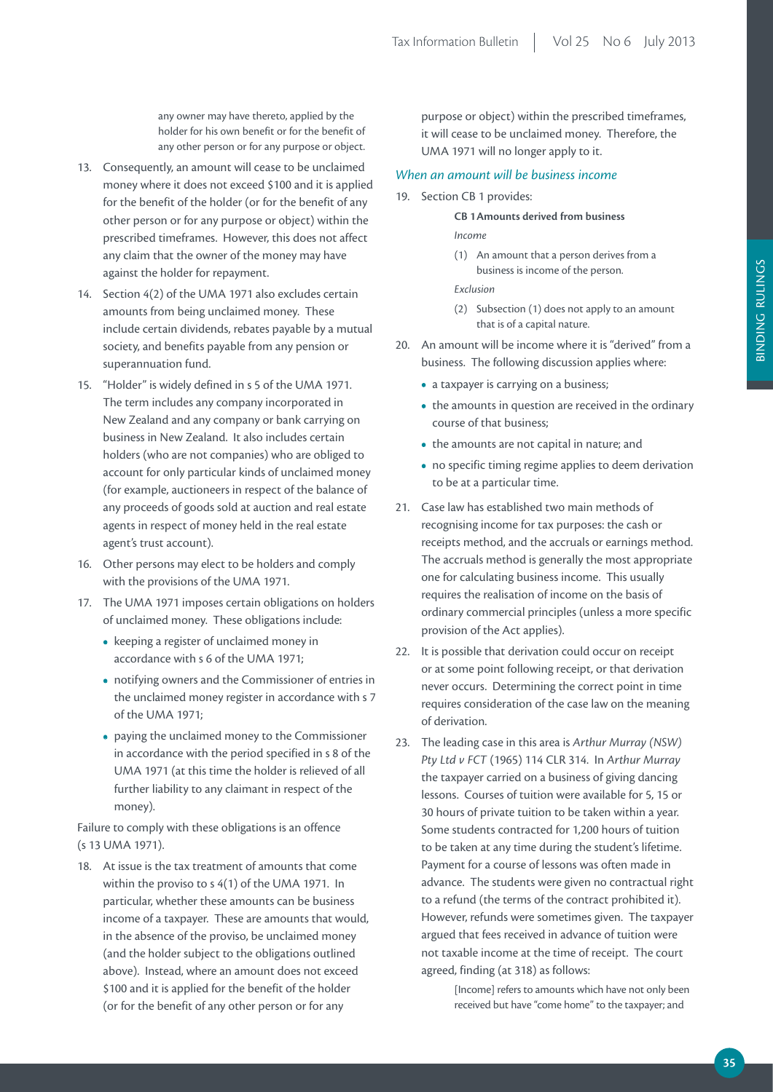any owner may have thereto, applied by the holder for his own benefit or for the benefit of any other person or for any purpose or object.

- 13. Consequently, an amount will cease to be unclaimed money where it does not exceed \$100 and it is applied for the benefit of the holder (or for the benefit of any other person or for any purpose or object) within the prescribed timeframes. However, this does not affect any claim that the owner of the money may have against the holder for repayment.
- 14. Section 4(2) of the UMA 1971 also excludes certain amounts from being unclaimed money. These include certain dividends, rebates payable by a mutual society, and benefits payable from any pension or superannuation fund.
- 15. "Holder" is widely defined in s 5 of the UMA 1971. The term includes any company incorporated in New Zealand and any company or bank carrying on business in New Zealand. It also includes certain holders (who are not companies) who are obliged to account for only particular kinds of unclaimed money (for example, auctioneers in respect of the balance of any proceeds of goods sold at auction and real estate agents in respect of money held in the real estate agent's trust account).
- 16. Other persons may elect to be holders and comply with the provisions of the UMA 1971.
- 17. The UMA 1971 imposes certain obligations on holders of unclaimed money. These obligations include:
	- **•** keeping a register of unclaimed money in accordance with s 6 of the UMA 1971;
	- **•** notifying owners and the Commissioner of entries in the unclaimed money register in accordance with s 7 of the UMA 1971;
	- **•** paying the unclaimed money to the Commissioner in accordance with the period specified in s 8 of the UMA 1971 (at this time the holder is relieved of all further liability to any claimant in respect of the money).

Failure to comply with these obligations is an offence (s 13 UMA 1971).

18. At issue is the tax treatment of amounts that come within the proviso to s 4(1) of the UMA 1971. In particular, whether these amounts can be business income of a taxpayer. These are amounts that would, in the absence of the proviso, be unclaimed money (and the holder subject to the obligations outlined above). Instead, where an amount does not exceed \$100 and it is applied for the benefit of the holder (or for the benefit of any other person or for any

purpose or object) within the prescribed timeframes, it will cease to be unclaimed money. Therefore, the UMA 1971 will no longer apply to it.

# *When an amount will be business income*

19. Section CB 1 provides:

**CB 1Amounts derived from business**

*Income*

(1) An amount that a person derives from a business is income of the person.

*Exclusion*

- (2) Subsection (1) does not apply to an amount that is of a capital nature.
- 20. An amount will be income where it is "derived" from a business. The following discussion applies where:
	- **•** a taxpayer is carrying on a business;
	- **•** the amounts in question are received in the ordinary course of that business;
	- **•** the amounts are not capital in nature; and
	- **•** no specific timing regime applies to deem derivation to be at a particular time.
- 21. Case law has established two main methods of recognising income for tax purposes: the cash or receipts method, and the accruals or earnings method. The accruals method is generally the most appropriate one for calculating business income. This usually requires the realisation of income on the basis of ordinary commercial principles (unless a more specific provision of the Act applies).
- 22. It is possible that derivation could occur on receipt or at some point following receipt, or that derivation never occurs. Determining the correct point in time requires consideration of the case law on the meaning of derivation.
- 23. The leading case in this area is *Arthur Murray (NSW) Pty Ltd v FCT* (1965) 114 CLR 314. In *Arthur Murray* the taxpayer carried on a business of giving dancing lessons. Courses of tuition were available for 5, 15 or 30 hours of private tuition to be taken within a year. Some students contracted for 1,200 hours of tuition to be taken at any time during the student's lifetime. Payment for a course of lessons was often made in advance. The students were given no contractual right to a refund (the terms of the contract prohibited it). However, refunds were sometimes given. The taxpayer argued that fees received in advance of tuition were not taxable income at the time of receipt. The court agreed, finding (at 318) as follows:

[Income] refers to amounts which have not only been received but have "come home" to the taxpayer; and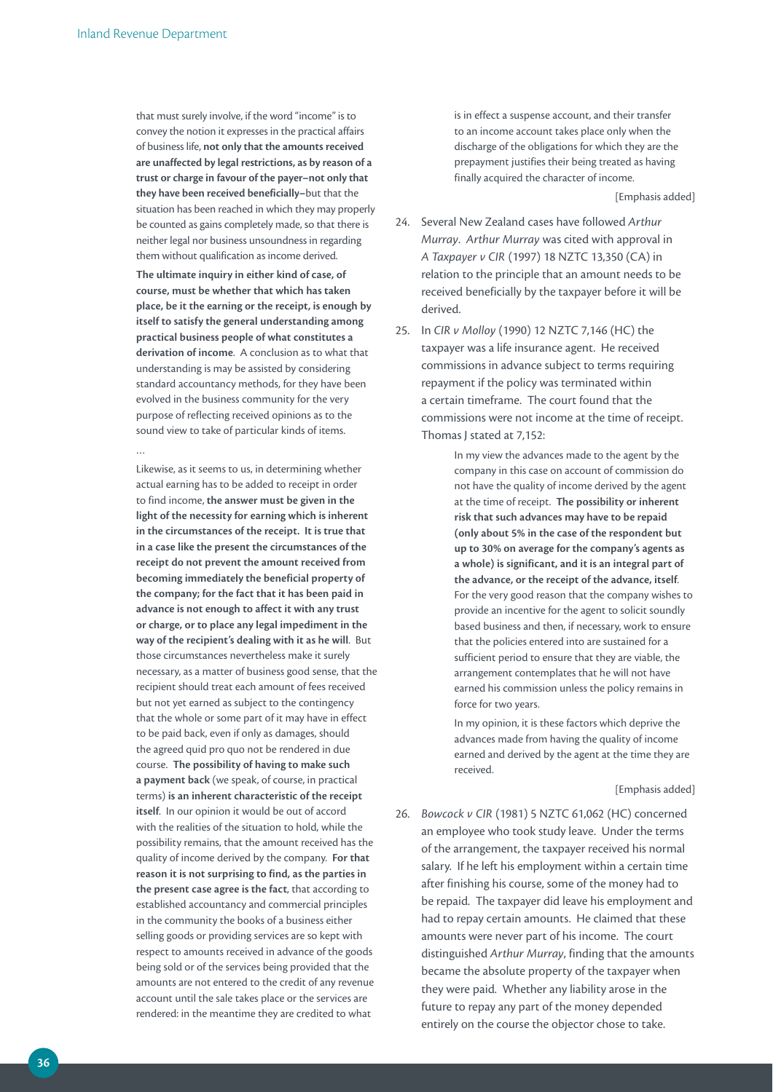…

that must surely involve, if the word "income" is to convey the notion it expresses in the practical affairs of business life, **not only that the amounts received are unaffected by legal restrictions, as by reason of a trust or charge in favour of the payer–not only that they have been received beneficially–**but that the situation has been reached in which they may properly be counted as gains completely made, so that there is neither legal nor business unsoundness in regarding them without qualification as income derived.

**The ultimate inquiry in either kind of case, of course, must be whether that which has taken place, be it the earning or the receipt, is enough by itself to satisfy the general understanding among practical business people of what constitutes a derivation of income**. A conclusion as to what that understanding is may be assisted by considering standard accountancy methods, for they have been evolved in the business community for the very purpose of reflecting received opinions as to the sound view to take of particular kinds of items.

Likewise, as it seems to us, in determining whether actual earning has to be added to receipt in order to find income, **the answer must be given in the light of the necessity for earning which is inherent in the circumstances of the receipt. It is true that in a case like the present the circumstances of the receipt do not prevent the amount received from becoming immediately the beneficial property of the company; for the fact that it has been paid in advance is not enough to affect it with any trust or charge, or to place any legal impediment in the way of the recipient's dealing with it as he will**. But those circumstances nevertheless make it surely necessary, as a matter of business good sense, that the recipient should treat each amount of fees received but not yet earned as subject to the contingency that the whole or some part of it may have in effect to be paid back, even if only as damages, should the agreed quid pro quo not be rendered in due course. **The possibility of having to make such a payment back** (we speak, of course, in practical terms) **is an inherent characteristic of the receipt itself**. In our opinion it would be out of accord with the realities of the situation to hold, while the possibility remains, that the amount received has the quality of income derived by the company. **For that reason it is not surprising to find, as the parties in the present case agree is the fact**, that according to established accountancy and commercial principles in the community the books of a business either selling goods or providing services are so kept with respect to amounts received in advance of the goods being sold or of the services being provided that the amounts are not entered to the credit of any revenue account until the sale takes place or the services are rendered: in the meantime they are credited to what

is in effect a suspense account, and their transfer to an income account takes place only when the discharge of the obligations for which they are the prepayment justifies their being treated as having finally acquired the character of income.

[Emphasis added]

- 24. Several New Zealand cases have followed *Arthur Murray*. *Arthur Murray* was cited with approval in *A Taxpayer v CIR* (1997) 18 NZTC 13,350 (CA) in relation to the principle that an amount needs to be received beneficially by the taxpayer before it will be derived.
- 25. In *CIR v Molloy* (1990) 12 NZTC 7,146 (HC) the taxpayer was a life insurance agent. He received commissions in advance subject to terms requiring repayment if the policy was terminated within a certain timeframe. The court found that the commissions were not income at the time of receipt. Thomas J stated at 7,152:
	- In my view the advances made to the agent by the company in this case on account of commission do not have the quality of income derived by the agent at the time of receipt. **The possibility or inherent risk that such advances may have to be repaid (only about 5% in the case of the respondent but up to 30% on average for the company's agents as a whole) is significant, and it is an integral part of the advance, or the receipt of the advance, itself**. For the very good reason that the company wishes to provide an incentive for the agent to solicit soundly based business and then, if necessary, work to ensure that the policies entered into are sustained for a sufficient period to ensure that they are viable, the arrangement contemplates that he will not have earned his commission unless the policy remains in force for two years.

In my opinion, it is these factors which deprive the advances made from having the quality of income earned and derived by the agent at the time they are received.

#### [Emphasis added]

26. *Bowcock v CIR* (1981) 5 NZTC 61,062 (HC) concerned an employee who took study leave. Under the terms of the arrangement, the taxpayer received his normal salary. If he left his employment within a certain time after finishing his course, some of the money had to be repaid. The taxpayer did leave his employment and had to repay certain amounts. He claimed that these amounts were never part of his income. The court distinguished *Arthur Murray*, finding that the amounts became the absolute property of the taxpayer when they were paid. Whether any liability arose in the future to repay any part of the money depended entirely on the course the objector chose to take.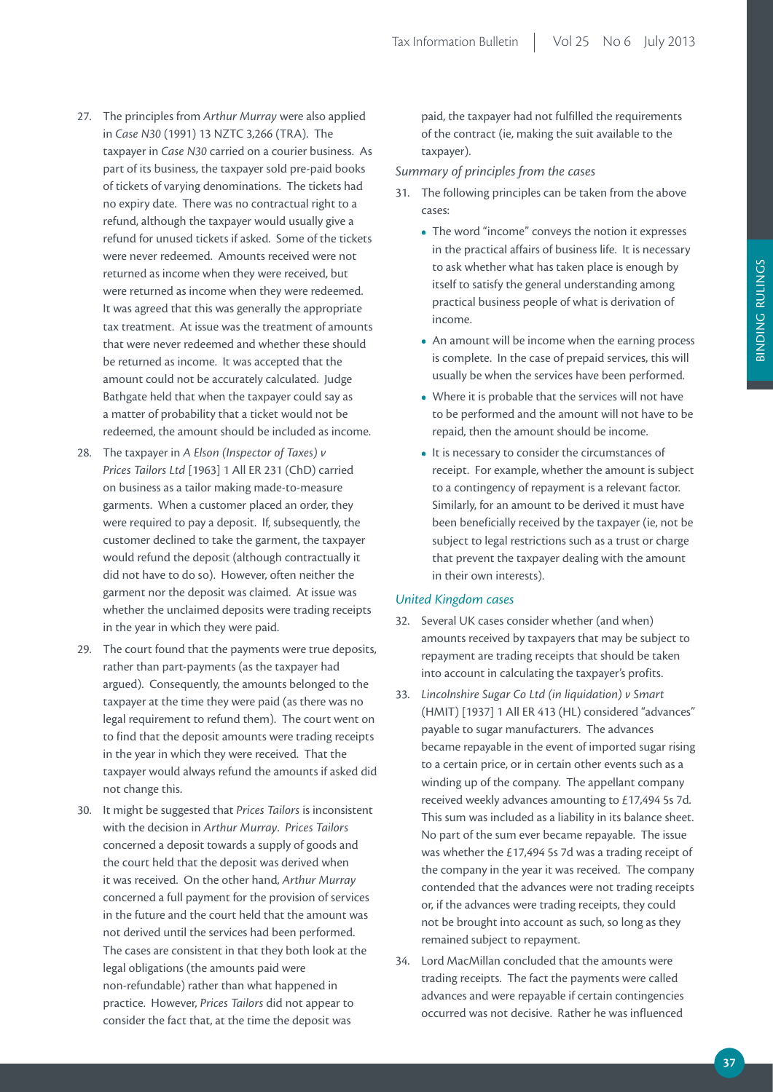- 27. The principles from *Arthur Murray* were also applied in *Case N30* (1991) 13 NZTC 3,266 (TRA). The taxpayer in *Case N30* carried on a courier business. As part of its business, the taxpayer sold pre-paid books of tickets of varying denominations. The tickets had no expiry date. There was no contractual right to a refund, although the taxpayer would usually give a refund for unused tickets if asked. Some of the tickets were never redeemed. Amounts received were not returned as income when they were received, but were returned as income when they were redeemed. It was agreed that this was generally the appropriate tax treatment. At issue was the treatment of amounts that were never redeemed and whether these should be returned as income. It was accepted that the amount could not be accurately calculated. Judge Bathgate held that when the taxpayer could say as a matter of probability that a ticket would not be redeemed, the amount should be included as income.
- 28. The taxpayer in *A Elson (Inspector of Taxes) v Prices Tailors Ltd* [1963] 1 All ER 231 (ChD) carried on business as a tailor making made-to-measure garments. When a customer placed an order, they were required to pay a deposit. If, subsequently, the customer declined to take the garment, the taxpayer would refund the deposit (although contractually it did not have to do so). However, often neither the garment nor the deposit was claimed. At issue was whether the unclaimed deposits were trading receipts in the year in which they were paid.
- 29. The court found that the payments were true deposits, rather than part-payments (as the taxpayer had argued). Consequently, the amounts belonged to the taxpayer at the time they were paid (as there was no legal requirement to refund them). The court went on to find that the deposit amounts were trading receipts in the year in which they were received. That the taxpayer would always refund the amounts if asked did not change this.
- 30. It might be suggested that *Prices Tailors* is inconsistent with the decision in *Arthur Murray*. *Prices Tailors* concerned a deposit towards a supply of goods and the court held that the deposit was derived when it was received. On the other hand, *Arthur Murray* concerned a full payment for the provision of services in the future and the court held that the amount was not derived until the services had been performed. The cases are consistent in that they both look at the legal obligations (the amounts paid were non-refundable) rather than what happened in practice. However, *Prices Tailors* did not appear to consider the fact that, at the time the deposit was

paid, the taxpayer had not fulfilled the requirements of the contract (ie, making the suit available to the taxpayer).

## *Summary of principles from the cases*

- 31. The following principles can be taken from the above cases:
	- **•** The word "income" conveys the notion it expresses in the practical affairs of business life. It is necessary to ask whether what has taken place is enough by itself to satisfy the general understanding among practical business people of what is derivation of income.
	- **•** An amount will be income when the earning process is complete. In the case of prepaid services, this will usually be when the services have been performed.
	- **•** Where it is probable that the services will not have to be performed and the amount will not have to be repaid, then the amount should be income.
	- **•** It is necessary to consider the circumstances of receipt. For example, whether the amount is subject to a contingency of repayment is a relevant factor. Similarly, for an amount to be derived it must have been beneficially received by the taxpayer (ie, not be subject to legal restrictions such as a trust or charge that prevent the taxpayer dealing with the amount in their own interests).

#### *United Kingdom cases*

- 32. Several UK cases consider whether (and when) amounts received by taxpayers that may be subject to repayment are trading receipts that should be taken into account in calculating the taxpayer's profits.
- 33. *Lincolnshire Sugar Co Ltd (in liquidation) v Smart*  (HMIT) [1937] 1 All ER 413 (HL) considered "advances" payable to sugar manufacturers. The advances became repayable in the event of imported sugar rising to a certain price, or in certain other events such as a winding up of the company. The appellant company received weekly advances amounting to £17,494 5s 7d. This sum was included as a liability in its balance sheet. No part of the sum ever became repayable. The issue was whether the £17,494 5s 7d was a trading receipt of the company in the year it was received. The company contended that the advances were not trading receipts or, if the advances were trading receipts, they could not be brought into account as such, so long as they remained subject to repayment.
- 34. Lord MacMillan concluded that the amounts were trading receipts. The fact the payments were called advances and were repayable if certain contingencies occurred was not decisive. Rather he was influenced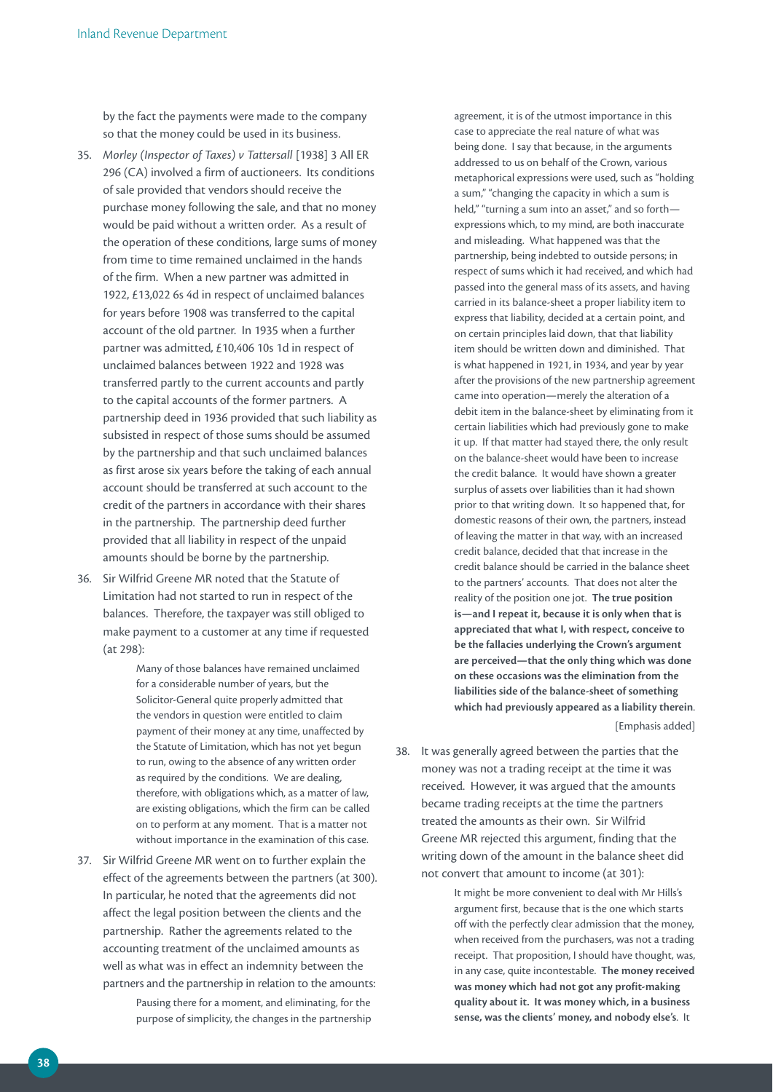by the fact the payments were made to the company so that the money could be used in its business.

- 35. *Morley (Inspector of Taxes) v Tattersall* [1938] 3 All ER 296 (CA) involved a firm of auctioneers. Its conditions of sale provided that vendors should receive the purchase money following the sale, and that no money would be paid without a written order. As a result of the operation of these conditions, large sums of money from time to time remained unclaimed in the hands of the firm. When a new partner was admitted in 1922, £13,022 6s 4d in respect of unclaimed balances for years before 1908 was transferred to the capital account of the old partner. In 1935 when a further partner was admitted, £10,406 10s 1d in respect of unclaimed balances between 1922 and 1928 was transferred partly to the current accounts and partly to the capital accounts of the former partners. A partnership deed in 1936 provided that such liability as subsisted in respect of those sums should be assumed by the partnership and that such unclaimed balances as first arose six years before the taking of each annual account should be transferred at such account to the credit of the partners in accordance with their shares in the partnership. The partnership deed further provided that all liability in respect of the unpaid amounts should be borne by the partnership.
- 36. Sir Wilfrid Greene MR noted that the Statute of Limitation had not started to run in respect of the balances. Therefore, the taxpayer was still obliged to make payment to a customer at any time if requested (at 298):

Many of those balances have remained unclaimed for a considerable number of years, but the Solicitor-General quite properly admitted that the vendors in question were entitled to claim payment of their money at any time, unaffected by the Statute of Limitation, which has not yet begun to run, owing to the absence of any written order as required by the conditions. We are dealing, therefore, with obligations which, as a matter of law, are existing obligations, which the firm can be called on to perform at any moment. That is a matter not without importance in the examination of this case.

37. Sir Wilfrid Greene MR went on to further explain the effect of the agreements between the partners (at 300). In particular, he noted that the agreements did not affect the legal position between the clients and the partnership. Rather the agreements related to the accounting treatment of the unclaimed amounts as well as what was in effect an indemnity between the partners and the partnership in relation to the amounts:

> Pausing there for a moment, and eliminating, for the purpose of simplicity, the changes in the partnership

agreement, it is of the utmost importance in this case to appreciate the real nature of what was being done. I say that because, in the arguments addressed to us on behalf of the Crown, various metaphorical expressions were used, such as "holding a sum," "changing the capacity in which a sum is held," "turning a sum into an asset," and so forth expressions which, to my mind, are both inaccurate and misleading. What happened was that the partnership, being indebted to outside persons; in respect of sums which it had received, and which had passed into the general mass of its assets, and having carried in its balance-sheet a proper liability item to express that liability, decided at a certain point, and on certain principles laid down, that that liability item should be written down and diminished. That is what happened in 1921, in 1934, and year by year after the provisions of the new partnership agreement came into operation—merely the alteration of a debit item in the balance-sheet by eliminating from it certain liabilities which had previously gone to make it up. If that matter had stayed there, the only result on the balance-sheet would have been to increase the credit balance. It would have shown a greater surplus of assets over liabilities than it had shown prior to that writing down. It so happened that, for domestic reasons of their own, the partners, instead of leaving the matter in that way, with an increased credit balance, decided that that increase in the credit balance should be carried in the balance sheet to the partners' accounts. That does not alter the reality of the position one jot. **The true position is—and I repeat it, because it is only when that is appreciated that what I, with respect, conceive to be the fallacies underlying the Crown's argument are perceived—that the only thing which was done on these occasions was the elimination from the liabilities side of the balance-sheet of something which had previously appeared as a liability therein**.

[Emphasis added]

38. It was generally agreed between the parties that the money was not a trading receipt at the time it was received. However, it was argued that the amounts became trading receipts at the time the partners treated the amounts as their own. Sir Wilfrid Greene MR rejected this argument, finding that the writing down of the amount in the balance sheet did not convert that amount to income (at 301):

> It might be more convenient to deal with Mr Hills's argument first, because that is the one which starts off with the perfectly clear admission that the money, when received from the purchasers, was not a trading receipt. That proposition, I should have thought, was, in any case, quite incontestable. **The money received was money which had not got any profit-making quality about it. It was money which, in a business sense, was the clients' money, and nobody else's**. It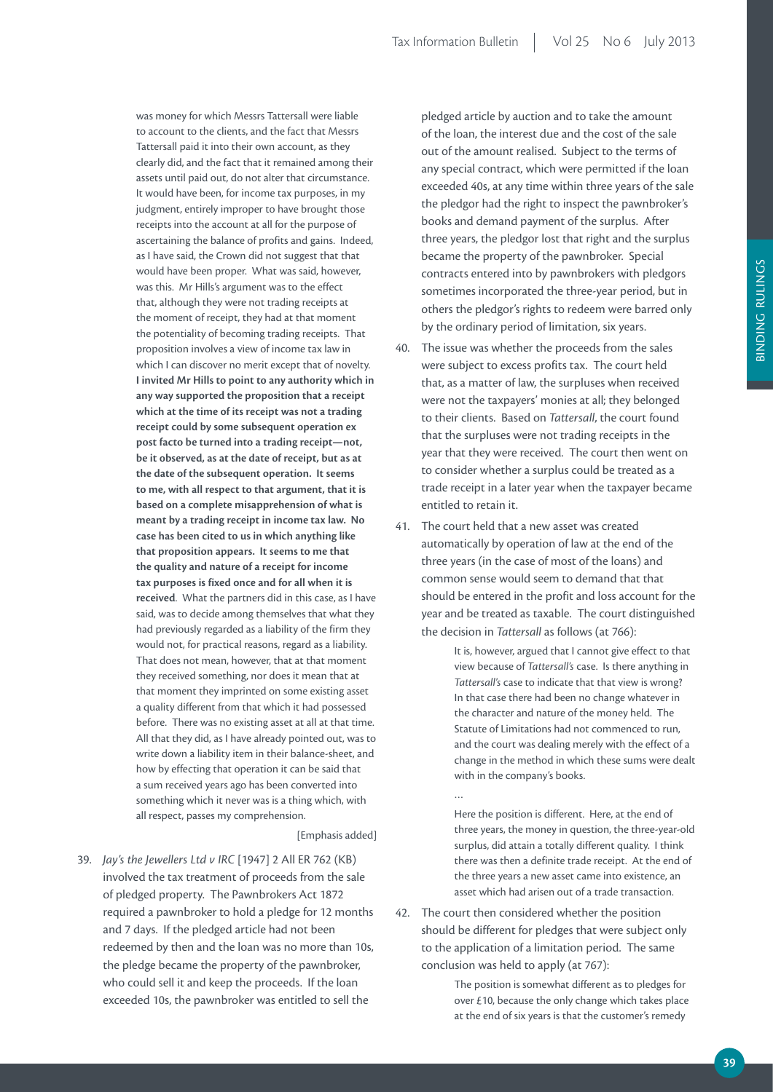was money for which Messrs Tattersall were liable to account to the clients, and the fact that Messrs Tattersall paid it into their own account, as they clearly did, and the fact that it remained among their assets until paid out, do not alter that circumstance. It would have been, for income tax purposes, in my judgment, entirely improper to have brought those receipts into the account at all for the purpose of ascertaining the balance of profits and gains. Indeed, as I have said, the Crown did not suggest that that would have been proper. What was said, however, was this. Mr Hills's argument was to the effect that, although they were not trading receipts at the moment of receipt, they had at that moment the potentiality of becoming trading receipts. That proposition involves a view of income tax law in which I can discover no merit except that of novelty. **I invited Mr Hills to point to any authority which in any way supported the proposition that a receipt which at the time of its receipt was not a trading receipt could by some subsequent operation ex post facto be turned into a trading receipt—not, be it observed, as at the date of receipt, but as at the date of the subsequent operation. It seems to me, with all respect to that argument, that it is based on a complete misapprehension of what is meant by a trading receipt in income tax law. No case has been cited to us in which anything like that proposition appears. It seems to me that the quality and nature of a receipt for income tax purposes is fixed once and for all when it is received**. What the partners did in this case, as I have said, was to decide among themselves that what they had previously regarded as a liability of the firm they would not, for practical reasons, regard as a liability. That does not mean, however, that at that moment they received something, nor does it mean that at that moment they imprinted on some existing asset a quality different from that which it had possessed before. There was no existing asset at all at that time. All that they did, as I have already pointed out, was to write down a liability item in their balance-sheet, and how by effecting that operation it can be said that a sum received years ago has been converted into something which it never was is a thing which, with all respect, passes my comprehension.

#### [Emphasis added]

39. *Jay's the Jewellers Ltd v IRC* [1947] 2 All ER 762 (KB) involved the tax treatment of proceeds from the sale of pledged property. The Pawnbrokers Act 1872 required a pawnbroker to hold a pledge for 12 months and 7 days. If the pledged article had not been redeemed by then and the loan was no more than 10s, the pledge became the property of the pawnbroker, who could sell it and keep the proceeds. If the loan exceeded 10s, the pawnbroker was entitled to sell the

pledged article by auction and to take the amount of the loan, the interest due and the cost of the sale out of the amount realised. Subject to the terms of any special contract, which were permitted if the loan exceeded 40s, at any time within three years of the sale the pledgor had the right to inspect the pawnbroker's books and demand payment of the surplus. After three years, the pledgor lost that right and the surplus became the property of the pawnbroker. Special contracts entered into by pawnbrokers with pledgors sometimes incorporated the three-year period, but in others the pledgor's rights to redeem were barred only by the ordinary period of limitation, six years.

- 40. The issue was whether the proceeds from the sales were subject to excess profits tax. The court held that, as a matter of law, the surpluses when received were not the taxpayers' monies at all; they belonged to their clients. Based on *Tattersall*, the court found that the surpluses were not trading receipts in the year that they were received. The court then went on to consider whether a surplus could be treated as a trade receipt in a later year when the taxpayer became entitled to retain it.
- 41. The court held that a new asset was created automatically by operation of law at the end of the three years (in the case of most of the loans) and common sense would seem to demand that that should be entered in the profit and loss account for the year and be treated as taxable. The court distinguished the decision in *Tattersall* as follows (at 766):

It is, however, argued that I cannot give effect to that view because of *Tattersall's* case. Is there anything in *Tattersall's* case to indicate that that view is wrong? In that case there had been no change whatever in the character and nature of the money held. The Statute of Limitations had not commenced to run, and the court was dealing merely with the effect of a change in the method in which these sums were dealt with in the company's books.

Here the position is different. Here, at the end of three years, the money in question, the three-year-old surplus, did attain a totally different quality. I think there was then a definite trade receipt. At the end of the three years a new asset came into existence, an asset which had arisen out of a trade transaction.

42. The court then considered whether the position should be different for pledges that were subject only to the application of a limitation period. The same conclusion was held to apply (at 767):

…

The position is somewhat different as to pledges for over £10, because the only change which takes place at the end of six years is that the customer's remedy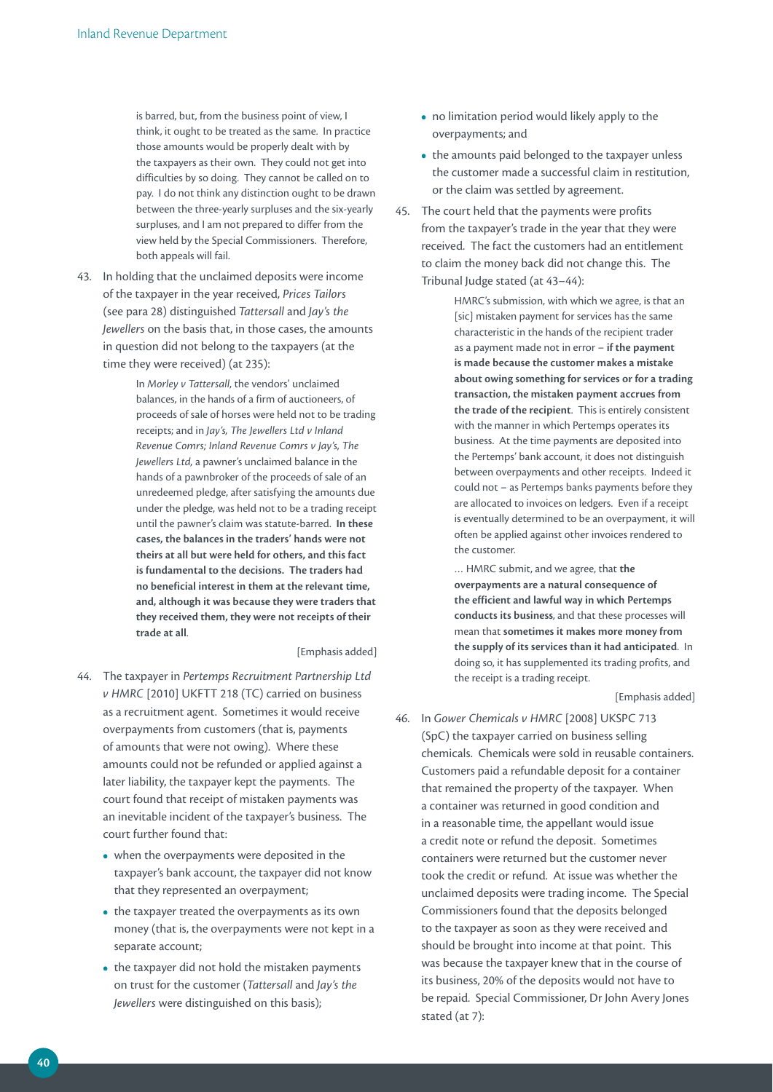is barred, but, from the business point of view, I think, it ought to be treated as the same. In practice those amounts would be properly dealt with by the taxpayers as their own. They could not get into difficulties by so doing. They cannot be called on to pay. I do not think any distinction ought to be drawn between the three-yearly surpluses and the six-yearly surpluses, and I am not prepared to differ from the view held by the Special Commissioners. Therefore, both appeals will fail.

43. In holding that the unclaimed deposits were income of the taxpayer in the year received, *Prices Tailors* (see para 28) distinguished *Tattersall* and *Jay's the Jewellers* on the basis that, in those cases, the amounts in question did not belong to the taxpayers (at the time they were received) (at 235):

> In *Morley v Tattersall*, the vendors' unclaimed balances, in the hands of a firm of auctioneers, of proceeds of sale of horses were held not to be trading receipts; and in *Jay's, The Jewellers Ltd v Inland Revenue Comrs; Inland Revenue Comrs v Jay's, The Jewellers Ltd,* a pawner's unclaimed balance in the hands of a pawnbroker of the proceeds of sale of an unredeemed pledge, after satisfying the amounts due under the pledge, was held not to be a trading receipt until the pawner's claim was statute-barred. **In these cases, the balances in the traders' hands were not theirs at all but were held for others, and this fact is fundamental to the decisions. The traders had no beneficial interest in them at the relevant time, and, although it was because they were traders that they received them, they were not receipts of their trade at all**.

#### [Emphasis added]

- 44. The taxpayer in *Pertemps Recruitment Partnership Ltd v HMRC* [2010] UKFTT 218 (TC) carried on business as a recruitment agent. Sometimes it would receive overpayments from customers (that is, payments of amounts that were not owing). Where these amounts could not be refunded or applied against a later liability, the taxpayer kept the payments. The court found that receipt of mistaken payments was an inevitable incident of the taxpayer's business. The court further found that:
	- **•** when the overpayments were deposited in the taxpayer's bank account, the taxpayer did not know that they represented an overpayment;
	- **•** the taxpayer treated the overpayments as its own money (that is, the overpayments were not kept in a separate account;
	- **•** the taxpayer did not hold the mistaken payments on trust for the customer (*Tattersall* and *Jay's the Jewellers* were distinguished on this basis);
- **•** no limitation period would likely apply to the overpayments; and
- **•** the amounts paid belonged to the taxpayer unless the customer made a successful claim in restitution, or the claim was settled by agreement.
- 45. The court held that the payments were profits from the taxpayer's trade in the year that they were received. The fact the customers had an entitlement to claim the money back did not change this. The Tribunal Judge stated (at 43–44):

HMRC's submission, with which we agree, is that an [sic] mistaken payment for services has the same characteristic in the hands of the recipient trader as a payment made not in error – **if the payment is made because the customer makes a mistake about owing something for services or for a trading transaction, the mistaken payment accrues from the trade of the recipient**. This is entirely consistent with the manner in which Pertemps operates its business. At the time payments are deposited into the Pertemps' bank account, it does not distinguish between overpayments and other receipts. Indeed it could not – as Pertemps banks payments before they are allocated to invoices on ledgers. Even if a receipt is eventually determined to be an overpayment, it will often be applied against other invoices rendered to the customer.

… HMRC submit, and we agree, that **the overpayments are a natural consequence of the efficient and lawful way in which Pertemps conducts its business**, and that these processes will mean that **sometimes it makes more money from the supply of its services than it had anticipated**. In doing so, it has supplemented its trading profits, and the receipt is a trading receipt.

#### [Emphasis added]

46. In *Gower Chemicals v HMRC* [2008] UKSPC 713 (SpC) the taxpayer carried on business selling chemicals. Chemicals were sold in reusable containers. Customers paid a refundable deposit for a container that remained the property of the taxpayer. When a container was returned in good condition and in a reasonable time, the appellant would issue a credit note or refund the deposit. Sometimes containers were returned but the customer never took the credit or refund. At issue was whether the unclaimed deposits were trading income. The Special Commissioners found that the deposits belonged to the taxpayer as soon as they were received and should be brought into income at that point. This was because the taxpayer knew that in the course of its business, 20% of the deposits would not have to be repaid. Special Commissioner, Dr John Avery Jones stated (at 7):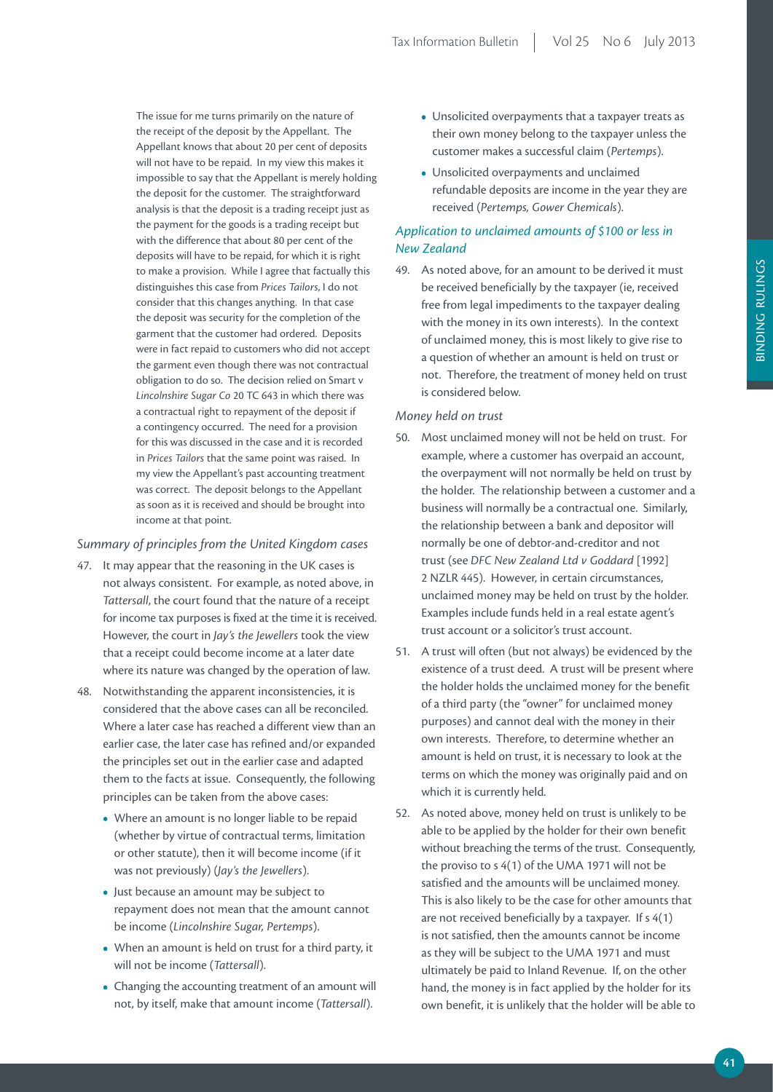The issue for me turns primarily on the nature of the receipt of the deposit by the Appellant. The Appellant knows that about 20 per cent of deposits will not have to be repaid. In my view this makes it impossible to say that the Appellant is merely holding the deposit for the customer. The straightforward analysis is that the deposit is a trading receipt just as the payment for the goods is a trading receipt but with the difference that about 80 per cent of the deposits will have to be repaid, for which it is right to make a provision. While I agree that factually this distinguishes this case from *Prices Tailors*, I do not consider that this changes anything. In that case the deposit was security for the completion of the garment that the customer had ordered. Deposits were in fact repaid to customers who did not accept the garment even though there was not contractual obligation to do so. The decision relied on Smart v *Lincolnshire Sugar Co* 20 TC 643 in which there was a contractual right to repayment of the deposit if a contingency occurred. The need for a provision for this was discussed in the case and it is recorded in *Prices Tailors* that the same point was raised. In my view the Appellant's past accounting treatment was correct. The deposit belongs to the Appellant as soon as it is received and should be brought into income at that point.

## *Summary of principles from the United Kingdom cases*

- 47. It may appear that the reasoning in the UK cases is not always consistent. For example, as noted above, in *Tattersall*, the court found that the nature of a receipt for income tax purposes is fixed at the time it is received. However, the court in *Jay's the Jewellers* took the view that a receipt could become income at a later date where its nature was changed by the operation of law.
- 48. Notwithstanding the apparent inconsistencies, it is considered that the above cases can all be reconciled. Where a later case has reached a different view than an earlier case, the later case has refined and/or expanded the principles set out in the earlier case and adapted them to the facts at issue. Consequently, the following principles can be taken from the above cases:
	- **•** Where an amount is no longer liable to be repaid (whether by virtue of contractual terms, limitation or other statute), then it will become income (if it was not previously) (*Jay's the Jewellers*).
	- **•** Just because an amount may be subject to repayment does not mean that the amount cannot be income (*Lincolnshire Sugar, Pertemps*).
	- **•** When an amount is held on trust for a third party, it will not be income (*Tattersall*).
	- **•** Changing the accounting treatment of an amount will not, by itself, make that amount income (*Tattersall*).
- **•** Unsolicited overpayments that a taxpayer treats as their own money belong to the taxpayer unless the customer makes a successful claim (*Pertemps*).
- **•** Unsolicited overpayments and unclaimed refundable deposits are income in the year they are received (*Pertemps, Gower Chemicals*).

# *Application to unclaimed amounts of \$100 or less in New Zealand*

49. As noted above, for an amount to be derived it must be received beneficially by the taxpayer (ie, received free from legal impediments to the taxpayer dealing with the money in its own interests). In the context of unclaimed money, this is most likely to give rise to a question of whether an amount is held on trust or not. Therefore, the treatment of money held on trust is considered below.

# *Money held on trust*

- 50. Most unclaimed money will not be held on trust. For example, where a customer has overpaid an account, the overpayment will not normally be held on trust by the holder. The relationship between a customer and a business will normally be a contractual one. Similarly, the relationship between a bank and depositor will normally be one of debtor-and-creditor and not trust (see *DFC New Zealand Ltd v Goddard* [1992] 2 NZLR 445). However, in certain circumstances, unclaimed money may be held on trust by the holder. Examples include funds held in a real estate agent's trust account or a solicitor's trust account.
- 51. A trust will often (but not always) be evidenced by the existence of a trust deed. A trust will be present where the holder holds the unclaimed money for the benefit of a third party (the "owner" for unclaimed money purposes) and cannot deal with the money in their own interests. Therefore, to determine whether an amount is held on trust, it is necessary to look at the terms on which the money was originally paid and on which it is currently held.
- 52. As noted above, money held on trust is unlikely to be able to be applied by the holder for their own benefit without breaching the terms of the trust. Consequently, the proviso to s 4(1) of the UMA 1971 will not be satisfied and the amounts will be unclaimed money. This is also likely to be the case for other amounts that are not received beneficially by a taxpayer. If s 4(1) is not satisfied, then the amounts cannot be income as they will be subject to the UMA 1971 and must ultimately be paid to Inland Revenue. If, on the other hand, the money is in fact applied by the holder for its own benefit, it is unlikely that the holder will be able to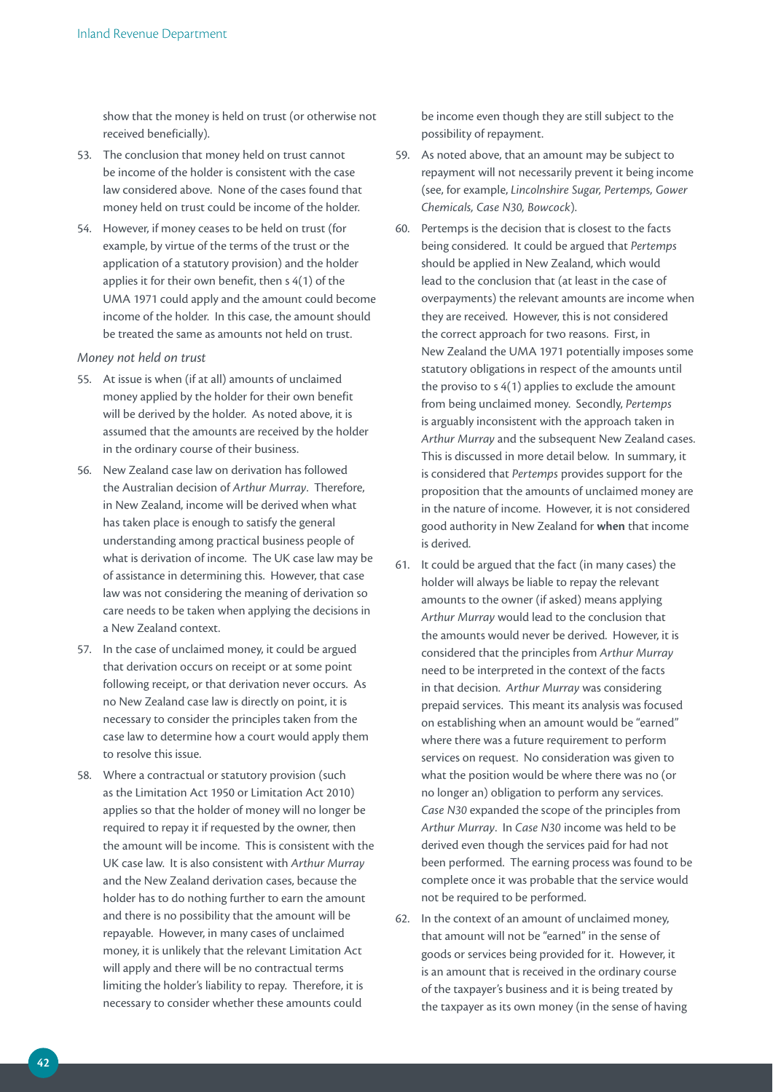show that the money is held on trust (or otherwise not received beneficially).

- 53. The conclusion that money held on trust cannot be income of the holder is consistent with the case law considered above. None of the cases found that money held on trust could be income of the holder.
- 54. However, if money ceases to be held on trust (for example, by virtue of the terms of the trust or the application of a statutory provision) and the holder applies it for their own benefit, then s 4(1) of the UMA 1971 could apply and the amount could become income of the holder. In this case, the amount should be treated the same as amounts not held on trust.

#### *Money not held on trust*

- 55. At issue is when (if at all) amounts of unclaimed money applied by the holder for their own benefit will be derived by the holder. As noted above, it is assumed that the amounts are received by the holder in the ordinary course of their business.
- 56. New Zealand case law on derivation has followed the Australian decision of *Arthur Murray*. Therefore, in New Zealand, income will be derived when what has taken place is enough to satisfy the general understanding among practical business people of what is derivation of income. The UK case law may be of assistance in determining this. However, that case law was not considering the meaning of derivation so care needs to be taken when applying the decisions in a New Zealand context.
- 57. In the case of unclaimed money, it could be argued that derivation occurs on receipt or at some point following receipt, or that derivation never occurs. As no New Zealand case law is directly on point, it is necessary to consider the principles taken from the case law to determine how a court would apply them to resolve this issue.
- 58. Where a contractual or statutory provision (such as the Limitation Act 1950 or Limitation Act 2010) applies so that the holder of money will no longer be required to repay it if requested by the owner, then the amount will be income. This is consistent with the UK case law. It is also consistent with *Arthur Murray* and the New Zealand derivation cases, because the holder has to do nothing further to earn the amount and there is no possibility that the amount will be repayable. However, in many cases of unclaimed money, it is unlikely that the relevant Limitation Act will apply and there will be no contractual terms limiting the holder's liability to repay. Therefore, it is necessary to consider whether these amounts could

be income even though they are still subject to the possibility of repayment.

- 59. As noted above, that an amount may be subject to repayment will not necessarily prevent it being income (see, for example, *Lincolnshire Sugar, Pertemps, Gower Chemicals, Case N30, Bowcock*).
- 60. Pertemps is the decision that is closest to the facts being considered. It could be argued that *Pertemps* should be applied in New Zealand, which would lead to the conclusion that (at least in the case of overpayments) the relevant amounts are income when they are received. However, this is not considered the correct approach for two reasons. First, in New Zealand the UMA 1971 potentially imposes some statutory obligations in respect of the amounts until the proviso to s 4(1) applies to exclude the amount from being unclaimed money. Secondly, *Pertemps* is arguably inconsistent with the approach taken in *Arthur Murray* and the subsequent New Zealand cases. This is discussed in more detail below. In summary, it is considered that *Pertemps* provides support for the proposition that the amounts of unclaimed money are in the nature of income. However, it is not considered good authority in New Zealand for **when** that income is derived.
- 61. It could be argued that the fact (in many cases) the holder will always be liable to repay the relevant amounts to the owner (if asked) means applying *Arthur Murray* would lead to the conclusion that the amounts would never be derived. However, it is considered that the principles from *Arthur Murray* need to be interpreted in the context of the facts in that decision. *Arthur Murray* was considering prepaid services. This meant its analysis was focused on establishing when an amount would be "earned" where there was a future requirement to perform services on request. No consideration was given to what the position would be where there was no (or no longer an) obligation to perform any services. *Case N30* expanded the scope of the principles from *Arthur Murray*. In *Case N30* income was held to be derived even though the services paid for had not been performed. The earning process was found to be complete once it was probable that the service would not be required to be performed.
- 62. In the context of an amount of unclaimed money, that amount will not be "earned" in the sense of goods or services being provided for it. However, it is an amount that is received in the ordinary course of the taxpayer's business and it is being treated by the taxpayer as its own money (in the sense of having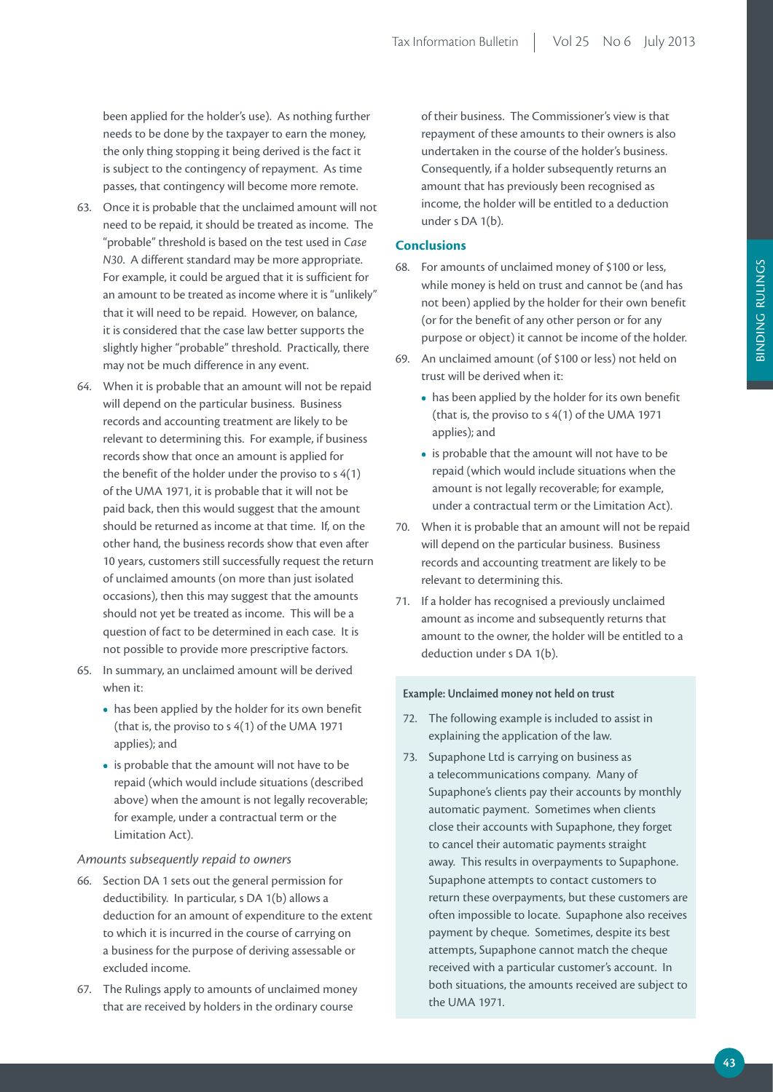been applied for the holder's use). As nothing further needs to be done by the taxpayer to earn the money, the only thing stopping it being derived is the fact it is subject to the contingency of repayment. As time passes, that contingency will become more remote.

- 63. Once it is probable that the unclaimed amount will not need to be repaid, it should be treated as income. The "probable" threshold is based on the test used in *Case N30*. A different standard may be more appropriate. For example, it could be argued that it is sufficient for an amount to be treated as income where it is "unlikely" that it will need to be repaid. However, on balance, it is considered that the case law better supports the slightly higher "probable" threshold. Practically, there may not be much difference in any event.
- 64. When it is probable that an amount will not be repaid will depend on the particular business. Business records and accounting treatment are likely to be relevant to determining this. For example, if business records show that once an amount is applied for the benefit of the holder under the proviso to s 4(1) of the UMA 1971, it is probable that it will not be paid back, then this would suggest that the amount should be returned as income at that time. If, on the other hand, the business records show that even after 10 years, customers still successfully request the return of unclaimed amounts (on more than just isolated occasions), then this may suggest that the amounts should not yet be treated as income. This will be a question of fact to be determined in each case. It is not possible to provide more prescriptive factors.
- 65. In summary, an unclaimed amount will be derived when it:
	- **•** has been applied by the holder for its own benefit (that is, the proviso to s 4(1) of the UMA 1971 applies); and
	- **•** is probable that the amount will not have to be repaid (which would include situations (described above) when the amount is not legally recoverable; for example, under a contractual term or the Limitation Act).

#### *Amounts subsequently repaid to owners*

- 66. Section DA 1 sets out the general permission for deductibility. In particular, s DA 1(b) allows a deduction for an amount of expenditure to the extent to which it is incurred in the course of carrying on a business for the purpose of deriving assessable or excluded income.
- 67. The Rulings apply to amounts of unclaimed money that are received by holders in the ordinary course

of their business. The Commissioner's view is that repayment of these amounts to their owners is also undertaken in the course of the holder's business. Consequently, if a holder subsequently returns an amount that has previously been recognised as income, the holder will be entitled to a deduction under s DA 1(b).

# **Conclusions**

- 68. For amounts of unclaimed money of \$100 or less, while money is held on trust and cannot be (and has not been) applied by the holder for their own benefit (or for the benefit of any other person or for any purpose or object) it cannot be income of the holder.
- 69. An unclaimed amount (of \$100 or less) not held on trust will be derived when it:
	- **•** has been applied by the holder for its own benefit (that is, the proviso to s 4(1) of the UMA 1971 applies); and
	- **•** is probable that the amount will not have to be repaid (which would include situations when the amount is not legally recoverable; for example, under a contractual term or the Limitation Act).
- 70. When it is probable that an amount will not be repaid will depend on the particular business. Business records and accounting treatment are likely to be relevant to determining this.
- 71. If a holder has recognised a previously unclaimed amount as income and subsequently returns that amount to the owner, the holder will be entitled to a deduction under s DA 1(b).

#### **Example: Unclaimed money not held on trust**

- 72. The following example is included to assist in explaining the application of the law.
- 73. Supaphone Ltd is carrying on business as a telecommunications company. Many of Supaphone's clients pay their accounts by monthly automatic payment. Sometimes when clients close their accounts with Supaphone, they forget to cancel their automatic payments straight away. This results in overpayments to Supaphone. Supaphone attempts to contact customers to return these overpayments, but these customers are often impossible to locate. Supaphone also receives payment by cheque. Sometimes, despite its best attempts, Supaphone cannot match the cheque received with a particular customer's account. In both situations, the amounts received are subject to the UMA 1971.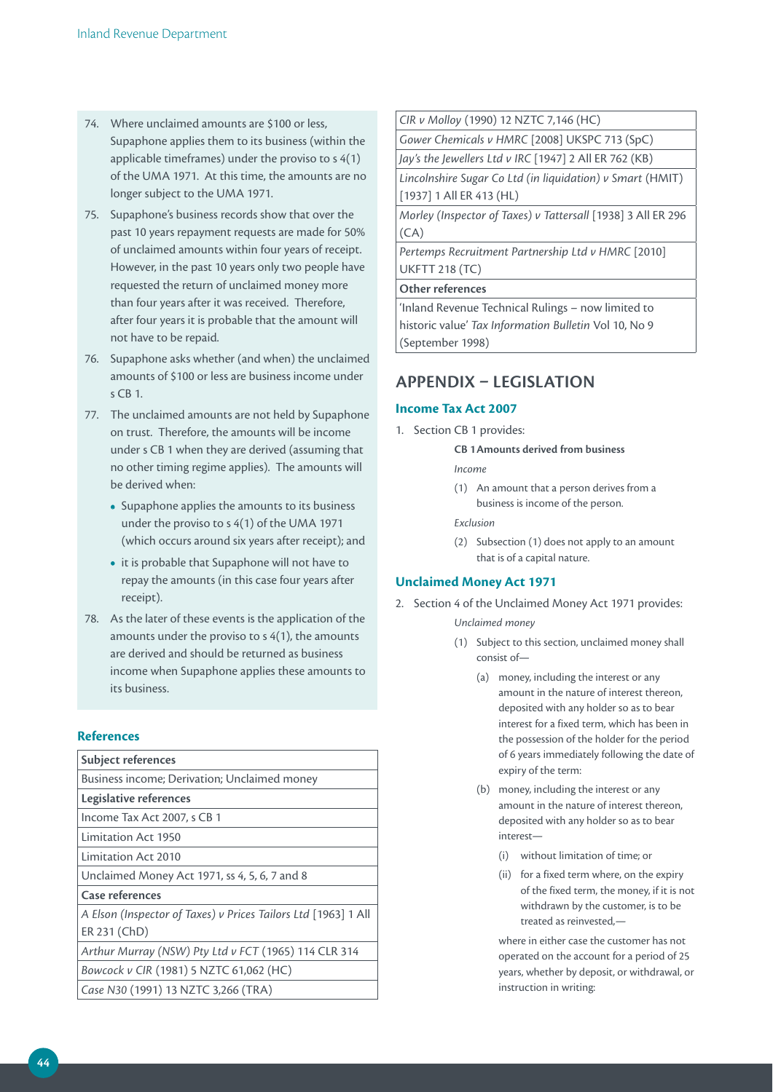- 74. Where unclaimed amounts are \$100 or less, Supaphone applies them to its business (within the applicable timeframes) under the proviso to s 4(1) of the UMA 1971. At this time, the amounts are no longer subject to the UMA 1971.
- 75. Supaphone's business records show that over the past 10 years repayment requests are made for 50% of unclaimed amounts within four years of receipt. However, in the past 10 years only two people have requested the return of unclaimed money more than four years after it was received. Therefore, after four years it is probable that the amount will not have to be repaid.
- 76. Supaphone asks whether (and when) the unclaimed amounts of \$100 or less are business income under  $s$  CB 1.
- 77. The unclaimed amounts are not held by Supaphone on trust. Therefore, the amounts will be income under s CB 1 when they are derived (assuming that no other timing regime applies). The amounts will be derived when:
	- **•** Supaphone applies the amounts to its business under the proviso to s 4(1) of the UMA 1971 (which occurs around six years after receipt); and
	- **•** it is probable that Supaphone will not have to repay the amounts (in this case four years after receipt).
- 78. As the later of these events is the application of the amounts under the proviso to s 4(1), the amounts are derived and should be returned as business income when Supaphone applies these amounts to its business.

# **References**

| <b>Subject references</b>                                      |
|----------------------------------------------------------------|
| Business income; Derivation; Unclaimed money                   |
| Legislative references                                         |
| Income Tax Act 2007, s CB 1                                    |
| Limitation Act 1950                                            |
| Limitation Act 2010                                            |
| Unclaimed Money Act 1971, ss 4, 5, 6, 7 and 8                  |
| Case references                                                |
| A Elson (Inspector of Taxes) v Prices Tailors Ltd [1963] 1 All |
| ER 231 (ChD)                                                   |
| Arthur Murray (NSW) Pty Ltd v FCT (1965) 114 CLR 314           |
| Bowcock v CIR (1981) 5 NZTC 61,062 (HC)                        |
| Case N30 (1991) 13 NZTC 3,266 (TRA)                            |

*CIR v Molloy* (1990) 12 NZTC 7,146 (HC)

*Gower Chemicals v HMRC* [2008] UKSPC 713 (SpC)

*Jay's the Jewellers Ltd v IRC* [1947] 2 All ER 762 (KB)

*Lincolnshire Sugar Co Ltd (in liquidation) v Smart* (HMIT)

[1937] 1 All ER 413 (HL)

*Morley (Inspector of Taxes) v Tattersall* [1938] 3 All ER 296  $(CA)$ 

*Pertemps Recruitment Partnership Ltd v HMRC* [2010] UKFTT 218 (TC)

#### **Other references**

'Inland Revenue Technical Rulings – now limited to historic value' *Tax Information Bulletin* Vol 10, No 9 (September 1998)

# **APPENDIX – LEGISLATION**

# **Income Tax Act 2007**

1. Section CB 1 provides:

**CB 1Amounts derived from business** 

*Income* 

(1) An amount that a person derives from a business is income of the person.

*Exclusion*

(2) Subsection (1) does not apply to an amount that is of a capital nature.

# **Unclaimed Money Act 1971**

- 2. Section 4 of the Unclaimed Money Act 1971 provides: *Unclaimed money*
	- (1) Subject to this section, unclaimed money shall consist of—
		- (a) money, including the interest or any amount in the nature of interest thereon, deposited with any holder so as to bear interest for a fixed term, which has been in the possession of the holder for the period of 6 years immediately following the date of expiry of the term:
		- (b) money, including the interest or any amount in the nature of interest thereon, deposited with any holder so as to bear interest—
			- (i) without limitation of time; or
			- (ii) for a fixed term where, on the expiry of the fixed term, the money, if it is not withdrawn by the customer, is to be treated as reinvested,—

where in either case the customer has not operated on the account for a period of 25 years, whether by deposit, or withdrawal, or instruction in writing: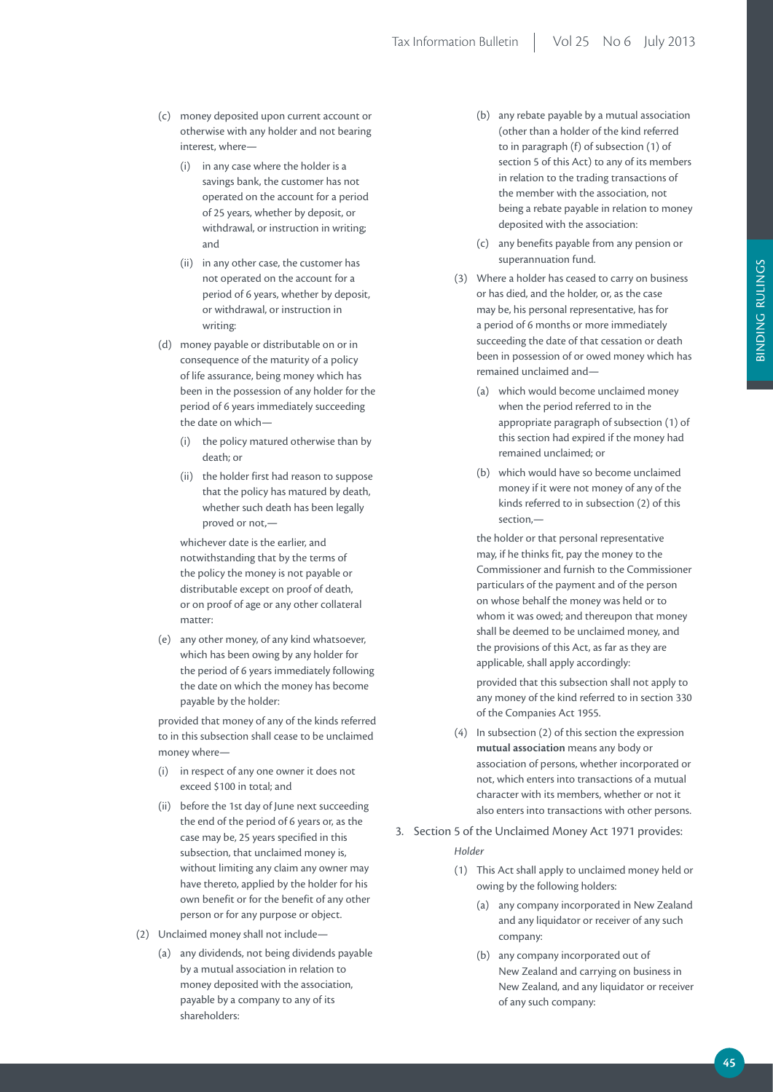- (c) money deposited upon current account or otherwise with any holder and not bearing interest, where—
	- (i) in any case where the holder is a savings bank, the customer has not operated on the account for a period of 25 years, whether by deposit, or withdrawal, or instruction in writing; and
	- (ii) in any other case, the customer has not operated on the account for a period of 6 years, whether by deposit, or withdrawal, or instruction in writing:
- (d) money payable or distributable on or in consequence of the maturity of a policy of life assurance, being money which has been in the possession of any holder for the period of 6 years immediately succeeding the date on which—
	- (i) the policy matured otherwise than by death; or
	- (ii) the holder first had reason to suppose that the policy has matured by death, whether such death has been legally proved or not,—

whichever date is the earlier, and notwithstanding that by the terms of the policy the money is not payable or distributable except on proof of death, or on proof of age or any other collateral matter:

(e) any other money, of any kind whatsoever, which has been owing by any holder for the period of 6 years immediately following the date on which the money has become payable by the holder:

provided that money of any of the kinds referred to in this subsection shall cease to be unclaimed money where—

- (i) in respect of any one owner it does not exceed \$100 in total; and
- (ii) before the 1st day of June next succeeding the end of the period of 6 years or, as the case may be, 25 years specified in this subsection, that unclaimed money is, without limiting any claim any owner may have thereto, applied by the holder for his own benefit or for the benefit of any other person or for any purpose or object.
- (2) Unclaimed money shall not include—
	- (a) any dividends, not being dividends payable by a mutual association in relation to money deposited with the association, payable by a company to any of its shareholders:
- (b) any rebate payable by a mutual association (other than a holder of the kind referred to in paragraph (f) of subsection (1) of section 5 of this Act) to any of its members in relation to the trading transactions of the member with the association, not being a rebate payable in relation to money deposited with the association:
- (c) any benefits payable from any pension or superannuation fund.
- (3) Where a holder has ceased to carry on business or has died, and the holder, or, as the case may be, his personal representative, has for a period of 6 months or more immediately succeeding the date of that cessation or death been in possession of or owed money which has remained unclaimed and—
	- (a) which would become unclaimed money when the period referred to in the appropriate paragraph of subsection (1) of this section had expired if the money had remained unclaimed; or
	- (b) which would have so become unclaimed money if it were not money of any of the kinds referred to in subsection (2) of this section,—

the holder or that personal representative may, if he thinks fit, pay the money to the Commissioner and furnish to the Commissioner particulars of the payment and of the person on whose behalf the money was held or to whom it was owed; and thereupon that money shall be deemed to be unclaimed money, and the provisions of this Act, as far as they are applicable, shall apply accordingly: provided that this subsection shall not apply to any money of the kind referred to in section 330 of the Companies Act 1955.

- (4) In subsection (2) of this section the expression **mutual association** means any body or association of persons, whether incorporated or not, which enters into transactions of a mutual character with its members, whether or not it also enters into transactions with other persons.
- 3. Section 5 of the Unclaimed Money Act 1971 provides: *Holder*
	- (1) This Act shall apply to unclaimed money held or owing by the following holders:
		- (a) any company incorporated in New Zealand and any liquidator or receiver of any such company:
		- (b) any company incorporated out of New Zealand and carrying on business in New Zealand, and any liquidator or receiver of any such company: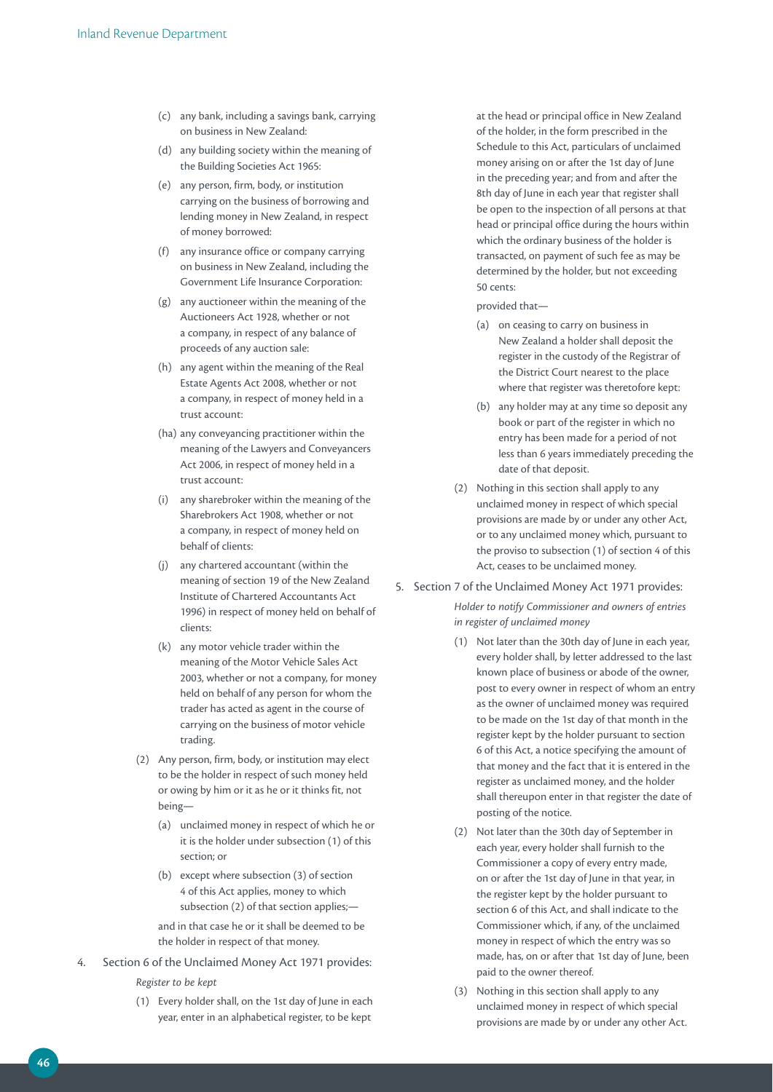- (c) any bank, including a savings bank, carrying on business in New Zealand:
- (d) any building society within the meaning of the Building Societies Act 1965:
- (e) any person, firm, body, or institution carrying on the business of borrowing and lending money in New Zealand, in respect of money borrowed:
- (f) any insurance office or company carrying on business in New Zealand, including the Government Life Insurance Corporation:
- (g) any auctioneer within the meaning of the Auctioneers Act 1928, whether or not a company, in respect of any balance of proceeds of any auction sale:
- (h) any agent within the meaning of the Real Estate Agents Act 2008, whether or not a company, in respect of money held in a trust account:
- (ha) any conveyancing practitioner within the meaning of the Lawyers and Conveyancers Act 2006, in respect of money held in a trust account:
- (i) any sharebroker within the meaning of the Sharebrokers Act 1908, whether or not a company, in respect of money held on behalf of clients:
- (j) any chartered accountant (within the meaning of section 19 of the New Zealand Institute of Chartered Accountants Act 1996) in respect of money held on behalf of clients:
- (k) any motor vehicle trader within the meaning of the Motor Vehicle Sales Act 2003, whether or not a company, for money held on behalf of any person for whom the trader has acted as agent in the course of carrying on the business of motor vehicle trading.
- (2) Any person, firm, body, or institution may elect to be the holder in respect of such money held or owing by him or it as he or it thinks fit, not being—
	- (a) unclaimed money in respect of which he or it is the holder under subsection (1) of this section; or
	- (b) except where subsection (3) of section 4 of this Act applies, money to which subsection (2) of that section applies;—

and in that case he or it shall be deemed to be the holder in respect of that money.

4. Section 6 of the Unclaimed Money Act 1971 provides:

*Register to be kept*

(1) Every holder shall, on the 1st day of June in each year, enter in an alphabetical register, to be kept

at the head or principal office in New Zealand of the holder, in the form prescribed in the Schedule to this Act, particulars of unclaimed money arising on or after the 1st day of June in the preceding year; and from and after the 8th day of June in each year that register shall be open to the inspection of all persons at that head or principal office during the hours within which the ordinary business of the holder is transacted, on payment of such fee as may be determined by the holder, but not exceeding 50 cents:

provided that—

- (a) on ceasing to carry on business in New Zealand a holder shall deposit the register in the custody of the Registrar of the District Court nearest to the place where that register was theretofore kept:
- (b) any holder may at any time so deposit any book or part of the register in which no entry has been made for a period of not less than 6 years immediately preceding the date of that deposit.
- (2) Nothing in this section shall apply to any unclaimed money in respect of which special provisions are made by or under any other Act, or to any unclaimed money which, pursuant to the proviso to subsection (1) of section 4 of this Act, ceases to be unclaimed money.
- 5. Section 7 of the Unclaimed Money Act 1971 provides: *Holder to notify Commissioner and owners of entries in register of unclaimed money*
	- (1) Not later than the 30th day of June in each year, every holder shall, by letter addressed to the last known place of business or abode of the owner, post to every owner in respect of whom an entry as the owner of unclaimed money was required to be made on the 1st day of that month in the register kept by the holder pursuant to section 6 of this Act, a notice specifying the amount of that money and the fact that it is entered in the register as unclaimed money, and the holder shall thereupon enter in that register the date of posting of the notice.
	- (2) Not later than the 30th day of September in each year, every holder shall furnish to the Commissioner a copy of every entry made, on or after the 1st day of June in that year, in the register kept by the holder pursuant to section 6 of this Act, and shall indicate to the Commissioner which, if any, of the unclaimed money in respect of which the entry was so made, has, on or after that 1st day of June, been paid to the owner thereof.
	- (3) Nothing in this section shall apply to any unclaimed money in respect of which special provisions are made by or under any other Act.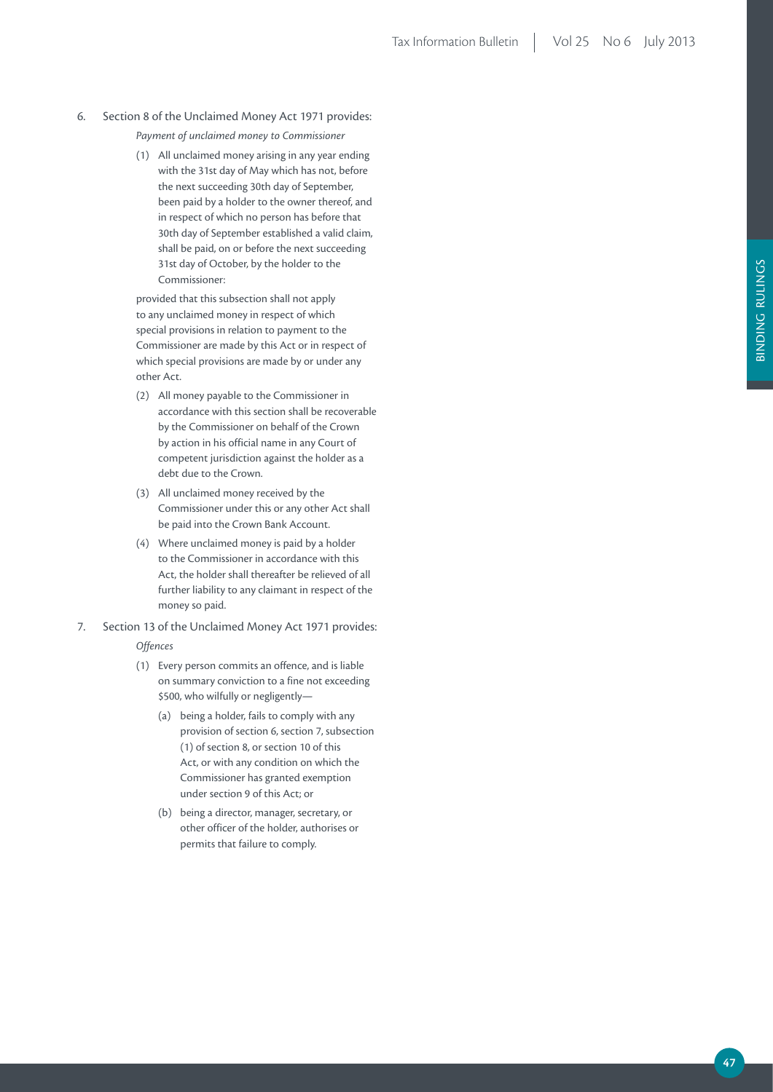- 6. Section 8 of the Unclaimed Money Act 1971 provides:
	- *Payment of unclaimed money to Commissioner*
	- (1) All unclaimed money arising in any year ending with the 31st day of May which has not, before the next succeeding 30th day of September, been paid by a holder to the owner thereof, and in respect of which no person has before that 30th day of September established a valid claim, shall be paid, on or before the next succeeding 31st day of October, by the holder to the Commissioner:

provided that this subsection shall not apply to any unclaimed money in respect of which special provisions in relation to payment to the Commissioner are made by this Act or in respect of which special provisions are made by or under any other Act.

- (2) All money payable to the Commissioner in accordance with this section shall be recoverable by the Commissioner on behalf of the Crown by action in his official name in any Court of competent jurisdiction against the holder as a debt due to the Crown.
- (3) All unclaimed money received by the Commissioner under this or any other Act shall be paid into the Crown Bank Account.
- (4) Where unclaimed money is paid by a holder to the Commissioner in accordance with this Act, the holder shall thereafter be relieved of all further liability to any claimant in respect of the money so paid.
- 7. Section 13 of the Unclaimed Money Act 1971 provides: *Offences*
	-
	- (1) Every person commits an offence, and is liable on summary conviction to a fine not exceeding \$500, who wilfully or negligently-
		- (a) being a holder, fails to comply with any provision of section 6, section 7, subsection (1) of section 8, or section 10 of this Act, or with any condition on which the Commissioner has granted exemption under section 9 of this Act; or
		- (b) being a director, manager, secretary, or other officer of the holder, authorises or permits that failure to comply.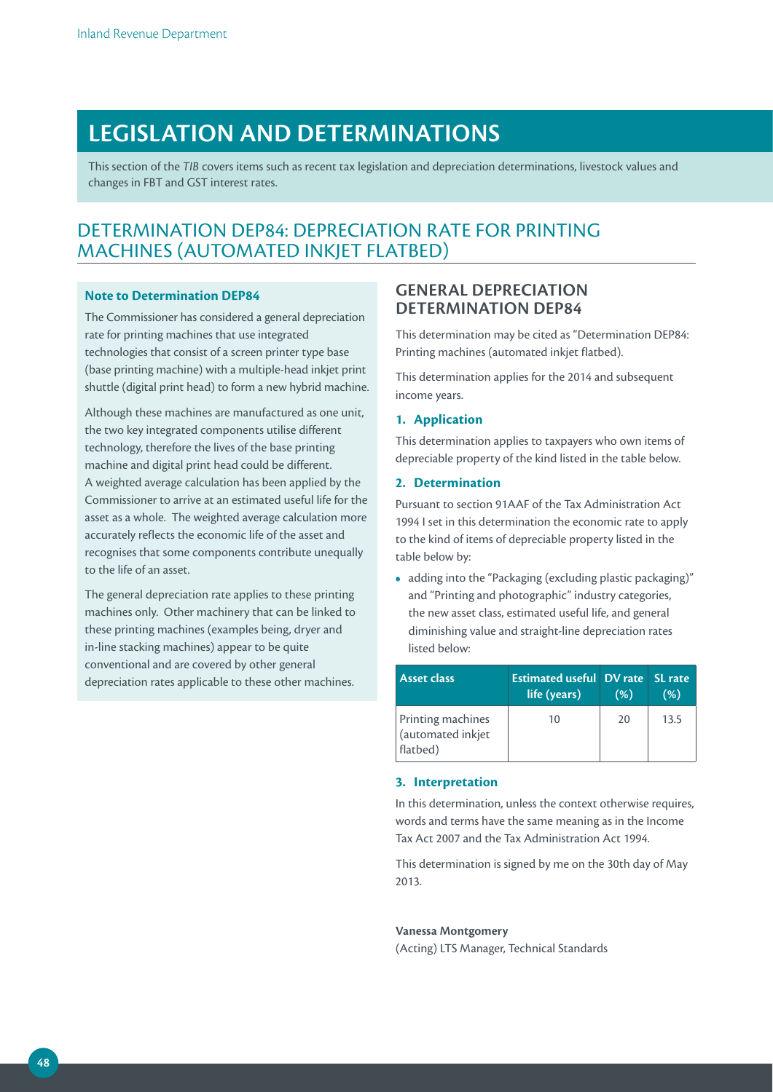# **LEGISLATION AND DETERMINATIONS**

This section of the *TIB* covers items such as recent tax legislation and depreciation determinations, livestock values and changes in FBT and GST interest rates.

# DETERMINATION DEP84: DEPRECIATION RATE FOR PRINTING MACHINES (AUTOMATED INKJET FLATBED)

# **Note to Determination DEP84**

The Commissioner has considered a general depreciation rate for printing machines that use integrated technologies that consist of a screen printer type base (base printing machine) with a multiple-head inkjet print shuttle (digital print head) to form a new hybrid machine.

Although these machines are manufactured as one unit, the two key integrated components utilise different technology, therefore the lives of the base printing machine and digital print head could be different. A weighted average calculation has been applied by the Commissioner to arrive at an estimated useful life for the asset as a whole. The weighted average calculation more accurately reflects the economic life of the asset and recognises that some components contribute unequally to the life of an asset.

The general depreciation rate applies to these printing machines only. Other machinery that can be linked to these printing machines (examples being, dryer and in-line stacking machines) appear to be quite conventional and are covered by other general depreciation rates applicable to these other machines.

# **GENERAL DEPRECIATION DETERMINATION DEP84**

This determination may be cited as "Determination DEP84: Printing machines (automated inkjet flatbed).

This determination applies for the 2014 and subsequent income years.

# **1. Application**

This determination applies to taxpayers who own items of depreciable property of the kind listed in the table below.

# **2. Determination**

Pursuant to section 91AAF of the Tax Administration Act 1994 I set in this determination the economic rate to apply to the kind of items of depreciable property listed in the table below by:

**•** adding into the "Packaging (excluding plastic packaging)" and "Printing and photographic" industry categories, the new asset class, estimated useful life, and general diminishing value and straight-line depreciation rates listed below:

| <b>Asset class</b>                                 | Estimated useful DV rate SL rate<br>life (years) | (% ) | (% ) |
|----------------------------------------------------|--------------------------------------------------|------|------|
| Printing machines<br>(automated inkjet<br>flatbed) | 10                                               | 20   | 13.5 |

# **3. Interpretation**

In this determination, unless the context otherwise requires, words and terms have the same meaning as in the Income Tax Act 2007 and the Tax Administration Act 1994.

This determination is signed by me on the 30th day of May 2013.

# **Vanessa Montgomery**

(Acting) LTS Manager, Technical Standards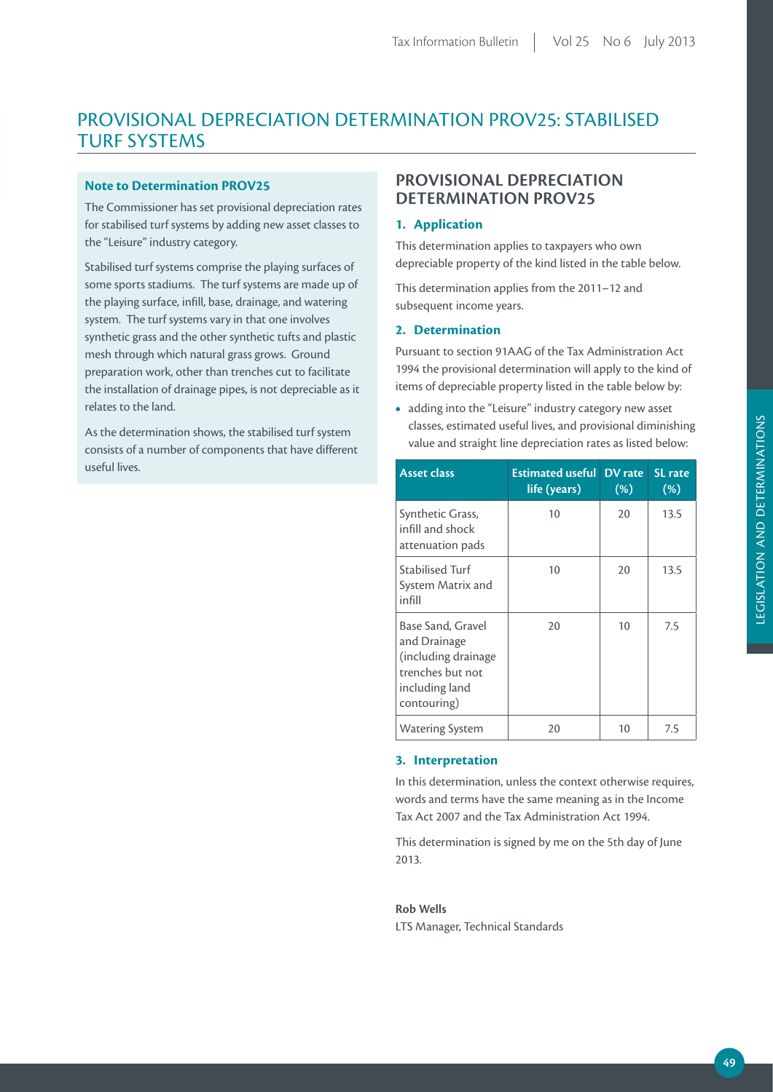# PROVISIONAL DEPRECIATION DETERMINATION PROV25: STABILISED TURF SYSTEMS

## **Note to Determination PROV25**

The Commissioner has set provisional depreciation rates for stabilised turf systems by adding new asset classes to the "Leisure" industry category.

Stabilised turf systems comprise the playing surfaces of some sports stadiums. The turf systems are made up of the playing surface, infill, base, drainage, and watering system. The turf systems vary in that one involves synthetic grass and the other synthetic tufts and plastic mesh through which natural grass grows. Ground preparation work, other than trenches cut to facilitate the installation of drainage pipes, is not depreciable as it relates to the land.

As the determination shows, the stabilised turf system consists of a number of components that have different useful lives.

# **PROVISIONAL DEPRECIATION DETERMINATION PR OV25**

# **1. Application**

This determination applies to taxpayers who own depreciable property of the kind listed in the table below.

This determination applies from the 2011–12 and subsequent income years.

#### **2. Determination**

Pursuant to section 91AAG of the Tax Administration Act 1994 the provisional determination will apply to the kind of items of depreciable property listed in the table below by:

**•** adding into the "Leisure" industry category new asset classes, estimated useful lives, and provisional diminishing value and straight line depreciation rates as listed below:

| <b>Asset class</b>                                                                                             | <b>Estimated useful</b><br>life (years) | DV rate<br>$(\%)$ | <b>SL</b> rate<br>$(\% )$ |
|----------------------------------------------------------------------------------------------------------------|-----------------------------------------|-------------------|---------------------------|
| Synthetic Grass,<br>infill and shock<br>attenuation pads                                                       | 10                                      | 20                | 13.5                      |
| <b>Stabilised Turf</b><br>System Matrix and<br>infill                                                          | 10                                      | 20                | 13.5                      |
| Base Sand, Gravel<br>and Drainage<br>(including drainage)<br>trenches but not<br>including land<br>contouring) | 20                                      | 10                | 7.5                       |
| <b>Watering System</b>                                                                                         | 20                                      | 10                | 7.5                       |

# **3. Interpretation**

In this determination, unless the context otherwise requires, words and terms have the same meaning as in the Income Tax Act 2007 and the Tax Administration Act 1994.

This determination is signed by me on the 5th day of June 2013.

#### **Rob Wells**

LTS Manager, Technical Standards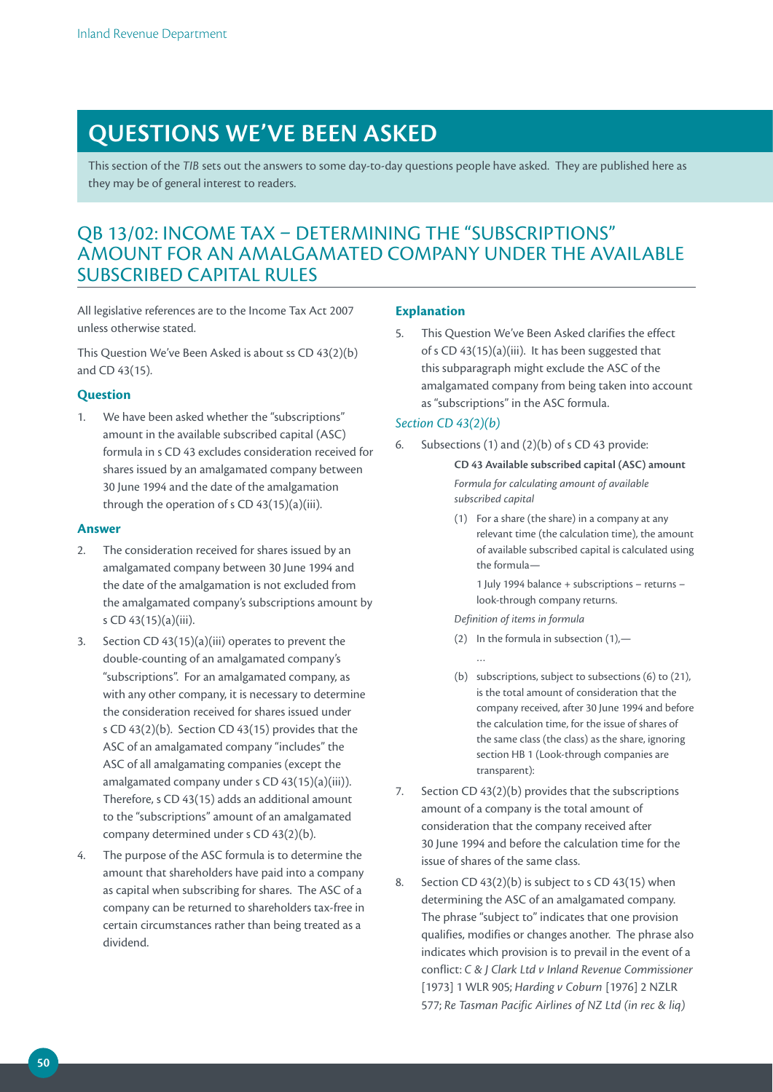# **QUESTIONS WE'VE BEEN ASKED**

This section of the *TIB* sets out the answers to some day-to-day questions people have asked. They are published here as they may be of general interest to readers.

# QB 13/02: INCOME TAX – DETERMINING THE "SUBSCRIPTIONS" AMOUNT FOR AN AMALGAMATED COMPANY UNDER THE AVAILABLE SUBSCRIBED CAPITAL RULES

All legislative references are to the Income Tax Act 2007 unless otherwise stated.

This Question We've Been Asked is about ss CD 43(2)(b) and CD 43(15).

# **Question**

1. We have been asked whether the "subscriptions" amount in the available subscribed capital (ASC) formula in s CD 43 excludes consideration received for shares issued by an amalgamated company between 30 June 1994 and the date of the amalgamation through the operation of s CD 43(15)(a)(iii).

#### **Answer**

- 2. The consideration received for shares issued by an amalgamated company between 30 June 1994 and the date of the amalgamation is not excluded from the amalgamated company's subscriptions amount by s CD 43(15)(a)(iii).
- 3. Section CD 43(15)(a)(iii) operates to prevent the double-counting of an amalgamated company's "subscriptions". For an amalgamated company, as with any other company, it is necessary to determine the consideration received for shares issued under s CD 43(2)(b). Section CD 43(15) provides that the ASC of an amalgamated company "includes" the ASC of all amalgamating companies (except the amalgamated company under s CD 43(15)(a)(iii)). Therefore, s CD 43(15) adds an additional amount to the "subscriptions" amount of an amalgamated company determined under s CD 43(2)(b).
- 4. The purpose of the ASC formula is to determine the amount that shareholders have paid into a company as capital when subscribing for shares. The ASC of a company can be returned to shareholders tax-free in certain circumstances rather than being treated as a dividend.

#### **Explanation**

5. This Question We've Been Asked clarifies the effect of s CD 43(15)(a)(iii). It has been suggested that this subparagraph might exclude the ASC of the amalgamated company from being taken into account as "subscriptions" in the ASC formula.

# *Section CD 43(2)(b)*

- 6. Subsections (1) and (2)(b) of s CD 43 provide: **CD 43 Available subscribed capital (ASC) amount** *Formula for calculating amount of available subscribed capital*
	- (1) For a share (the share) in a company at any relevant time (the calculation time), the amount of available subscribed capital is calculated using the formula—

1 July 1994 balance + subscriptions – returns – look-through company returns.

*Definition of items in formula*

…

- (2) In the formula in subsection (1),—
- (b) subscriptions, subject to subsections (6) to (21), is the total amount of consideration that the company received, after 30 June 1994 and before the calculation time, for the issue of shares of the same class (the class) as the share, ignoring section HB 1 (Look-through companies are transparent):
- 7. Section CD 43(2)(b) provides that the subscriptions amount of a company is the total amount of consideration that the company received after 30 June 1994 and before the calculation time for the issue of shares of the same class.
- 8. Section CD 43(2)(b) is subject to s CD 43(15) when determining the ASC of an amalgamated company. The phrase "subject to" indicates that one provision qualifies, modifies or changes another. The phrase also indicates which provision is to prevail in the event of a conflict: *C & J Clark Ltd v Inland Revenue Commissioner* [1973] 1 WLR 905; *Harding v Coburn* [1976] 2 NZLR 577; *Re Tasman Pacific Airlines of NZ Ltd (in rec & liq)*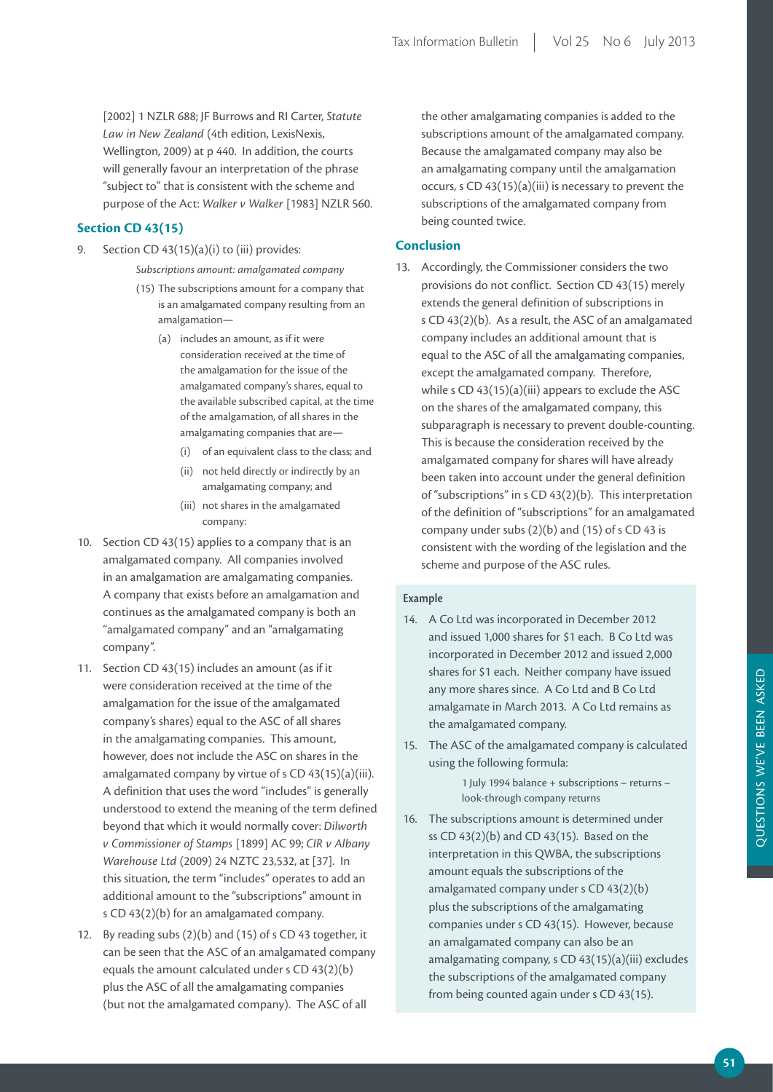[2002] 1 NZLR 688; JF Burrows and RI Carter, *Statute Law in New Zealand* (4th edition, LexisNexis, Wellington, 2009) at p 440. In addition, the courts will generally favour an interpretation of the phrase "subject to" that is consistent with the scheme and purpose of the Act: *Walker v Walker* [1983] NZLR 560.

#### **Section CD 43(15)**

- 9. Section CD 43(15)(a)(i) to (iii) provides:
	- *Subscriptions amount: amalgamated company*
	- (15) The subscriptions amount for a company that is an amalgamated company resulting from an amalgamation—
		- (a) includes an amount, as if it were consideration received at the time of the amalgamation for the issue of the amalgamated company's shares, equal to the available subscribed capital, at the time of the amalgamation, of all shares in the amalgamating companies that are—
			- (i) of an equivalent class to the class; and
			- (ii) not held directly or indirectly by an amalgamating company; and
			- (iii) not shares in the amalgamated company:
- 10. Section CD 43(15) applies to a company that is an amalgamated company. All companies involved in an amalgamation are amalgamating companies. A company that exists before an amalgamation and continues as the amalgamated company is both an "amalgamated company" and an "amalgamating company".
- 11. Section CD 43(15) includes an amount (as if it were consideration received at the time of the amalgamation for the issue of the amalgamated company's shares) equal to the ASC of all shares in the amalgamating companies. This amount, however, does not include the ASC on shares in the amalgamated company by virtue of s CD 43(15)(a)(iii). A definition that uses the word "includes" is generally understood to extend the meaning of the term defined beyond that which it would normally cover: *Dilworth v Commissioner of Stamps* [1899] AC 99; *CIR v Albany Warehouse Ltd* (2009) 24 NZTC 23,532, at [37]. In this situation, the term "includes" operates to add an additional amount to the "subscriptions" amount in s CD 43(2)(b) for an amalgamated company.
- 12. By reading subs (2)(b) and (15) of s CD 43 together, it can be seen that the ASC of an amalgamated company equals the amount calculated under s CD 43(2)(b) plus the ASC of all the amalgamating companies (but not the amalgamated company). The ASC of all

the other amalgamating companies is added to the subscriptions amount of the amalgamated company. Because the amalgamated company may also be an amalgamating company until the amalgamation occurs, s CD  $43(15)(a)(iii)$  is necessary to prevent the subscriptions of the amalgamated company from being counted twice.

## **Conclusion**

13. Accordingly, the Commissioner considers the two provisions do not conflict. Section CD 43(15) merely extends the general definition of subscriptions in s CD 43(2)(b). As a result, the ASC of an amalgamated company includes an additional amount that is equal to the ASC of all the amalgamating companies, except the amalgamated company. Therefore, while s CD 43(15)(a)(iii) appears to exclude the ASC on the shares of the amalgamated company, this subparagraph is necessary to prevent double-counting. This is because the consideration received by the amalgamated company for shares will have already been taken into account under the general definition of "subscriptions" in s CD 43(2)(b). This interpretation of the definition of "subscriptions" for an amalgamated company under subs (2)(b) and (15) of s CD 43 is consistent with the wording of the legislation and the scheme and purpose of the ASC rules.

#### **Example**

- 14. A Co Ltd was incorporated in December 2012 and issued 1,000 shares for \$1 each. B Co Ltd was incorporated in December 2012 and issued 2,000 shares for \$1 each. Neither company have issued any more shares since. A Co Ltd and B Co Ltd amalgamate in March 2013. A Co Ltd remains as the amalgamated company.
- 15. The ASC of the amalgamated company is calculated using the following formula:

1 July 1994 balance + subscriptions – returns – look-through company returns

16. The subscriptions amount is determined under ss CD 43(2)(b) and CD 43(15). Based on the interpretation in this QWBA, the subscriptions amount equals the subscriptions of the amalgamated company under s CD 43(2)(b) plus the subscriptions of the amalgamating companies under s CD 43(15). However, because an amalgamated company can also be an amalgamating company, s CD 43(15)(a)(iii) excludes the subscriptions of the amalgamated company from being counted again under s CD 43(15).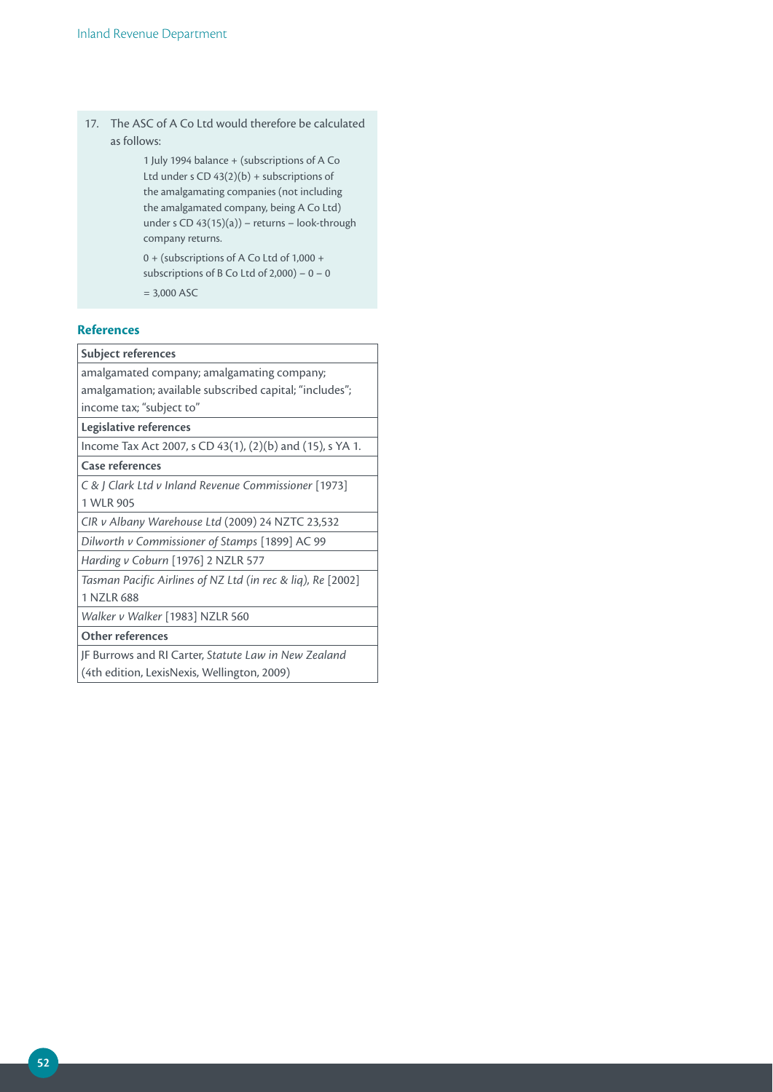17. The ASC of A Co Ltd would therefore be calculated as follows:

> 1 July 1994 balance + (subscriptions of A Co Ltd under s CD 43(2)(b) + subscriptions of the amalgamating companies (not including the amalgamated company, being A Co Ltd) under s CD 43(15)(a)) – returns – look-through company returns.

0 + (subscriptions of A Co Ltd of 1,000 + subscriptions of B Co Ltd of  $2,000$ ) – 0 – 0  $= 3,000$  ASC

# **References**

# **Subject references**

amalgamated company; amalgamating company; amalgamation; available subscribed capital; "includes"; income tax; "subject to"

**Legislative references**

Income Tax Act 2007, s CD 43(1), (2)(b) and (15), s YA 1.

**Case references**

*C & J Clark Ltd v Inland Revenue Commissioner* [1973] 1 WLR 905

*CIR v Albany Warehouse Ltd* (2009) 24 NZTC 23,532

*Dilworth v Commissioner of Stamps* [1899] AC 99

*Harding v Coburn* [1976] 2 NZLR 577

*Tasman Pacific Airlines of NZ Ltd (in rec & liq), Re* [2002] 1 NZLR 688

*Walker v Walker* [1983] NZLR 560

**Other references**

JF Burrows and RI Carter, *Statute Law in New Zealand*

(4th edition, LexisNexis, Wellington, 2009)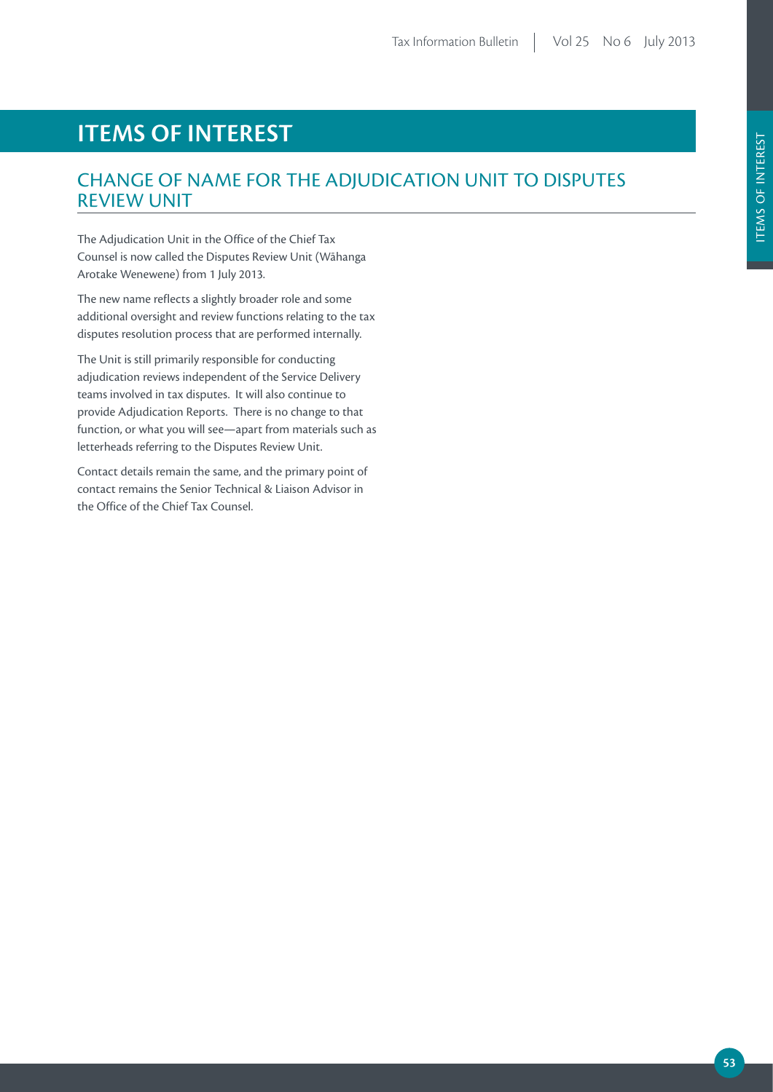# **ITEMS OF INTEREST**

# CHANGE OF NAME FOR THE ADJUDICATION UNIT TO DISPUTES REVIEW UNIT

The Adjudication Unit in the Office of the Chief Tax Counsel is now called the Disputes Review Unit (Wāhanga Arotake Wenewene) from 1 July 2013.

The new name reflects a slightly broader role and some additional oversight and review functions relating to the tax disputes resolution process that are performed internally.

The Unit is still primarily responsible for conducting adjudication reviews independent of the Service Delivery teams involved in tax disputes. It will also continue to provide Adjudication Reports. There is no change to that function, or what you will see—apart from materials such as letterheads referring to the Disputes Review Unit.

Contact details remain the same, and the primary point of contact remains the Senior Technical & Liaison Advisor in the Office of the Chief Tax Counsel.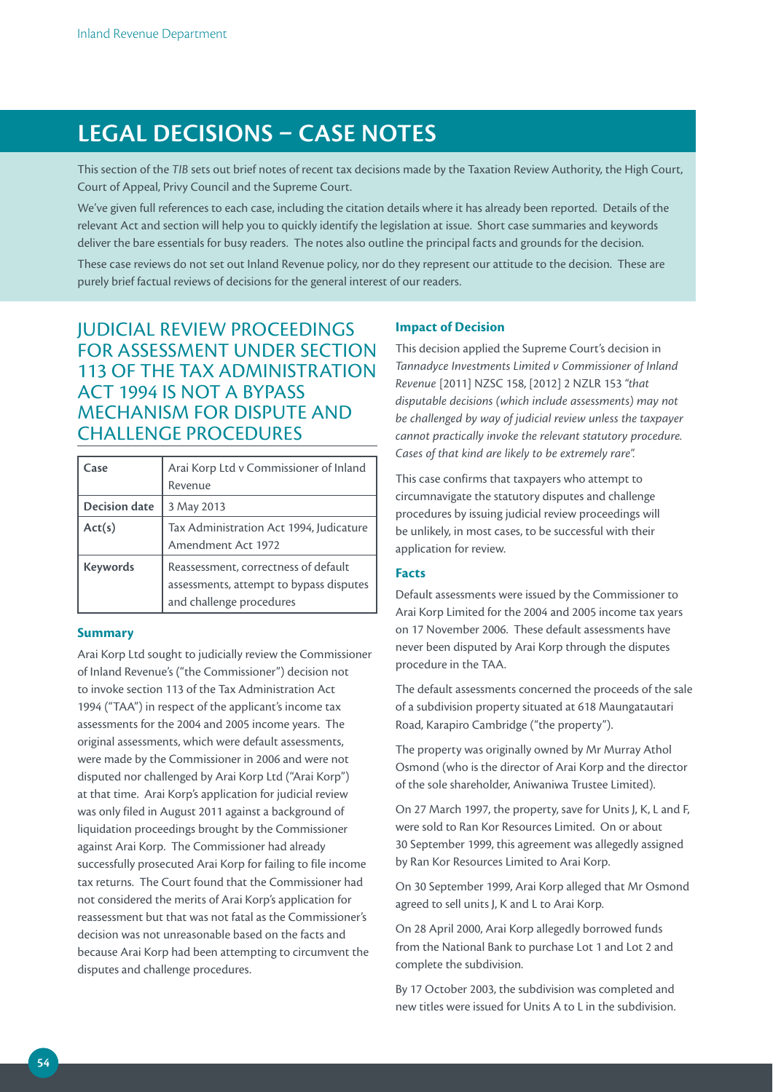# **LEGAL DECISIONS – CASE NOTES**

This section of the *TIB* sets out brief notes of recent tax decisions made by the Taxation Review Authority, the High Court, Court of Appeal, Privy Council and the Supreme Court.

We've given full references to each case, including the citation details where it has already been reported. Details of the relevant Act and section will help you to quickly identify the legislation at issue. Short case summaries and keywords deliver the bare essentials for busy readers. The notes also outline the principal facts and grounds for the decision.

These case reviews do not set out Inland Revenue policy, nor do they represent our attitude to the decision. These are purely brief factual reviews of decisions for the general interest of our readers.

# JUDICIAL REVIEW PROCEEDINGS FOR ASSESSMENT UNDER SECTION 113 OF THE TAX ADMINISTRATION ACT 1994 IS NOT A BYPASS MECHANISM FOR DISPUTE AND CHALLENGE PROCEDURES

| Case                 | Arai Korp Ltd v Commissioner of Inland  |
|----------------------|-----------------------------------------|
|                      | Revenue                                 |
| <b>Decision date</b> | 3 May 2013                              |
| Act(s)               | Tax Administration Act 1994, Judicature |
|                      | Amendment Act 1972                      |
| <b>Keywords</b>      | Reassessment, correctness of default    |
|                      | assessments, attempt to bypass disputes |
|                      | and challenge procedures                |

# **Summary**

Arai Korp Ltd sought to judicially review the Commissioner of Inland Revenue's ("the Commissioner") decision not to invoke section 113 of the Tax Administration Act 1994 ("TAA") in respect of the applicant's income tax assessments for the 2004 and 2005 income years. The original assessments, which were default assessments, were made by the Commissioner in 2006 and were not disputed nor challenged by Arai Korp Ltd ("Arai Korp") at that time. Arai Korp's application for judicial review was only filed in August 2011 against a background of liquidation proceedings brought by the Commissioner against Arai Korp. The Commissioner had already successfully prosecuted Arai Korp for failing to file income tax returns. The Court found that the Commissioner had not considered the merits of Arai Korp's application for reassessment but that was not fatal as the Commissioner's decision was not unreasonable based on the facts and because Arai Korp had been attempting to circumvent the disputes and challenge procedures.

# **Impact of Decision**

This decision applied the Supreme Court's decision in *Tannadyce Investments Limited v Commissioner of Inland Revenue* [2011] NZSC 158, [2012] 2 NZLR 153 *"that disputable decisions (which include assessments) may not be challenged by way of judicial review unless the taxpayer cannot practically invoke the relevant statutory procedure. Cases of that kind are likely to be extremely rare".*

This case confirms that taxpayers who attempt to circumnavigate the statutory disputes and challenge procedures by issuing judicial review proceedings will be unlikely, in most cases, to be successful with their application for review.

#### **Facts**

Default assessments were issued by the Commissioner to Arai Korp Limited for the 2004 and 2005 income tax years on 17 November 2006. These default assessments have never been disputed by Arai Korp through the disputes procedure in the TAA.

The default assessments concerned the proceeds of the sale of a subdivision property situated at 618 Maungatautari Road, Karapiro Cambridge ("the property").

The property was originally owned by Mr Murray Athol Osmond (who is the director of Arai Korp and the director of the sole shareholder, Aniwaniwa Trustee Limited).

On 27 March 1997, the property, save for Units J, K, L and F, were sold to Ran Kor Resources Limited. On or about 30 September 1999, this agreement was allegedly assigned by Ran Kor Resources Limited to Arai Korp.

On 30 September 1999, Arai Korp alleged that Mr Osmond agreed to sell units J, K and L to Arai Korp.

On 28 April 2000, Arai Korp allegedly borrowed funds from the National Bank to purchase Lot 1 and Lot 2 and complete the subdivision.

By 17 October 2003, the subdivision was completed and new titles were issued for Units A to L in the subdivision.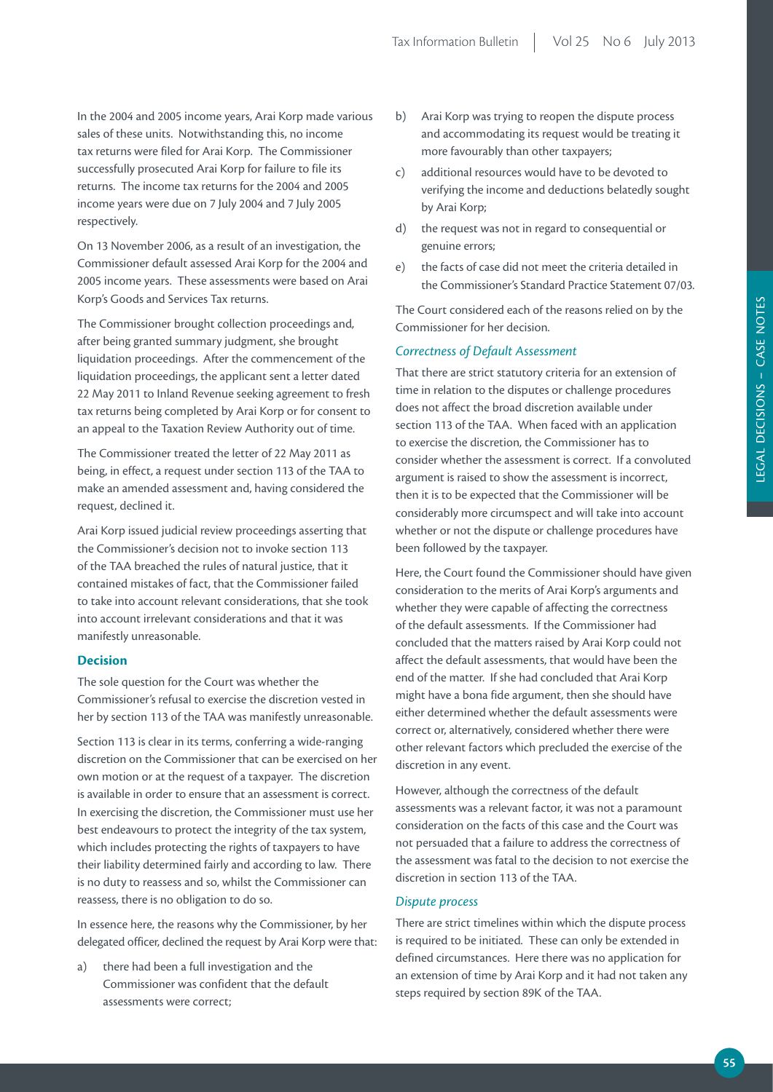In the 2004 and 2005 income years, Arai Korp made various sales of these units. Notwithstanding this, no income tax returns were filed for Arai Korp. The Commissioner successfully prosecuted Arai Korp for failure to file its returns. The income tax returns for the 2004 and 2005 income years were due on 7 July 2004 and 7 July 2005 respectively.

On 13 November 2006, as a result of an investigation, the Commissioner default assessed Arai Korp for the 2004 and 2005 income years. These assessments were based on Arai Korp's Goods and Services Tax returns.

The Commissioner brought collection proceedings and, after being granted summary judgment, she brought liquidation proceedings. After the commencement of the liquidation proceedings, the applicant sent a letter dated 22 May 2011 to Inland Revenue seeking agreement to fresh tax returns being completed by Arai Korp or for consent to an appeal to the Taxation Review Authority out of time.

The Commissioner treated the letter of 22 May 2011 as being, in effect, a request under section 113 of the TAA to make an amended assessment and, having considered the request, declined it.

Arai Korp issued judicial review proceedings asserting that the Commissioner's decision not to invoke section 113 of the TAA breached the rules of natural justice, that it contained mistakes of fact, that the Commissioner failed to take into account relevant considerations, that she took into account irrelevant considerations and that it was manifestly unreasonable.

# **Decision**

The sole question for the Court was whether the Commissioner's refusal to exercise the discretion vested in her by section 113 of the TAA was manifestly unreasonable.

Section 113 is clear in its terms, conferring a wide-ranging discretion on the Commissioner that can be exercised on her own motion or at the request of a taxpayer. The discretion is available in order to ensure that an assessment is correct. In exercising the discretion, the Commissioner must use her best endeavours to protect the integrity of the tax system, which includes protecting the rights of taxpayers to have their liability determined fairly and according to law. There is no duty to reassess and so, whilst the Commissioner can reassess, there is no obligation to do so.

In essence here, the reasons why the Commissioner, by her delegated officer, declined the request by Arai Korp were that:

a) there had been a full investigation and the Commissioner was confident that the default assessments were correct;

- b) Arai Korp was trying to reopen the dispute process and accommodating its request would be treating it more favourably than other taxpayers;
- c) additional resources would have to be devoted to verifying the income and deductions belatedly sought by Arai Korp;
- d) the request was not in regard to consequential or genuine errors;
- e) the facts of case did not meet the criteria detailed in the Commissioner's Standard Practice Statement 07/03.

The Court considered each of the reasons relied on by the Commissioner for her decision.

# *Correctness of Default Assessment*

That there are strict statutory criteria for an extension of time in relation to the disputes or challenge procedures does not affect the broad discretion available under section 113 of the TAA. When faced with an application to exercise the discretion, the Commissioner has to consider whether the assessment is correct. If a convoluted argument is raised to show the assessment is incorrect, then it is to be expected that the Commissioner will be considerably more circumspect and will take into account whether or not the dispute or challenge procedures have been followed by the taxpayer.

Here, the Court found the Commissioner should have given consideration to the merits of Arai Korp's arguments and whether they were capable of affecting the correctness of the default assessments. If the Commissioner had concluded that the matters raised by Arai Korp could not affect the default assessments, that would have been the end of the matter. If she had concluded that Arai Korp might have a bona fide argument, then she should have either determined whether the default assessments were correct or, alternatively, considered whether there were other relevant factors which precluded the exercise of the discretion in any event.

However, although the correctness of the default assessments was a relevant factor, it was not a paramount consideration on the facts of this case and the Court was not persuaded that a failure to address the correctness of the assessment was fatal to the decision to not exercise the discretion in section 113 of the TAA.

## *Dispute process*

There are strict timelines within which the dispute process is required to be initiated. These can only be extended in defined circumstances. Here there was no application for an extension of time by Arai Korp and it had not taken any steps required by section 89K of the TAA.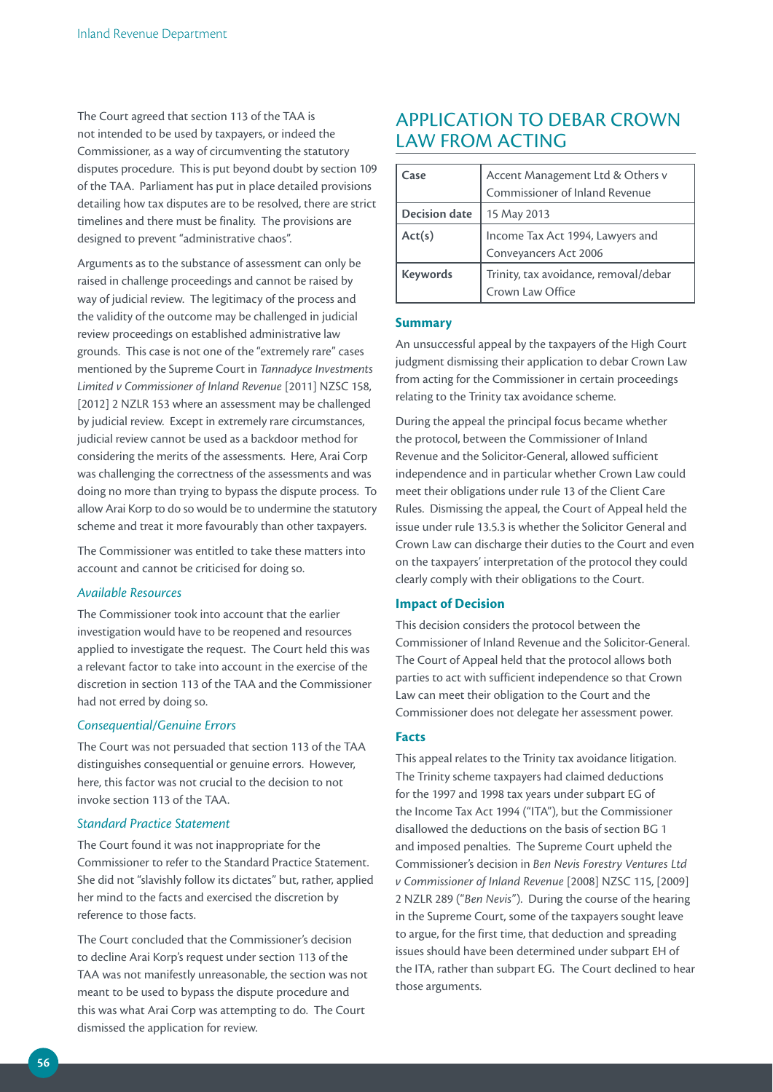The Court agreed that section 113 of the TAA is not intended to be used by taxpayers, or indeed the Commissioner, as a way of circumventing the statutory disputes procedure. This is put beyond doubt by section 109 of the TAA. Parliament has put in place detailed provisions detailing how tax disputes are to be resolved, there are strict timelines and there must be finality. The provisions are designed to prevent "administrative chaos".

Arguments as to the substance of assessment can only be raised in challenge proceedings and cannot be raised by way of judicial review. The legitimacy of the process and the validity of the outcome may be challenged in judicial review proceedings on established administrative law grounds. This case is not one of the "extremely rare" cases mentioned by the Supreme Court in *Tannadyce Investments Limited v Commissioner of Inland Revenue* [2011] NZSC 158, [2012] 2 NZLR 153 where an assessment may be challenged by judicial review. Except in extremely rare circumstances, judicial review cannot be used as a backdoor method for considering the merits of the assessments. Here, Arai Corp was challenging the correctness of the assessments and was doing no more than trying to bypass the dispute process. To allow Arai Korp to do so would be to undermine the statutory scheme and treat it more favourably than other taxpayers.

The Commissioner was entitled to take these matters into account and cannot be criticised for doing so.

# *Available Resources*

The Commissioner took into account that the earlier investigation would have to be reopened and resources applied to investigate the request. The Court held this was a relevant factor to take into account in the exercise of the discretion in section 113 of the TAA and the Commissioner had not erred by doing so.

#### *Consequential/Genuine Errors*

The Court was not persuaded that section 113 of the TAA distinguishes consequential or genuine errors. However, here, this factor was not crucial to the decision to not invoke section 113 of the TAA.

### *Standard Practice Statement*

The Court found it was not inappropriate for the Commissioner to refer to the Standard Practice Statement. She did not "slavishly follow its dictates" but, rather, applied her mind to the facts and exercised the discretion by reference to those facts.

The Court concluded that the Commissioner's decision to decline Arai Korp's request under section 113 of the TAA was not manifestly unreasonable, the section was not meant to be used to bypass the dispute procedure and this was what Arai Corp was attempting to do. The Court dismissed the application for review.

# APPLICATION TO DEBAR CROWN LAW FROM ACTING

| Case                 | Accent Management Ltd & Others v<br>Commissioner of Inland Revenue |
|----------------------|--------------------------------------------------------------------|
|                      |                                                                    |
| <b>Decision date</b> | 15 May 2013                                                        |
| Act(s)               | Income Tax Act 1994, Lawyers and<br>Conveyancers Act 2006          |
| <b>Keywords</b>      | Trinity, tax avoidance, removal/debar<br>Crown Law Office          |

#### **Summary**

An unsuccessful appeal by the taxpayers of the High Court judgment dismissing their application to debar Crown Law from acting for the Commissioner in certain proceedings relating to the Trinity tax avoidance scheme.

During the appeal the principal focus became whether the protocol, between the Commissioner of Inland Revenue and the Solicitor-General, allowed sufficient independence and in particular whether Crown Law could meet their obligations under rule 13 of the Client Care Rules. Dismissing the appeal, the Court of Appeal held the issue under rule 13.5.3 is whether the Solicitor General and Crown Law can discharge their duties to the Court and even on the taxpayers' interpretation of the protocol they could clearly comply with their obligations to the Court.

# **Impact of Decision**

This decision considers the protocol between the Commissioner of Inland Revenue and the Solicitor-General. The Court of Appeal held that the protocol allows both parties to act with sufficient independence so that Crown Law can meet their obligation to the Court and the Commissioner does not delegate her assessment power.

#### **Facts**

This appeal relates to the Trinity tax avoidance litigation. The Trinity scheme taxpayers had claimed deductions for the 1997 and 1998 tax years under subpart EG of the Income Tax Act 1994 ("ITA"), but the Commissioner disallowed the deductions on the basis of section BG 1 and imposed penalties. The Supreme Court upheld the Commissioner's decision in *Ben Nevis Forestry Ventures Ltd v Commissioner of Inland Revenue* [2008] NZSC 115, [2009] 2 NZLR 289 ("*Ben Nevis*"). During the course of the hearing in the Supreme Court, some of the taxpayers sought leave to argue, for the first time, that deduction and spreading issues should have been determined under subpart EH of the ITA, rather than subpart EG. The Court declined to hear those arguments.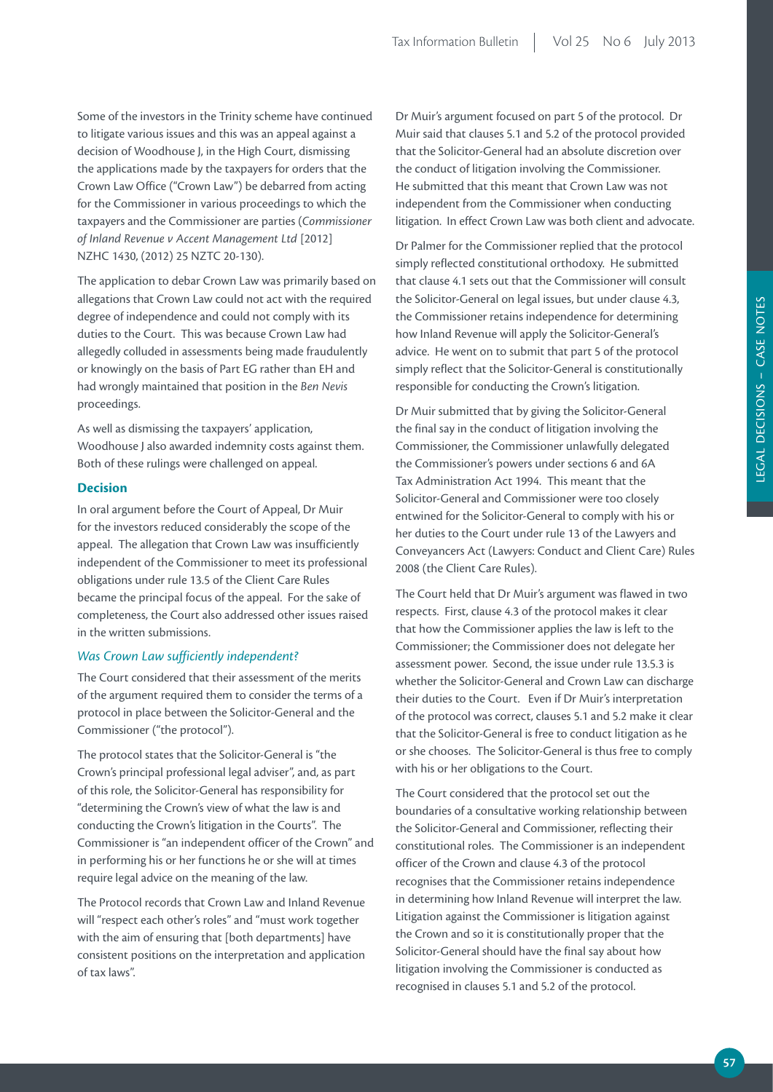Some of the investors in the Trinity scheme have continued to litigate various issues and this was an appeal against a decision of Woodhouse J, in the High Court, dismissing the applications made by the taxpayers for orders that the Crown Law Office ("Crown Law") be debarred from acting for the Commissioner in various proceedings to which the taxpayers and the Commissioner are parties (*Commissioner of Inland Revenue v Accent Management Ltd* [2012] NZHC 1430, (2012) 25 NZTC 20-130).

The application to debar Crown Law was primarily based on allegations that Crown Law could not act with the required degree of independence and could not comply with its duties to the Court. This was because Crown Law had allegedly colluded in assessments being made fraudulently or knowingly on the basis of Part EG rather than EH and had wrongly maintained that position in the *Ben Nevis* proceedings.

As well as dismissing the taxpayers' application, Woodhouse J also awarded indemnity costs against them. Both of these rulings were challenged on appeal.

# **Decision**

In oral argument before the Court of Appeal, Dr Muir for the investors reduced considerably the scope of the appeal. The allegation that Crown Law was insufficiently independent of the Commissioner to meet its professional obligations under rule 13.5 of the Client Care Rules became the principal focus of the appeal. For the sake of completeness, the Court also addressed other issues raised in the written submissions.

# *Was Crown Law sufficiently independent?*

The Court considered that their assessment of the merits of the argument required them to consider the terms of a protocol in place between the Solicitor-General and the Commissioner ("the protocol").

The protocol states that the Solicitor-General is "the Crown's principal professional legal adviser", and, as part of this role, the Solicitor-General has responsibility for "determining the Crown's view of what the law is and conducting the Crown's litigation in the Courts". The Commissioner is "an independent officer of the Crown" and in performing his or her functions he or she will at times require legal advice on the meaning of the law.

The Protocol records that Crown Law and Inland Revenue will "respect each other's roles" and "must work together with the aim of ensuring that [both departments] have consistent positions on the interpretation and application of tax laws".

Dr Muir's argument focused on part 5 of the protocol. Dr Muir said that clauses 5.1 and 5.2 of the protocol provided that the Solicitor-General had an absolute discretion over the conduct of litigation involving the Commissioner. He submitted that this meant that Crown Law was not independent from the Commissioner when conducting litigation. In effect Crown Law was both client and advocate.

Dr Palmer for the Commissioner replied that the protocol simply reflected constitutional orthodoxy. He submitted that clause 4.1 sets out that the Commissioner will consult the Solicitor-General on legal issues, but under clause 4.3, the Commissioner retains independence for determining how Inland Revenue will apply the Solicitor-General's advice. He went on to submit that part 5 of the protocol simply reflect that the Solicitor-General is constitutionally responsible for conducting the Crown's litigation.

Dr Muir submitted that by giving the Solicitor-General the final say in the conduct of litigation involving the Commissioner, the Commissioner unlawfully delegated the Commissioner's powers under sections 6 and 6A Tax Administration Act 1994. This meant that the Solicitor- General and Commissioner were too closely entwined for the Solicitor-General to comply with his or her duties to the Court under rule 13 of the Lawyers and Conveyancers Act (Lawyers: Conduct and Client Care) Rules 2008 (the Client Care Rules).

The Court held that Dr Muir's argument was flawed in two respects. First, clause 4.3 of the protocol makes it clear that how the Commissioner applies the law is left to the Commissioner; the Commissioner does not delegate her assessment power. Second, the issue under rule 13.5.3 is whether the Solicitor-General and Crown Law can discharge their duties to the Court. Even if Dr Muir's interpretation of the protocol was correct, clauses 5.1 and 5.2 make it clear that the Solicitor-General is free to conduct litigation as he or she chooses. The Solicitor-General is thus free to comply with his or her obligations to the Court.

The Court considered that the protocol set out the boundaries of a consultative working relationship between the Solicitor-General and Commissioner, reflecting their constitutional roles. The Commissioner is an independent officer of the Crown and clause 4.3 of the protocol recognises that the Commissioner retains independence in determining how Inland Revenue will interpret the law. Litigation against the Commissioner is litigation against the Crown and so it is constitutionally proper that the Solicitor- General should have the final say about how litigation involving the Commissioner is conducted as recognised in clauses 5.1 and 5.2 of the protocol.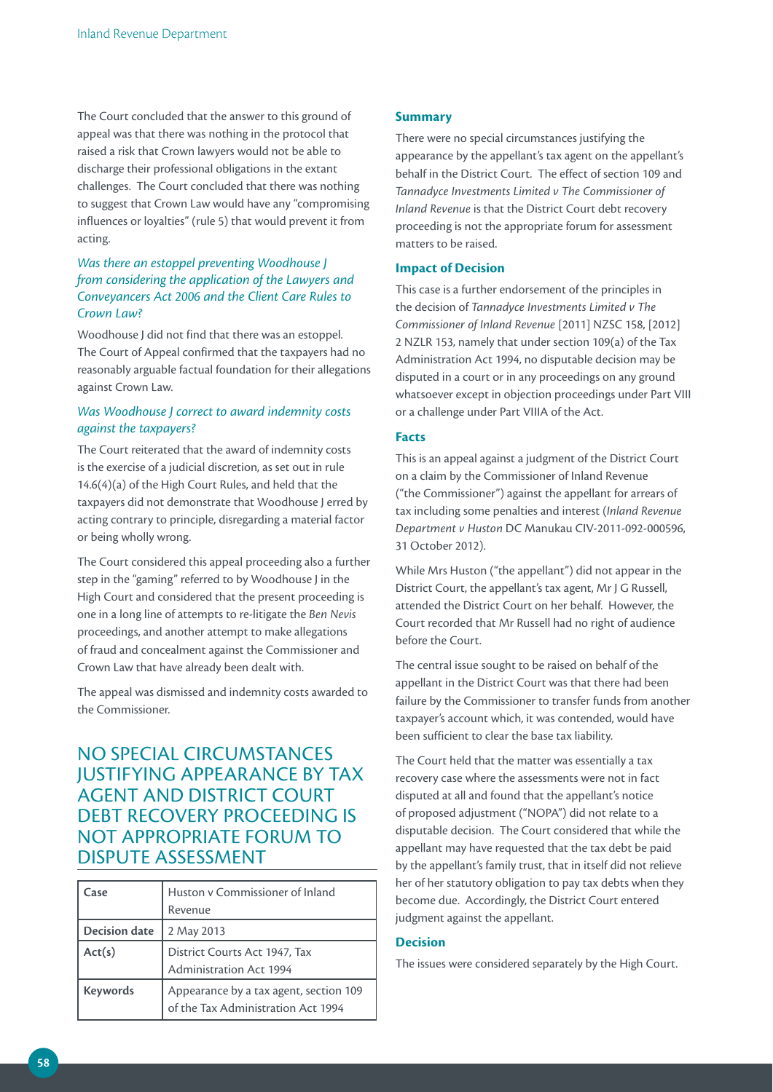The Court concluded that the answer to this ground of appeal was that there was nothing in the protocol that raised a risk that Crown lawyers would not be able to discharge their professional obligations in the extant challenges. The Court concluded that there was nothing to suggest that Crown Law would have any "compromising influences or loyalties" (rule 5) that would prevent it from acting.

# *Was there an estoppel preventing Woodhouse J from considering the application of the Lawyers and Conveyancers Act 2006 and the Client Care Rules to Crown Law?*

Woodhouse J did not find that there was an estoppel. The Court of Appeal confirmed that the taxpayers had no reasonably arguable factual foundation for their allegations against Crown Law.

# *Was Woodhouse J correct to award indemnity costs against the taxpayers?*

The Court reiterated that the award of indemnity costs is the exercise of a judicial discretion, as set out in rule 14.6(4) (a) of the High Court Rules, and held that the taxpayers did not demonstrate that Woodhouse J erred by acting contrary to principle, disregarding a material factor or being wholly wrong.

The Court considered this appeal proceeding also a further step in the "gaming" referred to by Woodhouse J in the High Court and considered that the present proceeding is one in a long line of attempts to re-litigate the *Ben Nevis*  proceedings, and another attempt to make allegations of fraud and concealment against the Commissioner and Crown Law that have already been dealt with.

The appeal was dismissed and indemnity costs awarded to the Commissioner.

# NO SPECIAL CIRCUMSTANCES JUSTIFYING APPEARANCE BY TAX AGENT AND DISTRICT COURT DEBT RECOVERY PROCEEDING IS NOT APPROPRIATE FORUM TO DISPUTE ASSESSMENT

| Case                 | Huston v Commissioner of Inland<br>Revenue                                   |
|----------------------|------------------------------------------------------------------------------|
| <b>Decision date</b> | 2 May 2013                                                                   |
|                      |                                                                              |
| Act(s)               | District Courts Act 1947, Tax                                                |
|                      | <b>Administration Act 1994</b>                                               |
| <b>Keywords</b>      | Appearance by a tax agent, section 109<br>of the Tax Administration Act 1994 |

# **Summary**

There were no special circumstances justifying the appearance by the appellant's tax agent on the appellant's behalf in the District Court. The effect of section 109 and *Tannadyce Investments Limited v The Commissioner of Inland Revenue* is that the District Court debt recovery proceeding is not the appropriate forum for assessment matters to be raised.

# **Impact of Decision**

This case is a further endorsement of the principles in the decision of *Tannadyce Investments Limited v The Commissioner of Inland Revenue* [2011] NZSC 158, [2012] 2 NZLR 153, namely that under section 109(a) of the Tax Administration Act 1994, no disputable decision may be disputed in a court or in any proceedings on any ground whatsoever except in objection proceedings under Part VIII or a challenge under Part VIIIA of the Act.

# **Facts**

This is an appeal against a judgment of the District Court on a claim by the Commissioner of Inland Revenue ("the Commissioner") against the appellant for arrears of tax including some penalties and interest (*Inland Revenue Department v Huston* DC Manukau CIV-2011-092-000596, 31 October 2012).

While Mrs Huston ("the appellant") did not appear in the District Court, the appellant's tax agent, Mr J G Russell, attended the District Court on her behalf. However, the Court recorded that Mr Russell had no right of audience before the Court.

The central issue sought to be raised on behalf of the appellant in the District Court was that there had been failure by the Commissioner to transfer funds from another taxpayer's account which, it was contended, would have been sufficient to clear the base tax liability.

The Court held that the matter was essentially a tax recovery case where the assessments were not in fact disputed at all and found that the appellant's notice of proposed adjustment ("NOPA") did not relate to a disputable decision. The Court considered that while the appellant may have requested that the tax debt be paid by the appellant's family trust, that in itself did not relieve her of her statutory obligation to pay tax debts when they become due. Accordingly, the District Court entered judgment against the appellant.

# **Decision**

The issues were considered separately by the High Court.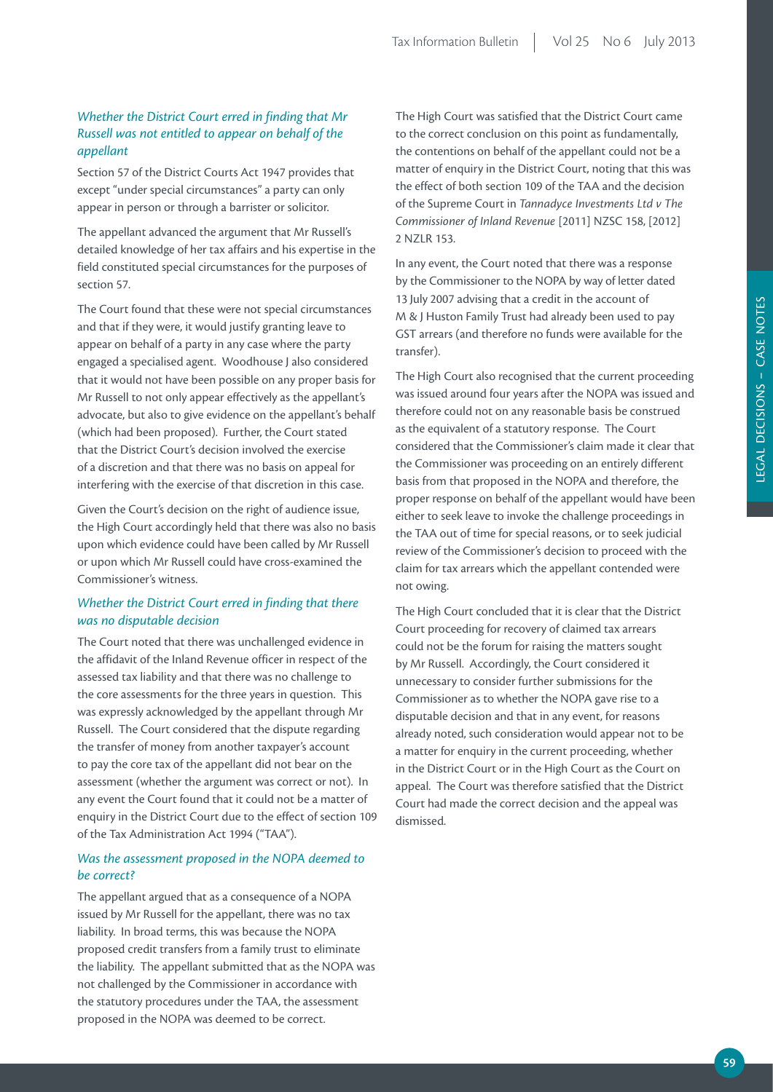# *Whether the District Court erred in finding that Mr Russell was not entitled to appear on behalf of the appellant*

Section 57 of the District Courts Act 1947 provides that except "under special circumstances" a party can only appear in person or through a barrister or solicitor.

The appellant advanced the argument that Mr Russell's detailed knowledge of her tax affairs and his expertise in the field constituted special circumstances for the purposes of section 57.

The Court found that these were not special circumstances and that if they were, it would justify granting leave to appear on behalf of a party in any case where the party engaged a specialised agent. Woodhouse J also considered that it would not have been possible on any proper basis for Mr Russell to not only appear effectively as the appellant's advocate, but also to give evidence on the appellant's behalf (which had been proposed). Further, the Court stated that the District Court's decision involved the exercise of a discretion and that there was no basis on appeal for interfering with the exercise of that discretion in this case.

Given the Court's decision on the right of audience issue, the High Court accordingly held that there was also no basis upon which evidence could have been called by Mr Russell or upon which Mr Russell could have cross-examined the Commissioner's witness.

# *Whether the District Court erred in finding that there was no disputable decision*

The Court noted that there was unchallenged evidence in the affidavit of the Inland Revenue officer in respect of the assessed tax liability and that there was no challenge to the core assessments for the three years in question. This was expressly acknowledged by the appellant through Mr Russell. The Court considered that the dispute regarding the transfer of money from another taxpayer's account to pay the core tax of the appellant did not bear on the assessment (whether the argument was correct or not). In any event the Court found that it could not be a matter of enquiry in the District Court due to the effect of section 109 of the Tax Administration Act 1994 ("TAA").

# *Was the assessment proposed in the NOPA deemed to be correct?*

The appellant argued that as a consequence of a NOPA issued by Mr Russell for the appellant, there was no tax liability. In broad terms, this was because the NOPA proposed credit transfers from a family trust to eliminate the liability. The appellant submitted that as the NOPA was not challenged by the Commissioner in accordance with the statutory procedures under the TAA, the assessment proposed in the NOPA was deemed to be correct.

The High Court was satisfied that the District Court came to the correct conclusion on this point as fundamentally, the contentions on behalf of the appellant could not be a matter of enquiry in the District Court, noting that this was the effect of both section 109 of the TAA and the decision of the Supreme Court in *Tannadyce Investments Ltd v The Commissioner of Inland Revenue* [2011] NZSC 158, [2012] 2 NZLR 153.

In any event, the Court noted that there was a response by the Commissioner to the NOPA by way of letter dated 13 July 2007 advising that a credit in the account of M & J Huston Family Trust had already been used to pay GST arrears (and therefore no funds were available for the transfer).

The High Court also recognised that the current proceeding was issued around four years after the NOPA was issued and therefore could not on any reasonable basis be construed as the equivalent of a statutory response. The Court considered that the Commissioner's claim made it clear that the Commissioner was proceeding on an entirely different basis from that proposed in the NOPA and therefore, the proper response on behalf of the appellant would have been either to seek leave to invoke the challenge proceedings in the TAA out of time for special reasons, or to seek judicial review of the Commissioner's decision to proceed with the claim for tax arrears which the appellant contended were not owing.

The High Court concluded that it is clear that the District Court proceeding for recovery of claimed tax arrears could not be the forum for raising the matters sought by Mr Russell. Accordingly, the Court considered it unnecessary to consider further submissions for the Commissioner as to whether the NOPA gave rise to a disputable decision and that in any event, for reasons already noted, such consideration would appear not to be a matter for enquiry in the current proceeding, whether in the District Court or in the High Court as the Court on appeal. The Court was therefore satisfied that the District Court had made the correct decision and the appeal was dismissed.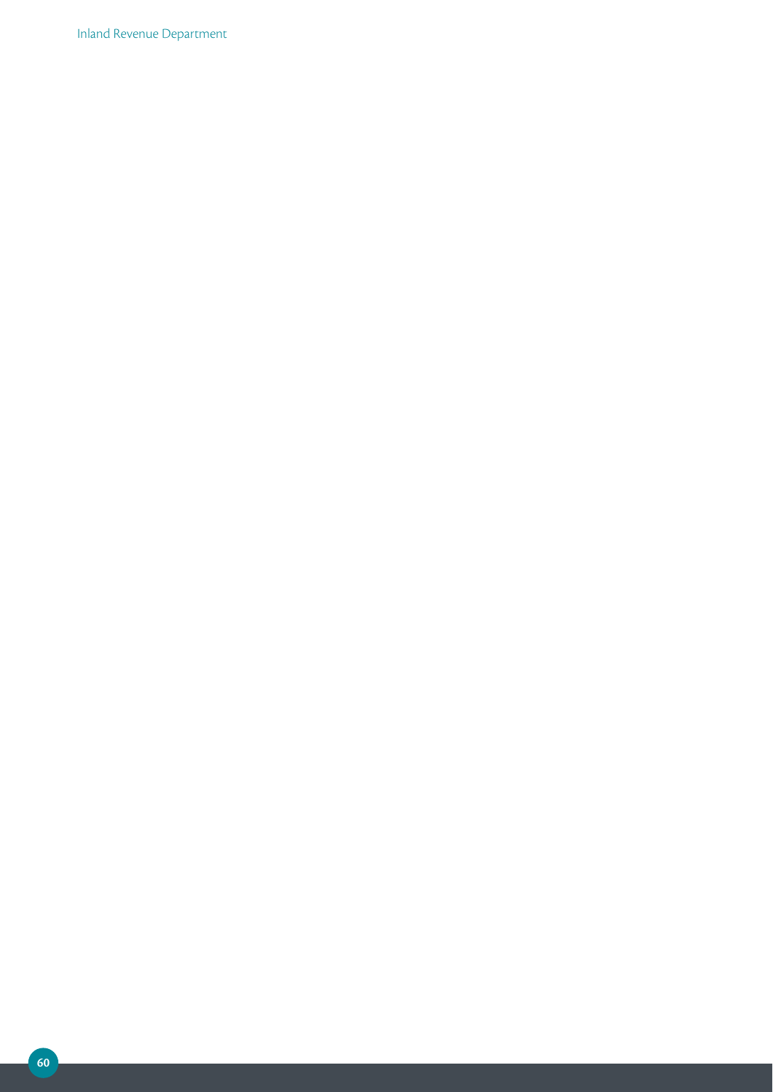Inland Revenue Department